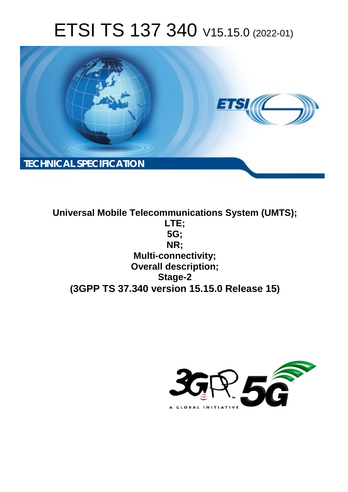# ETSI TS 137 340 V15.15.0 (2022-01)



**Universal Mobile Telecommunications System (UMTS); LTE; 5G; NR; Multi-connectivity; Overall description; Stage-2 (3GPP TS 37.340 version 15.15.0 Release 15)**

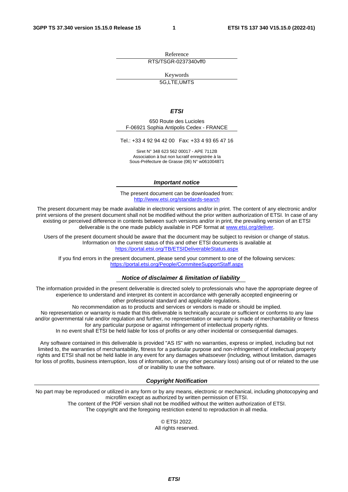Reference RTS/TSGR-0237340vff0

Keywords

5G,LTE,UMTS

#### *ETSI*

650 Route des Lucioles F-06921 Sophia Antipolis Cedex - FRANCE

Tel.: +33 4 92 94 42 00 Fax: +33 4 93 65 47 16

Siret N° 348 623 562 00017 - APE 7112B Association à but non lucratif enregistrée à la Sous-Préfecture de Grasse (06) N° w061004871

#### *Important notice*

The present document can be downloaded from: <http://www.etsi.org/standards-search>

The present document may be made available in electronic versions and/or in print. The content of any electronic and/or print versions of the present document shall not be modified without the prior written authorization of ETSI. In case of any existing or perceived difference in contents between such versions and/or in print, the prevailing version of an ETSI deliverable is the one made publicly available in PDF format at [www.etsi.org/deliver](http://www.etsi.org/deliver).

Users of the present document should be aware that the document may be subject to revision or change of status. Information on the current status of this and other ETSI documents is available at <https://portal.etsi.org/TB/ETSIDeliverableStatus.aspx>

If you find errors in the present document, please send your comment to one of the following services: <https://portal.etsi.org/People/CommiteeSupportStaff.aspx>

#### *Notice of disclaimer & limitation of liability*

The information provided in the present deliverable is directed solely to professionals who have the appropriate degree of experience to understand and interpret its content in accordance with generally accepted engineering or other professional standard and applicable regulations.

No recommendation as to products and services or vendors is made or should be implied.

No representation or warranty is made that this deliverable is technically accurate or sufficient or conforms to any law and/or governmental rule and/or regulation and further, no representation or warranty is made of merchantability or fitness for any particular purpose or against infringement of intellectual property rights.

In no event shall ETSI be held liable for loss of profits or any other incidental or consequential damages.

Any software contained in this deliverable is provided "AS IS" with no warranties, express or implied, including but not limited to, the warranties of merchantability, fitness for a particular purpose and non-infringement of intellectual property rights and ETSI shall not be held liable in any event for any damages whatsoever (including, without limitation, damages for loss of profits, business interruption, loss of information, or any other pecuniary loss) arising out of or related to the use of or inability to use the software.

#### *Copyright Notification*

No part may be reproduced or utilized in any form or by any means, electronic or mechanical, including photocopying and microfilm except as authorized by written permission of ETSI. The content of the PDF version shall not be modified without the written authorization of ETSI.

The copyright and the foregoing restriction extend to reproduction in all media.

© ETSI 2022. All rights reserved.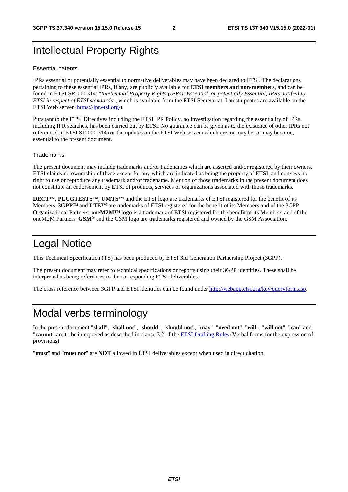## Intellectual Property Rights

#### Essential patents

IPRs essential or potentially essential to normative deliverables may have been declared to ETSI. The declarations pertaining to these essential IPRs, if any, are publicly available for **ETSI members and non-members**, and can be found in ETSI SR 000 314: *"Intellectual Property Rights (IPRs); Essential, or potentially Essential, IPRs notified to ETSI in respect of ETSI standards"*, which is available from the ETSI Secretariat. Latest updates are available on the ETSI Web server ([https://ipr.etsi.org/\)](https://ipr.etsi.org/).

Pursuant to the ETSI Directives including the ETSI IPR Policy, no investigation regarding the essentiality of IPRs, including IPR searches, has been carried out by ETSI. No guarantee can be given as to the existence of other IPRs not referenced in ETSI SR 000 314 (or the updates on the ETSI Web server) which are, or may be, or may become, essential to the present document.

#### **Trademarks**

The present document may include trademarks and/or tradenames which are asserted and/or registered by their owners. ETSI claims no ownership of these except for any which are indicated as being the property of ETSI, and conveys no right to use or reproduce any trademark and/or tradename. Mention of those trademarks in the present document does not constitute an endorsement by ETSI of products, services or organizations associated with those trademarks.

**DECT™**, **PLUGTESTS™**, **UMTS™** and the ETSI logo are trademarks of ETSI registered for the benefit of its Members. **3GPP™** and **LTE™** are trademarks of ETSI registered for the benefit of its Members and of the 3GPP Organizational Partners. **oneM2M™** logo is a trademark of ETSI registered for the benefit of its Members and of the oneM2M Partners. **GSM**® and the GSM logo are trademarks registered and owned by the GSM Association.

## Legal Notice

This Technical Specification (TS) has been produced by ETSI 3rd Generation Partnership Project (3GPP).

The present document may refer to technical specifications or reports using their 3GPP identities. These shall be interpreted as being references to the corresponding ETSI deliverables.

The cross reference between 3GPP and ETSI identities can be found under<http://webapp.etsi.org/key/queryform.asp>.

## Modal verbs terminology

In the present document "**shall**", "**shall not**", "**should**", "**should not**", "**may**", "**need not**", "**will**", "**will not**", "**can**" and "**cannot**" are to be interpreted as described in clause 3.2 of the [ETSI Drafting Rules](https://portal.etsi.org/Services/editHelp!/Howtostart/ETSIDraftingRules.aspx) (Verbal forms for the expression of provisions).

"**must**" and "**must not**" are **NOT** allowed in ETSI deliverables except when used in direct citation.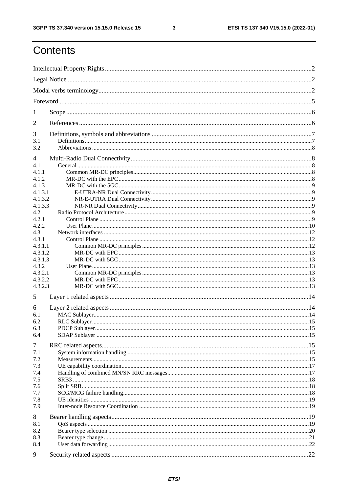$\mathbf{3}$ 

## Contents

| 1              |  |  |  |  |
|----------------|--|--|--|--|
| $\overline{2}$ |  |  |  |  |
| 3              |  |  |  |  |
| 3.1<br>3.2     |  |  |  |  |
| 4              |  |  |  |  |
| 4.1            |  |  |  |  |
| 4.1.1          |  |  |  |  |
| 4.1.2          |  |  |  |  |
| 4.1.3          |  |  |  |  |
| 4.1.3.1        |  |  |  |  |
| 4.1.3.2        |  |  |  |  |
| 4.1.3.3        |  |  |  |  |
| 4.2            |  |  |  |  |
| 4.2.1          |  |  |  |  |
| 4.2.2<br>4.3   |  |  |  |  |
| 4.3.1          |  |  |  |  |
| 4.3.1.1        |  |  |  |  |
| 4.3.1.2        |  |  |  |  |
| 4.3.1.3        |  |  |  |  |
| 4.3.2          |  |  |  |  |
| 4.3.2.1        |  |  |  |  |
| 4.3.2.2        |  |  |  |  |
| 4.3.2.3        |  |  |  |  |
| 5              |  |  |  |  |
| 6              |  |  |  |  |
| 6.1            |  |  |  |  |
| 6.2            |  |  |  |  |
| 6.3            |  |  |  |  |
| 6.4            |  |  |  |  |
| 7              |  |  |  |  |
| 7.1            |  |  |  |  |
| 7.2            |  |  |  |  |
| 7.3            |  |  |  |  |
| 7.4            |  |  |  |  |
| 7.5            |  |  |  |  |
| 7.6            |  |  |  |  |
| 7.7            |  |  |  |  |
| 7.8            |  |  |  |  |
| 7.9            |  |  |  |  |
| 8              |  |  |  |  |
| 8.1            |  |  |  |  |
| 8.2            |  |  |  |  |
| 8.3<br>8.4     |  |  |  |  |
|                |  |  |  |  |
| 9              |  |  |  |  |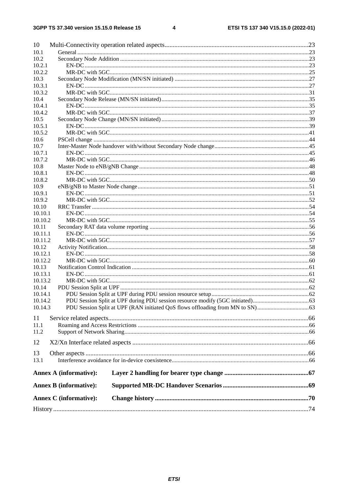#### $\overline{\mathbf{4}}$

| 10               |                               |  |
|------------------|-------------------------------|--|
| 10.1             |                               |  |
| 10.2             |                               |  |
| 10.2.1           |                               |  |
| 10.2.2           |                               |  |
| 10.3             |                               |  |
| 10.3.1           |                               |  |
| 10.3.2           |                               |  |
| 10.4             |                               |  |
| 10.4.1           |                               |  |
| 10.4.2           |                               |  |
| 10.5             |                               |  |
| 10.5.1           |                               |  |
| 10.5.2           |                               |  |
| 10.6             |                               |  |
| 10.7             |                               |  |
| 10.7.1           |                               |  |
| 10.7.2           |                               |  |
| 10.8             |                               |  |
| 10.8.1           |                               |  |
| 10.8.2           |                               |  |
| 10.9             |                               |  |
| 10.9.1           |                               |  |
| 10.9.2           |                               |  |
| 10.10            |                               |  |
| 10.10.1          |                               |  |
| 10.10.2          |                               |  |
| 10.11            |                               |  |
| 10.11.1          |                               |  |
| 10.11.2          |                               |  |
| 10.12            |                               |  |
| 10.12.1          |                               |  |
| 10.12.2          |                               |  |
| 10.13<br>10.13.1 |                               |  |
| 10.13.2          |                               |  |
| 10.14            |                               |  |
| 10.14.1          |                               |  |
| 10.14.2          |                               |  |
| 10.14.3          |                               |  |
|                  |                               |  |
| 11               |                               |  |
| 11.1             |                               |  |
| 11.2             |                               |  |
| 12               |                               |  |
|                  |                               |  |
| 13               |                               |  |
| 13.1             |                               |  |
|                  | <b>Annex A (informative):</b> |  |
|                  | <b>Annex B</b> (informative): |  |
|                  | <b>Annex C</b> (informative): |  |
|                  |                               |  |
|                  |                               |  |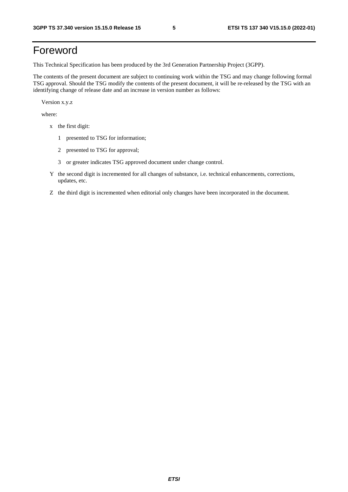## Foreword

This Technical Specification has been produced by the 3rd Generation Partnership Project (3GPP).

The contents of the present document are subject to continuing work within the TSG and may change following formal TSG approval. Should the TSG modify the contents of the present document, it will be re-released by the TSG with an identifying change of release date and an increase in version number as follows:

Version x.y.z

where:

- x the first digit:
	- 1 presented to TSG for information;
	- 2 presented to TSG for approval;
	- 3 or greater indicates TSG approved document under change control.
- Y the second digit is incremented for all changes of substance, i.e. technical enhancements, corrections, updates, etc.
- Z the third digit is incremented when editorial only changes have been incorporated in the document.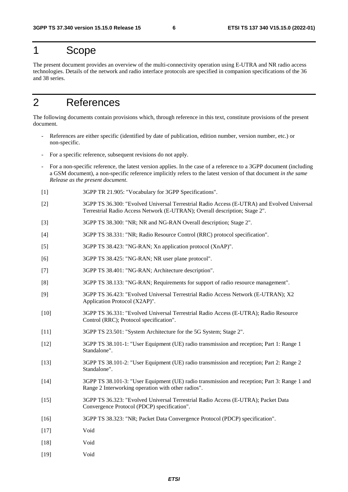## 1 Scope

The present document provides an overview of the multi-connectivity operation using E-UTRA and NR radio access technologies. Details of the network and radio interface protocols are specified in companion specifications of the 36 and 38 series.

## 2 References

The following documents contain provisions which, through reference in this text, constitute provisions of the present document.

- References are either specific (identified by date of publication, edition number, version number, etc.) or non-specific.
- For a specific reference, subsequent revisions do not apply.
- For a non-specific reference, the latest version applies. In the case of a reference to a 3GPP document (including a GSM document), a non-specific reference implicitly refers to the latest version of that document *in the same Release as the present document*.
- [1] 3GPP TR 21.905: "Vocabulary for 3GPP Specifications".
- [2] 3GPP TS 36.300: "Evolved Universal Terrestrial Radio Access (E-UTRA) and Evolved Universal Terrestrial Radio Access Network (E-UTRAN); Overall description; Stage 2".
- [3] 3GPP TS 38.300: "NR; NR and NG-RAN Overall description; Stage 2".
- [4] 3GPP TS 38.331: "NR; Radio Resource Control (RRC) protocol specification".
- [5] 3GPP TS 38.423: "NG-RAN; Xn application protocol (XnAP)".
- [6] 3GPP TS 38.425: "NG-RAN; NR user plane protocol".
- [7] 3GPP TS 38.401: "NG-RAN; Architecture description".
- [8] 3GPP TS 38.133: "NG-RAN; Requirements for support of radio resource management".
- [9] 3GPP TS 36.423: "Evolved Universal Terrestrial Radio Access Network (E-UTRAN); X2 Application Protocol (X2AP)".
- [10] 3GPP TS 36.331: "Evolved Universal Terrestrial Radio Access (E-UTRA); Radio Resource Control (RRC); Protocol specification".
- [11] 3GPP TS 23.501: "System Architecture for the 5G System; Stage 2".
- [12] 3GPP TS 38.101-1: "User Equipment (UE) radio transmission and reception; Part 1: Range 1 Standalone".
- [13] 3GPP TS 38.101-2: "User Equipment (UE) radio transmission and reception; Part 2: Range 2 Standalone".
- [14] 3GPP TS 38.101-3: "User Equipment (UE) radio transmission and reception; Part 3: Range 1 and Range 2 Interworking operation with other radios".
- [15] 3GPP TS 36.323: "Evolved Universal Terrestrial Radio Access (E-UTRA); Packet Data Convergence Protocol (PDCP) specification".
- [16] 3GPP TS 38.323: "NR; Packet Data Convergence Protocol (PDCP) specification".
- [17] Void
- [18] Void
- [19] Void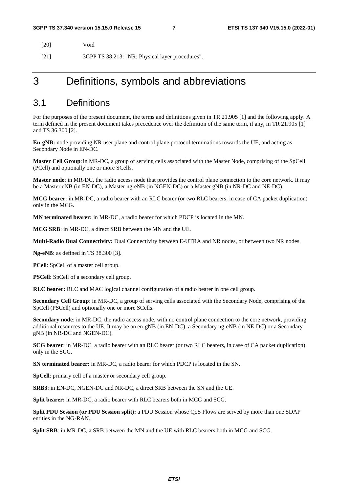| [20] | Void                                             |
|------|--------------------------------------------------|
| [21] | 3GPP TS 38.213: "NR; Physical layer procedures". |

## 3 Definitions, symbols and abbreviations

### 3.1 Definitions

For the purposes of the present document, the terms and definitions given in TR 21.905 [1] and the following apply. A term defined in the present document takes precedence over the definition of the same term, if any, in TR 21.905 [1] and TS 36.300 [2].

**En-gNB:** node providing NR user plane and control plane protocol terminations towards the UE, and acting as Secondary Node in EN-DC.

**Master Cell Group**: in MR-DC, a group of serving cells associated with the Master Node, comprising of the SpCell (PCell) and optionally one or more SCells.

**Master node**: in MR-DC, the radio access node that provides the control plane connection to the core network. It may be a Master eNB (in EN-DC), a Master ng-eNB (in NGEN-DC) or a Master gNB (in NR-DC and NE-DC).

**MCG bearer**: in MR-DC, a radio bearer with an RLC bearer (or two RLC bearers, in case of CA packet duplication) only in the MCG.

**MN terminated bearer:** in MR-DC, a radio bearer for which PDCP is located in the MN.

**MCG SRB**: in MR-DC, a direct SRB between the MN and the UE.

**Multi-Radio Dual Connectivity:** Dual Connectivity between E-UTRA and NR nodes, or between two NR nodes.

**Ng-eNB**: as defined in TS 38.300 [3].

**PCell**: SpCell of a master cell group.

**PSCell**: SpCell of a secondary cell group.

**RLC bearer:** RLC and MAC logical channel configuration of a radio bearer in one cell group.

**Secondary Cell Group**: in MR-DC, a group of serving cells associated with the Secondary Node, comprising of the SpCell (PSCell) and optionally one or more SCells.

**Secondary node**: in MR-DC, the radio access node, with no control plane connection to the core network, providing additional resources to the UE. It may be an en-gNB (in EN-DC), a Secondary ng-eNB (in NE-DC) or a Secondary gNB (in NR-DC and NGEN-DC).

**SCG bearer**: in MR-DC, a radio bearer with an RLC bearer (or two RLC bearers, in case of CA packet duplication) only in the SCG.

**SN terminated bearer:** in MR-DC, a radio bearer for which PDCP is located in the SN.

**SpCell**: primary cell of a master or secondary cell group.

**SRB3**: in EN-DC, NGEN-DC and NR-DC, a direct SRB between the SN and the UE.

**Split bearer:** in MR-DC, a radio bearer with RLC bearers both in MCG and SCG.

**Split PDU Session (or PDU Session split):** a PDU Session whose QoS Flows are served by more than one SDAP entities in the NG-RAN.

**Split SRB**: in MR-DC, a SRB between the MN and the UE with RLC bearers both in MCG and SCG.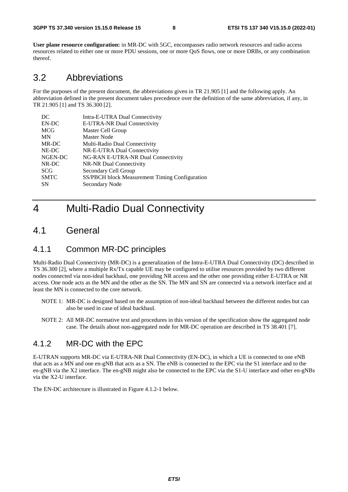**User plane resource configuration:** in MR-DC with 5GC, encompasses radio network resources and radio access resources related to either one or more PDU sessions, one or more QoS flows, one or more DRBs, or any combination thereof.

### 3.2 Abbreviations

For the purposes of the present document, the abbreviations given in TR 21.905 [1] and the following apply. An abbreviation defined in the present document takes precedence over the definition of the same abbreviation, if any, in TR 21.905 [1] and TS 36.300 [2].

| DC          | Intra-E-UTRA Dual Connectivity                 |
|-------------|------------------------------------------------|
| EN-DC       | E-UTRA-NR Dual Connectivity                    |
| <b>MCG</b>  | Master Cell Group                              |
| <b>MN</b>   | Master Node                                    |
| MR-DC       | Multi-Radio Dual Connectivity                  |
| NE-DC       | NR-E-UTRA Dual Connectivity                    |
| NGEN-DC     | NG-RAN E-UTRA-NR Dual Connectivity             |
| NR-DC       | NR-NR Dual Connectivity                        |
| <b>SCG</b>  | Secondary Cell Group                           |
| <b>SMTC</b> | SS/PBCH block Measurement Timing Configuration |
| <b>SN</b>   | Secondary Node                                 |
|             |                                                |

## 4 Multi-Radio Dual Connectivity

### 4.1 General

### 4.1.1 Common MR-DC principles

Multi-Radio Dual Connectivity (MR-DC) is a generalization of the Intra-E-UTRA Dual Connectivity (DC) described in TS 36.300 [2], where a multiple Rx/Tx capable UE may be configured to utilise resources provided by two different nodes connected via non-ideal backhaul, one providing NR access and the other one providing either E-UTRA or NR access. One node acts as the MN and the other as the SN. The MN and SN are connected via a network interface and at least the MN is connected to the core network.

- NOTE 1: MR-DC is designed based on the assumption of non-ideal backhaul between the different nodes but can also be used in case of ideal backhaul.
- NOTE 2: All MR-DC normative text and procedures in this version of the specification show the aggregated node case. The details about non-aggregated node for MR-DC operation are described in TS 38.401 [7].

### 4.1.2 MR-DC with the EPC

E-UTRAN supports MR-DC via E-UTRA-NR Dual Connectivity (EN-DC), in which a UE is connected to one eNB that acts as a MN and one en-gNB that acts as a SN. The eNB is connected to the EPC via the S1 interface and to the en-gNB via the X2 interface. The en-gNB might also be connected to the EPC via the S1-U interface and other en-gNBs via the X2-U interface.

The EN-DC architecture is illustrated in Figure 4.1.2-1 below.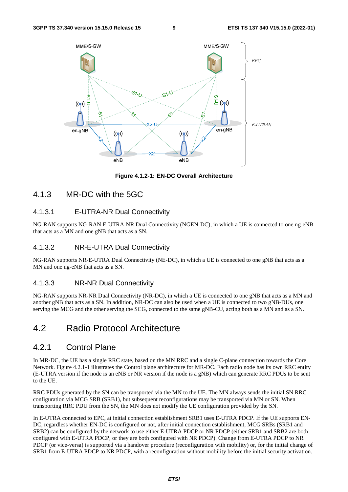

**Figure 4.1.2-1: EN-DC Overall Architecture** 

### 4.1.3 MR-DC with the 5GC

### 4.1.3.1 E-UTRA-NR Dual Connectivity

NG-RAN supports NG-RAN E-UTRA-NR Dual Connectivity (NGEN-DC), in which a UE is connected to one ng-eNB that acts as a MN and one gNB that acts as a SN.

### 4.1.3.2 NR-E-UTRA Dual Connectivity

NG-RAN supports NR-E-UTRA Dual Connectivity (NE-DC), in which a UE is connected to one gNB that acts as a MN and one ng-eNB that acts as a SN.

### 4.1.3.3 NR-NR Dual Connectivity

NG-RAN supports NR-NR Dual Connectivity (NR-DC), in which a UE is connected to one gNB that acts as a MN and another gNB that acts as a SN. In addition, NR-DC can also be used when a UE is connected to two gNB-DUs, one serving the MCG and the other serving the SCG, connected to the same gNB-CU, acting both as a MN and as a SN.

## 4.2 Radio Protocol Architecture

### 4.2.1 Control Plane

In MR-DC, the UE has a single RRC state, based on the MN RRC and a single C-plane connection towards the Core Network. Figure 4.2.1-1 illustrates the Control plane architecture for MR-DC. Each radio node has its own RRC entity (E-UTRA version if the node is an eNB or NR version if the node is a gNB) which can generate RRC PDUs to be sent to the UE.

RRC PDUs generated by the SN can be transported via the MN to the UE. The MN always sends the initial SN RRC configuration via MCG SRB (SRB1), but subsequent reconfigurations may be transported via MN or SN. When transporting RRC PDU from the SN, the MN does not modify the UE configuration provided by the SN.

In E-UTRA connected to EPC, at initial connection establishment SRB1 uses E-UTRA PDCP. If the UE supports EN-DC, regardless whether EN-DC is configured or not, after initial connection establishment, MCG SRBs (SRB1 and SRB2) can be configured by the network to use either E-UTRA PDCP or NR PDCP (either SRB1 and SRB2 are both configured with E-UTRA PDCP, or they are both configured with NR PDCP). Change from E-UTRA PDCP to NR PDCP (or vice-versa) is supported via a handover procedure (reconfiguration with mobility) or, for the initial change of SRB1 from E-UTRA PDCP to NR PDCP, with a reconfiguration without mobility before the initial security activation.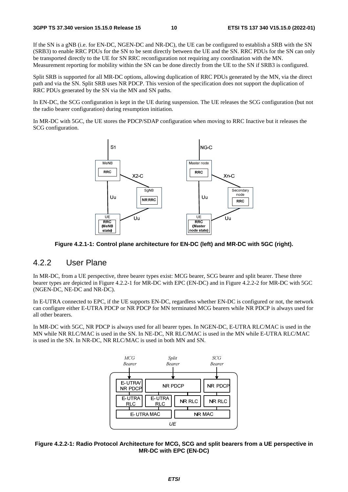If the SN is a gNB (i.e. for EN-DC, NGEN-DC and NR-DC), the UE can be configured to establish a SRB with the SN (SRB3) to enable RRC PDUs for the SN to be sent directly between the UE and the SN. RRC PDUs for the SN can only be transported directly to the UE for SN RRC reconfiguration not requiring any coordination with the MN. Measurement reporting for mobility within the SN can be done directly from the UE to the SN if SRB3 is configured.

Split SRB is supported for all MR-DC options, allowing duplication of RRC PDUs generated by the MN, via the direct path and via the SN. Split SRB uses NR PDCP. This version of the specification does not support the duplication of RRC PDUs generated by the SN via the MN and SN paths.

In EN-DC, the SCG configuration is kept in the UE during suspension. The UE releases the SCG configuration (but not the radio bearer configuration) during resumption initiation.

In MR-DC with 5GC, the UE stores the PDCP/SDAP configuration when moving to RRC Inactive but it releases the SCG configuration.



**Figure 4.2.1-1: Control plane architecture for EN-DC (left) and MR-DC with 5GC (right).** 

### 4.2.2 User Plane

In MR-DC, from a UE perspective, three bearer types exist: MCG bearer, SCG bearer and split bearer. These three bearer types are depicted in Figure 4.2.2-1 for MR-DC with EPC (EN-DC) and in Figure 4.2.2-2 for MR-DC with 5GC (NGEN-DC, NE-DC and NR-DC).

In E-UTRA connected to EPC, if the UE supports EN-DC, regardless whether EN-DC is configured or not, the network can configure either E-UTRA PDCP or NR PDCP for MN terminated MCG bearers while NR PDCP is always used for all other bearers.

In MR-DC with 5GC, NR PDCP is always used for all bearer types. In NGEN-DC, E-UTRA RLC/MAC is used in the MN while NR RLC/MAC is used in the SN. In NE-DC, NR RLC/MAC is used in the MN while E-UTRA RLC/MAC is used in the SN. In NR-DC, NR RLC/MAC is used in both MN and SN.



#### **Figure 4.2.2-1: Radio Protocol Architecture for MCG, SCG and split bearers from a UE perspective in MR-DC with EPC (EN-DC)**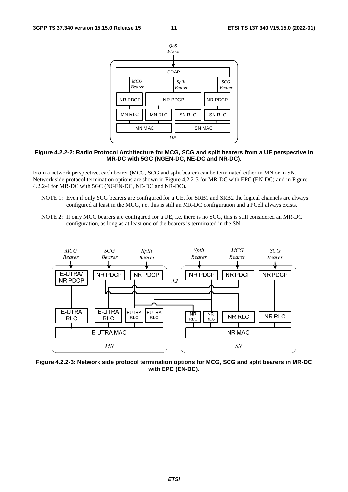

#### **Figure 4.2.2-2: Radio Protocol Architecture for MCG, SCG and split bearers from a UE perspective in MR-DC with 5GC (NGEN-DC, NE-DC and NR-DC).**

From a network perspective, each bearer (MCG, SCG and split bearer) can be terminated either in MN or in SN. Network side protocol termination options are shown in Figure 4.2.2-3 for MR-DC with EPC (EN-DC) and in Figure 4.2.2-4 for MR-DC with 5GC (NGEN-DC, NE-DC and NR-DC).

- NOTE 1: Even if only SCG bearers are configured for a UE, for SRB1 and SRB2 the logical channels are always configured at least in the MCG, i.e. this is still an MR-DC configuration and a PCell always exists.
- NOTE 2: If only MCG bearers are configured for a UE, i.e. there is no SCG, this is still considered an MR-DC configuration, as long as at least one of the bearers is terminated in the SN.



**Figure 4.2.2-3: Network side protocol termination options for MCG, SCG and split bearers in MR-DC with EPC (EN-DC).**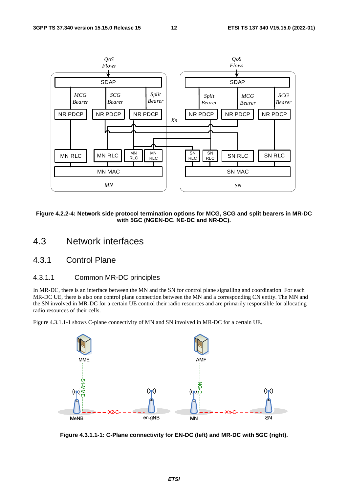

**Figure 4.2.2-4: Network side protocol termination options for MCG, SCG and split bearers in MR-DC with 5GC (NGEN-DC, NE-DC and NR-DC).** 

- 4.3 Network interfaces
- 4.3.1 Control Plane

#### 4.3.1.1 Common MR-DC principles

In MR-DC, there is an interface between the MN and the SN for control plane signalling and coordination. For each MR-DC UE, there is also one control plane connection between the MN and a corresponding CN entity. The MN and the SN involved in MR-DC for a certain UE control their radio resources and are primarily responsible for allocating radio resources of their cells.

Figure 4.3.1.1-1 shows C-plane connectivity of MN and SN involved in MR-DC for a certain UE.



**Figure 4.3.1.1-1: C-Plane connectivity for EN-DC (left) and MR-DC with 5GC (right).**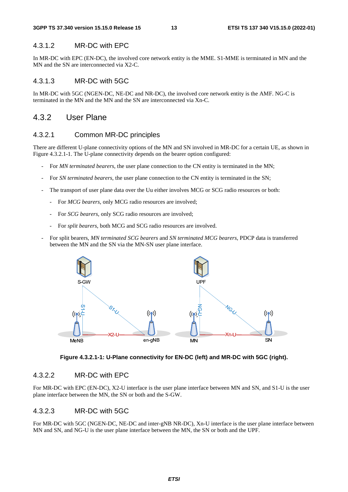#### 4.3.1.2 MR-DC with EPC

In MR-DC with EPC (EN-DC), the involved core network entity is the MME. S1-MME is terminated in MN and the MN and the SN are interconnected via X2-C.

### 4.3.1.3 MR-DC with 5GC

In MR-DC with 5GC (NGEN-DC, NE-DC and NR-DC), the involved core network entity is the AMF. NG-C is terminated in the MN and the MN and the SN are interconnected via Xn-C.

### 4.3.2 User Plane

#### 4.3.2.1 Common MR-DC principles

There are different U-plane connectivity options of the MN and SN involved in MR-DC for a certain UE, as shown in Figure 4.3.2.1-1. The U-plane connectivity depends on the bearer option configured:

- For *MN terminated bearers*, the user plane connection to the CN entity is terminated in the MN;
- For *SN terminated bearers*, the user plane connection to the CN entity is terminated in the SN;
- The transport of user plane data over the Uu either involves MCG or SCG radio resources or both:
	- For *MCG bearers*, only MCG radio resources are involved;
	- For *SCG bearers*, only SCG radio resources are involved;
	- For *split bearers*, both MCG and SCG radio resources are involved.
- For split bearers, *MN terminated SCG bearers* and *SN terminated MCG bearers*, PDCP data is transferred between the MN and the SN via the MN-SN user plane interface.



**Figure 4.3.2.1-1: U-Plane connectivity for EN-DC (left) and MR-DC with 5GC (right).** 

#### 4.3.2.2 MR-DC with EPC

For MR-DC with EPC (EN-DC), X2-U interface is the user plane interface between MN and SN, and S1-U is the user plane interface between the MN, the SN or both and the S-GW.

#### 4.3.2.3 MR-DC with 5GC

For MR-DC with 5GC (NGEN-DC, NE-DC and inter-gNB NR-DC), Xn-U interface is the user plane interface between MN and SN, and NG-U is the user plane interface between the MN, the SN or both and the UPF.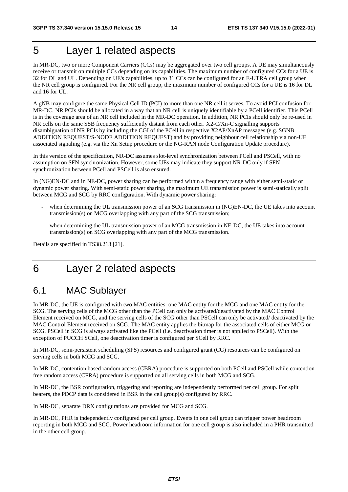## 5 Layer 1 related aspects

In MR-DC, two or more Component Carriers (CCs) may be aggregated over two cell groups. A UE may simultaneously receive or transmit on multiple CCs depending on its capabilities. The maximum number of configured CCs for a UE is 32 for DL and UL. Depending on UE's capabilities, up to 31 CCs can be configured for an E-UTRA cell group when the NR cell group is configured. For the NR cell group, the maximum number of configured CCs for a UE is 16 for DL and 16 for UL.

A gNB may configure the same Physical Cell ID (PCI) to more than one NR cell it serves. To avoid PCI confusion for MR-DC, NR PCIs should be allocated in a way that an NR cell is uniquely identifiable by a PCell identifier. This PCell is in the coverage area of an NR cell included in the MR-DC operation. In addition, NR PCIs should only be re-used in NR cells on the same SSB frequency sufficiently distant from each other. X2-C/Xn-C signalling supports disambiguation of NR PCIs by including the CGI of the PCell in respective X2AP/XnAP messages (e.g. SGNB ADDITION REQUEST/S-NODE ADDITION REQUEST) and by providing neighbour cell relationship via non-UE associated signaling (e.g. via the Xn Setup procedure or the NG-RAN node Configuration Update procedure).

In this version of the specification, NR-DC assumes slot-level synchronization between PCell and PSCell, with no assumption on SFN synchronization. However, some UEs may indicate they support NR-DC only if SFN synchronization between PCell and PSCell is also ensured.

In (NG)EN-DC and in NE-DC, power sharing can be performed within a frequency range with either semi-static or dynamic power sharing. With semi-static power sharing, the maximum UE transmission power is semi-statically split between MCG and SCG by RRC configuration. With dynamic power sharing:

- when determining the UL transmission power of an SCG transmission in (NG)EN-DC, the UE takes into account transmission(s) on MCG overlapping with any part of the SCG transmission;
- when determining the UL transmission power of an MCG transmission in NE-DC, the UE takes into account transmission(s) on SCG overlapping with any part of the MCG transmission.

Details are specified in TS38.213 [21].

## 6 Layer 2 related aspects

## 6.1 MAC Sublayer

In MR-DC, the UE is configured with two MAC entities: one MAC entity for the MCG and one MAC entity for the SCG. The serving cells of the MCG other than the PCell can only be activated/deactivated by the MAC Control Element received on MCG, and the serving cells of the SCG other than PSCell can only be activated/ deactivated by the MAC Control Element received on SCG. The MAC entity applies the bitmap for the associated cells of either MCG or SCG. PSCell in SCG is always activated like the PCell (i.e. deactivation timer is not applied to PSCell). With the exception of PUCCH SCell, one deactivation timer is configured per SCell by RRC.

In MR-DC, semi-persistent scheduling (SPS) resources and configured grant (CG) resources can be configured on serving cells in both MCG and SCG.

In MR-DC, contention based random access (CBRA) procedure is supported on both PCell and PSCell while contention free random access (CFRA) procedure is supported on all serving cells in both MCG and SCG.

In MR-DC, the BSR configuration, triggering and reporting are independently performed per cell group. For split bearers, the PDCP data is considered in BSR in the cell group(s) configured by RRC.

In MR-DC, separate DRX configurations are provided for MCG and SCG.

In MR-DC, PHR is independently configured per cell group. Events in one cell group can trigger power headroom reporting in both MCG and SCG. Power headroom information for one cell group is also included in a PHR transmitted in the other cell group.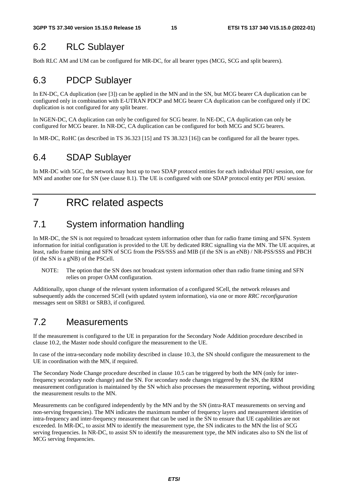## 6.2 RLC Sublayer

Both RLC AM and UM can be configured for MR-DC, for all bearer types (MCG, SCG and split bearers).

## 6.3 PDCP Sublayer

In EN-DC, CA duplication (see [3]) can be applied in the MN and in the SN, but MCG bearer CA duplication can be configured only in combination with E-UTRAN PDCP and MCG bearer CA duplication can be configured only if DC duplication is not configured for any split bearer.

In NGEN-DC, CA duplication can only be configured for SCG bearer. In NE-DC, CA duplication can only be configured for MCG bearer. In NR-DC, CA duplication can be configured for both MCG and SCG bearers.

In MR-DC, RoHC (as described in TS 36.323 [15] and TS 38.323 [16]) can be configured for all the bearer types.

## 6.4 SDAP Sublayer

In MR-DC with 5GC, the network may host up to two SDAP protocol entities for each individual PDU session, one for MN and another one for SN (see clause 8.1). The UE is configured with one SDAP protocol entity per PDU session.

## 7 RRC related aspects

## 7.1 System information handling

In MR-DC, the SN is not required to broadcast system information other than for radio frame timing and SFN. System information for initial configuration is provided to the UE by dedicated RRC signalling via the MN. The UE acquires, at least, radio frame timing and SFN of SCG from the PSS/SSS and MIB (if the SN is an eNB) / NR-PSS/SSS and PBCH (if the SN is a gNB) of the PSCell.

NOTE: The option that the SN does not broadcast system information other than radio frame timing and SFN relies on proper OAM configuration.

Additionally, upon change of the relevant system information of a configured SCell, the network releases and subsequently adds the concerned SCell (with updated system information), via one or more *RRC reconfiguration* messages sent on SRB1 or SRB3, if configured.

## 7.2 Measurements

If the measurement is configured to the UE in preparation for the Secondary Node Addition procedure described in clause 10.2, the Master node should configure the measurement to the UE.

In case of the intra-secondary node mobility described in clause 10.3, the SN should configure the measurement to the UE in coordination with the MN, if required.

The Secondary Node Change procedure described in clause 10.5 can be triggered by both the MN (only for interfrequency secondary node change) and the SN. For secondary node changes triggered by the SN, the RRM measurement configuration is maintained by the SN which also processes the measurement reporting, without providing the measurement results to the MN.

Measurements can be configured independently by the MN and by the SN (intra-RAT measurements on serving and non-serving frequencies). The MN indicates the maximum number of frequency layers and measurement identities of intra-frequency and inter-frequency measurement that can be used in the SN to ensure that UE capabilities are not exceeded. In MR-DC, to assist MN to identify the measurement type, the SN indicates to the MN the list of SCG serving frequencies. In NR-DC, to assist SN to identify the measurement type, the MN indicates also to SN the list of MCG serving frequencies.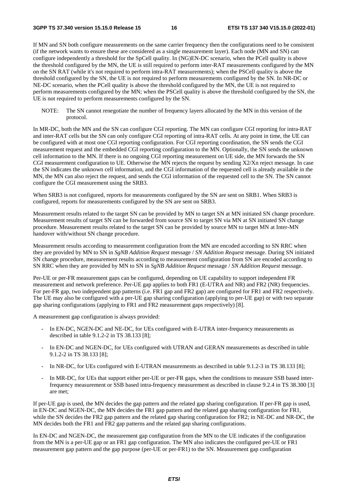If MN and SN both configure measurements on the same carrier frequency then the configurations need to be consistent (if the network wants to ensure these are considered as a single measurement layer). Each node (MN and SN) can configure independently a threshold for the SpCell quality. In (NG)EN-DC scenario, when the PCell quality is above the threshold configured by the MN, the UE is still required to perform inter-RAT measurements configured by the MN on the SN RAT (while it's not required to perform intra-RAT measurements); when the PSCell quality is above the threshold configured by the SN, the UE is not required to perform measurements configured by the SN. In NR-DC or NE-DC scenario, when the PCell quality is above the threshold configured by the MN, the UE is not required to perform measurements configured by the MN; when the PSCell quality is above the threshold configured by the SN, the UE is not required to perform measurements configured by the SN.

NOTE: The SN cannot renegotiate the number of frequency layers allocated by the MN in this version of the protocol.

In MR-DC, both the MN and the SN can configure CGI reporting. The MN can configure CGI reporting for intra-RAT and inter-RAT cells but the SN can only configure CGI reporting of intra-RAT cells. At any point in time, the UE can be configured with at most one CGI reporting configuration. For CGI reporting coordination, the SN sends the CGI measurement request and the embedded CGI reporting configuration to the MN. Optionally, the SN sends the unknown cell information to the MN. If there is no ongoing CGI reporting measurement on UE side, the MN forwards the SN CGI measurement configuration to UE. Otherwise the MN rejects the request by sending X2/Xn reject message. In case the SN indicates the unknown cell information, and the CGI information of the requested cell is already available in the MN, the MN can also reject the request, and sends the CGI information of the requested cell to the SN. The SN cannot configure the CGI measurement using the SRB3.

When SRB3 is not configured, reports for measurements configured by the SN are sent on SRB1. When SRB3 is configured, reports for measurements configured by the SN are sent on SRB3.

Measurement results related to the target SN can be provided by MN to target SN at MN initiated SN change procedure. Measurement results of target SN can be forwarded from source SN to target SN via MN at SN initiated SN change procedure. Measurement results related to the target SN can be provided by source MN to target MN at Inter-MN handover with/without SN change procedure.

Measurement results according to measurement configuration from the MN are encoded according to SN RRC when they are provided by MN to SN in *SgNB Addition Request* message / *SN Addition Request* message. During SN initiated SN change procedure, measurement results according to measurement configuration from SN are encoded according to SN RRC when they are provided by MN to SN in *SgNB Addition Request* message / *SN Addition Request* message.

Per-UE or per-FR measurement gaps can be configured, depending on UE capability to support independent FR measurement and network preference. Per-UE gap applies to both FR1 (E-UTRA and NR) and FR2 (NR) frequencies. For per-FR gap, two independent gap patterns (i.e. FR1 gap and FR2 gap) are configured for FR1 and FR2 respectively. The UE may also be configured with a per-UE gap sharing configuration (applying to per-UE gap) or with two separate gap sharing configurations (applying to FR1 and FR2 measurement gaps respectively) [8].

A measurement gap configuration is always provided:

- In EN-DC, NGEN-DC and NE-DC, for UEs configured with E-UTRA inter-frequency measurements as described in table 9.1.2-2 in TS 38.133 [8];
- In EN-DC and NGEN-DC, for UEs configured with UTRAN and GERAN measurements as described in table 9.1.2-2 in TS 38.133 [8];
- In NR-DC, for UEs configured with E-UTRAN measurements as described in table 9.1.2-3 in TS 38.133 [8];
- In MR-DC, for UEs that support either per-UE or per-FR gaps, when the conditions to measure SSB based interfrequency measurement or SSB based intra-frequency measurement as described in clause 9.2.4 in TS 38.300 [3] are met;

If per-UE gap is used, the MN decides the gap pattern and the related gap sharing configuration. If per-FR gap is used, in EN-DC and NGEN-DC, the MN decides the FR1 gap pattern and the related gap sharing configuration for FR1, while the SN decides the FR2 gap pattern and the related gap sharing configuration for FR2; in NE-DC and NR-DC, the MN decides both the FR1 and FR2 gap patterns and the related gap sharing configurations.

In EN-DC and NGEN-DC, the measurement gap configuration from the MN to the UE indicates if the configuration from the MN is a per-UE gap or an FR1 gap configuration. The MN also indicates the configured per-UE or FR1 measurement gap pattern and the gap purpose (per-UE or per-FR1) to the SN. Measurement gap configuration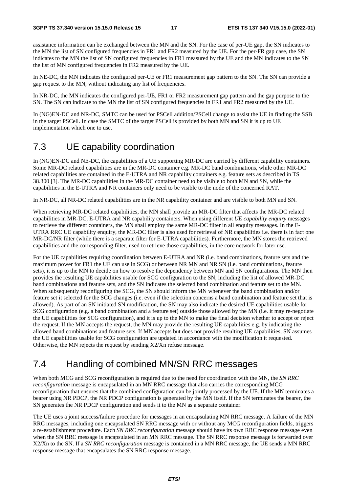assistance information can be exchanged between the MN and the SN. For the case of per-UE gap, the SN indicates to the MN the list of SN configured frequencies in FR1 and FR2 measured by the UE. For the per-FR gap case, the SN indicates to the MN the list of SN configured frequencies in FR1 measured by the UE and the MN indicates to the SN the list of MN configured frequencies in FR2 measured by the UE.

In NE-DC, the MN indicates the configured per-UE or FR1 measurement gap pattern to the SN. The SN can provide a gap request to the MN, without indicating any list of frequencies.

In NR-DC, the MN indicates the configured per-UE, FR1 or FR2 measurement gap pattern and the gap purpose to the SN. The SN can indicate to the MN the list of SN configured frequencies in FR1 and FR2 measured by the UE.

In (NG)EN-DC and NR-DC, SMTC can be used for PSCell addition/PSCell change to assist the UE in finding the SSB in the target PSCell. In case the SMTC of the target PSCell is provided by both MN and SN it is up to UE implementation which one to use.

## 7.3 UE capability coordination

In (NG)EN-DC and NE-DC, the capabilities of a UE supporting MR-DC are carried by different capability containers. Some MR-DC related capabilities are in the MR-DC container e.g. MR-DC band combinations, while other MR-DC related capabilities are contained in the E-UTRA and NR capability containers e.g. feature sets as described in TS 38.300 [3]. The MR-DC capabilities in the MR-DC container need to be visible to both MN and SN, while the capabilities in the E-UTRA and NR containers only need to be visible to the node of the concerned RAT.

In NR-DC, all NR-DC related capabilities are in the NR capability container and are visible to both MN and SN.

When retrieving MR-DC related capabilities, the MN shall provide an MR-DC filter that affects the MR-DC related capabilities in MR-DC, E-UTRA and NR capability containers. When using different *UE capability enquiry* messages to retrieve the different containers, the MN shall employ the same MR-DC filter in all enquiry messages. In the E-UTRA RRC UE capability enquiry, the MR-DC filter is also used for retrieval of NR capabilities i.e. there is in fact one MR-DC/NR filter (while there is a separate filter for E-UTRA capabilities). Furthermore, the MN stores the retrieved capabilities and the corresponding filter, used to retrieve those capabilities, in the core network for later use.

For the UE capabilities requiring coordination between E-UTRA and NR (i.e. band combinations, feature sets and the maximum power for FR1 the UE can use in SCG) or between NR MN and NR SN (i.e. band combinations, feature sets), it is up to the MN to decide on how to resolve the dependency between MN and SN configurations. The MN then provides the resulting UE capabilities usable for SCG configuration to the SN, including the list of allowed MR-DC band combinations and feature sets, and the SN indicates the selected band combination and feature set to the MN. When subsequently reconfiguring the SCG, the SN should inform the MN whenever the band combination and/or feature set it selected for the SCG changes (i.e. even if the selection concerns a band combination and feature set that is allowed). As part of an SN initiated SN modification, the SN may also indicate the desired UE capabilities usable for SCG configuration (e.g. a band combination and a feature set) outside those allowed by the MN (i.e. it may re-negotiate the UE capabilities for SCG configuration), and it is up to the MN to make the final decision whether to accept or reject the request. If the MN accepts the request, the MN may provide the resulting UE capabilities e.g. by indicating the allowed band combinations and feature sets. If MN accepts but does not provide resulting UE capabilities, SN assumes the UE capabilities usable for SCG configuration are updated in accordance with the modification it requested. Otherwise, the MN rejects the request by sending X2/Xn refuse message.

## 7.4 Handling of combined MN/SN RRC messages

When both MCG and SCG reconfiguration is required due to the need for coordination with the MN, the *SN RRC reconfiguration* message is encapsulated in an MN RRC message that also carries the corresponding MCG reconfiguration that ensures that the combined configuration can be jointly processed by the UE. If the MN terminates a bearer using NR PDCP, the NR PDCP configuration is generated by the MN itself. If the SN terminates the bearer, the SN generates the NR PDCP configuration and sends it to the MN as a separate container.

The UE uses a joint success/failure procedure for messages in an encapsulating MN RRC message. A failure of the MN RRC messages, including one encapsulated SN RRC message with or without any MCG reconfiguration fields, triggers a re-establishment procedure. Each *SN RRC reconfiguration* message should have its own RRC response message even when the SN RRC message is encapsulated in an MN RRC message. The SN RRC response message is forwarded over X2/Xn to the SN. If a *SN RRC reconfiguration* message is contained in a MN RRC message, the UE sends a MN RRC response message that encapsulates the SN RRC response message.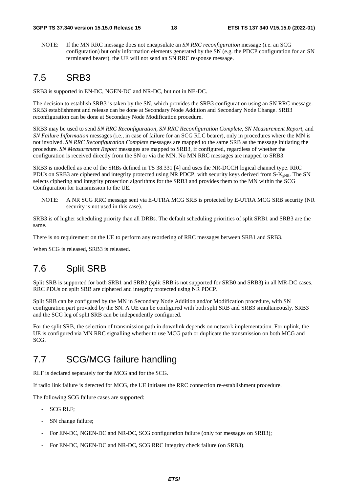NOTE: If the MN RRC message does not encapsulate an *SN RRC reconfiguration* message (i.e. an SCG configuration) but only information elements generated by the SN (e.g. the PDCP configuration for an SN terminated bearer), the UE will not send an SN RRC response message.

### 7.5 SRB3

SRB3 is supported in EN-DC, NGEN-DC and NR-DC, but not in NE-DC.

The decision to establish SRB3 is taken by the SN, which provides the SRB3 configuration using an SN RRC message. SRB3 establishment and release can be done at Secondary Node Addition and Secondary Node Change. SRB3 reconfiguration can be done at Secondary Node Modification procedure.

SRB3 may be used to send *SN RRC Reconfiguration*, *SN RRC Reconfiguration Complete*, *SN Measurement Report*, and *SN Failure Information* messages (i.e., in case of failure for an SCG RLC bearer), only in procedures where the MN is not involved. *SN RRC Reconfiguration Complete* messages are mapped to the same SRB as the message initiating the procedure. *SN Measurement Report* messages are mapped to SRB3, if configured, regardless of whether the configuration is received directly from the SN or via the MN. No MN RRC messages are mapped to SRB3.

SRB3 is modelled as one of the SRBs defined in TS 38.331 [4] and uses the NR-DCCH logical channel type. RRC PDUs on SRB3 are ciphered and integrity protected using NR PDCP, with security keys derived from  $S-K_{eNB}$ . The SN selects ciphering and integrity protection algorithms for the SRB3 and provides them to the MN within the SCG Configuration for transmission to the UE.

NOTE: A NR SCG RRC message sent via E-UTRA MCG SRB is protected by E-UTRA MCG SRB security (NR security is not used in this case).

SRB3 is of higher scheduling priority than all DRBs. The default scheduling priorities of split SRB1 and SRB3 are the same.

There is no requirement on the UE to perform any reordering of RRC messages between SRB1 and SRB3.

When SCG is released, SRB3 is released.

## 7.6 Split SRB

Split SRB is supported for both SRB1 and SRB2 (split SRB is not supported for SRB0 and SRB3) in all MR-DC cases. RRC PDUs on split SRB are ciphered and integrity protected using NR PDCP.

Split SRB can be configured by the MN in Secondary Node Addition and/or Modification procedure, with SN configuration part provided by the SN. A UE can be configured with both split SRB and SRB3 simultaneously. SRB3 and the SCG leg of split SRB can be independently configured.

For the split SRB, the selection of transmission path in downlink depends on network implementation. For uplink, the UE is configured via MN RRC signalling whether to use MCG path or duplicate the transmission on both MCG and SCG.

## 7.7 SCG/MCG failure handling

RLF is declared separately for the MCG and for the SCG.

If radio link failure is detected for MCG, the UE initiates the RRC connection re-establishment procedure.

The following SCG failure cases are supported:

- SCG RLF;
- SN change failure;
- For EN-DC, NGEN-DC and NR-DC, SCG configuration failure (only for messages on SRB3);
- For EN-DC, NGEN-DC and NR-DC, SCG RRC integrity check failure (on SRB3).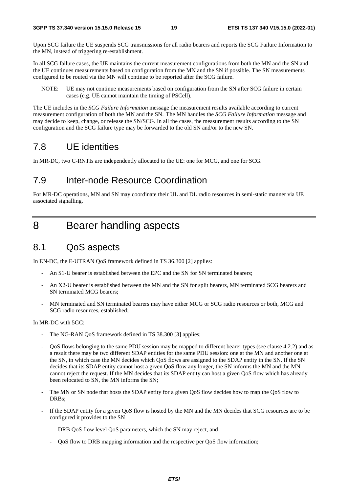Upon SCG failure the UE suspends SCG transmissions for all radio bearers and reports the SCG Failure Information to the MN, instead of triggering re-establishment.

In all SCG failure cases, the UE maintains the current measurement configurations from both the MN and the SN and the UE continues measurements based on configuration from the MN and the SN if possible. The SN measurements configured to be routed via the MN will continue to be reported after the SCG failure.

NOTE: UE may not continue measurements based on configuration from the SN after SCG failure in certain cases (e.g. UE cannot maintain the timing of PSCell).

The UE includes in the *SCG Failure Information* message the measurement results available according to current measurement configuration of both the MN and the SN. The MN handles the *SCG Failure Information* message and may decide to keep, change, or release the SN/SCG. In all the cases, the measurement results according to the SN configuration and the SCG failure type may be forwarded to the old SN and/or to the new SN.

## 7.8 UE identities

In MR-DC, two C-RNTIs are independently allocated to the UE: one for MCG, and one for SCG.

### 7.9 Inter-node Resource Coordination

For MR-DC operations, MN and SN may coordinate their UL and DL radio resources in semi-static manner via UE associated signalling.

## 8 Bearer handling aspects

### 8.1 QoS aspects

In EN-DC, the E-UTRAN QoS framework defined in TS 36.300 [2] applies:

- An S1-U bearer is established between the EPC and the SN for SN terminated bearers;
- An X2-U bearer is established between the MN and the SN for split bearers, MN terminated SCG bearers and SN terminated MCG bearers;
- MN terminated and SN terminated bearers may have either MCG or SCG radio resources or both, MCG and SCG radio resources, established;

In MR-DC with 5GC:

- The NG-RAN QoS framework defined in TS 38.300 [3] applies;
- QoS flows belonging to the same PDU session may be mapped to different bearer types (see clause 4.2.2) and as a result there may be two different SDAP entities for the same PDU session: one at the MN and another one at the SN, in which case the MN decides which QoS flows are assigned to the SDAP entity in the SN. If the SN decides that its SDAP entity cannot host a given QoS flow any longer, the SN informs the MN and the MN cannot reject the request. If the MN decides that its SDAP entity can host a given QoS flow which has already been relocated to SN, the MN informs the SN;
- The MN or SN node that hosts the SDAP entity for a given QoS flow decides how to map the QoS flow to DRBs;
- If the SDAP entity for a given QoS flow is hosted by the MN and the MN decides that SCG resources are to be configured it provides to the SN
	- DRB QoS flow level QoS parameters, which the SN may reject, and
	- QoS flow to DRB mapping information and the respective per QoS flow information;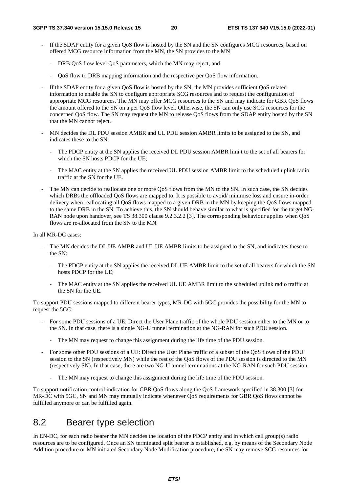- If the SDAP entity for a given QoS flow is hosted by the SN and the SN configures MCG resources, based on offered MCG resource information from the MN, the SN provides to the MN
	- DRB QoS flow level QoS parameters, which the MN may reject, and
	- QoS flow to DRB mapping information and the respective per QoS flow information.
- If the SDAP entity for a given OoS flow is hosted by the SN, the MN provides sufficient OoS related information to enable the SN to configure appropriate SCG resources and to request the configuration of appropriate MCG resources. The MN may offer MCG resources to the SN and may indicate for GBR QoS flows the amount offered to the SN on a per QoS flow level. Otherwise, the SN can only use SCG resources for the concerned QoS flow. The SN may request the MN to release QoS flows from the SDAP entity hosted by the SN that the MN cannot reject.
- MN decides the DL PDU session AMBR and UL PDU session AMBR limits to be assigned to the SN, and indicates these to the SN:
	- The PDCP entity at the SN applies the received DL PDU session AMBR limi t to the set of all bearers for which the SN hosts PDCP for the UE:
	- The MAC entity at the SN applies the received UL PDU session AMBR limit to the scheduled uplink radio traffic at the SN for the UE.
- The MN can decide to reallocate one or more OoS flows from the MN to the SN. In such case, the SN decides which DRBs the offloaded OoS flows are mapped to. It is possible to avoid/ minimise loss and ensure in-order delivery when reallocating all QoS flows mapped to a given DRB in the MN by keeping the QoS flows mapped to the same DRB in the SN. To achieve this, the SN should behave similar to what is specified for the target NG-RAN node upon handover, see TS 38.300 clause 9.2.3.2.2 [3]. The corresponding behaviour applies when QoS flows are re-allocated from the SN to the MN.

In all MR-DC cases:

- The MN decides the DL UE AMBR and UL UE AMBR limits to be assigned to the SN, and indicates these to the SN:
	- The PDCP entity at the SN applies the received DL UE AMBR limit to the set of all bearers for which the SN hosts PDCP for the UE;
	- The MAC entity at the SN applies the received UL UE AMBR limit to the scheduled uplink radio traffic at the SN for the UE.

To support PDU sessions mapped to different bearer types, MR-DC with 5GC provides the possibility for the MN to request the 5GC:

- For some PDU sessions of a UE: Direct the User Plane traffic of the whole PDU session either to the MN or to the SN. In that case, there is a single NG-U tunnel termination at the NG-RAN for such PDU session.
	- The MN may request to change this assignment during the life time of the PDU session.
- For some other PDU sessions of a UE: Direct the User Plane traffic of a subset of the QoS flows of the PDU session to the SN (respectively MN) while the rest of the QoS flows of the PDU session is directed to the MN (respectively SN). In that case, there are two NG-U tunnel terminations at the NG-RAN for such PDU session.
	- The MN may request to change this assignment during the life time of the PDU session.

To support notification control indication for GBR QoS flows along the QoS framework specified in 38.300 [3] for MR-DC with 5GC, SN and MN may mutually indicate whenever QoS requirements for GBR QoS flows cannot be fulfilled anymore or can be fulfilled again.

### 8.2 Bearer type selection

In EN-DC, for each radio bearer the MN decides the location of the PDCP entity and in which cell group(s) radio resources are to be configured. Once an SN terminated split bearer is established, e.g. by means of the Secondary Node Addition procedure or MN initiated Secondary Node Modification procedure, the SN may remove SCG resources for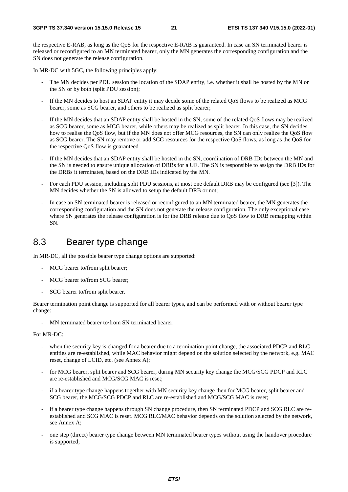the respective E-RAB, as long as the QoS for the respective E-RAB is guaranteed. In case an SN terminated bearer is released or reconfigured to an MN terminated bearer, only the MN generates the corresponding configuration and the SN does not generate the release configuration.

In MR-DC with 5GC, the following principles apply:

- The MN decides per PDU session the location of the SDAP entity, i.e. whether it shall be hosted by the MN or the SN or by both (split PDU session);
- If the MN decides to host an SDAP entity it may decide some of the related QoS flows to be realized as MCG bearer, some as SCG bearer, and others to be realized as split bearer;
- If the MN decides that an SDAP entity shall be hosted in the SN, some of the related OoS flows may be realized as SCG bearer, some as MCG bearer, while others may be realized as split bearer. In this case, the SN decides how to realise the QoS flow, but if the MN does not offer MCG resources, the SN can only realize the QoS flow as SCG bearer. The SN may remove or add SCG resources for the respective QoS flows, as long as the QoS for the respective QoS flow is guaranteed
- If the MN decides that an SDAP entity shall be hosted in the SN, coordination of DRB IDs between the MN and the SN is needed to ensure unique allocation of DRBs for a UE. The SN is responsible to assign the DRB IDs for the DRBs it terminates, based on the DRB IDs indicated by the MN.
- For each PDU session, including split PDU sessions, at most one default DRB may be configured (see [3]). The MN decides whether the SN is allowed to setup the default DRB or not;
- In case an SN terminated bearer is released or reconfigured to an MN terminated bearer, the MN generates the corresponding configuration and the SN does not generate the release configuration. The only exceptional case where SN generates the release configuration is for the DRB release due to QoS flow to DRB remapping within SN.

### 8.3 Bearer type change

In MR-DC, all the possible bearer type change options are supported:

- MCG bearer to/from split bearer;
- MCG bearer to/from SCG bearer:
- SCG bearer to/from split bearer.

Bearer termination point change is supported for all bearer types, and can be performed with or without bearer type change:

- MN terminated bearer to/from SN terminated bearer.

#### For MR-DC:

- when the security key is changed for a bearer due to a termination point change, the associated PDCP and RLC entities are re-established, while MAC behavior might depend on the solution selected by the network, e.g. MAC reset, change of LCID, etc. (see Annex A);
- for MCG bearer, split bearer and SCG bearer, during MN security key change the MCG/SCG PDCP and RLC are re-established and MCG/SCG MAC is reset;
- if a bearer type change happens together with MN security key change then for MCG bearer, split bearer and SCG bearer, the MCG/SCG PDCP and RLC are re-established and MCG/SCG MAC is reset;
- if a bearer type change happens through SN change procedure, then SN terminated PDCP and SCG RLC are reestablished and SCG MAC is reset. MCG RLC/MAC behavior depends on the solution selected by the network, see Annex A;
- one step (direct) bearer type change between MN terminated bearer types without using the handover procedure is supported;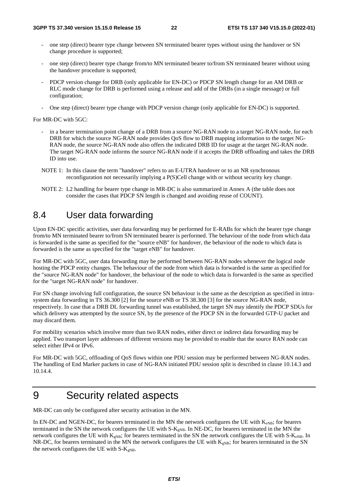- one step (direct) bearer type change between SN terminated bearer types without using the handover or SN change procedure is supported;
- one step (direct) bearer type change from/to MN terminated bearer to/from SN terminated bearer without using the handover procedure is supported;
- PDCP version change for DRB (only applicable for EN-DC) or PDCP SN length change for an AM DRB or RLC mode change for DRB is performed using a release and add of the DRBs (in a single message) or full configuration;
- One step (direct) bearer type change with PDCP version change (only applicable for EN-DC) is supported.

For MR-DC with 5GC:

- in a bearer termination point change of a DRB from a source NG-RAN node to a target NG-RAN node, for each DRB for which the source NG-RAN node provides QoS flow to DRB mapping information to the target NG-RAN node, the source NG-RAN node also offers the indicated DRB ID for usage at the target NG-RAN node. The target NG-RAN node informs the source NG-RAN node if it accepts the DRB offloading and takes the DRB ID into use.
- NOTE 1: In this clause the term "handover" refers to an E-UTRA handover or to an NR synchronous reconfiguration not necessarily implying a P(S)Cell change with or without security key change.
- NOTE 2: L2 handling for bearer type change in MR-DC is also summarized in Annex A (the table does not consider the cases that PDCP SN length is changed and avoiding reuse of COUNT).

## 8.4 User data forwarding

Upon EN-DC specific activities, user data forwarding may be performed for E-RABs for which the bearer type change from/to MN terminated bearer to/from SN terminated bearer is performed. The behaviour of the node from which data is forwarded is the same as specified for the "source eNB" for handover, the behaviour of the node to which data is forwarded is the same as specified for the "target eNB" for handover.

For MR-DC with 5GC, user data forwarding may be performed between NG-RAN nodes whenever the logical node hosting the PDCP entity changes. The behaviour of the node from which data is forwarded is the same as specified for the "source NG-RAN node" for handover, the behaviour of the node to which data is forwarded is the same as specified for the "target NG-RAN node" for handover.

For SN change involving full configuration, the source SN behaviour is the same as the description as specified in intrasystem data forwarding in TS 36.300 [2] for the source eNB or TS 38.300 [3] for the source NG-RAN node, respectively. In case that a DRB DL forwarding tunnel was established, the target SN may identify the PDCP SDUs for which delivery was attempted by the source SN, by the presence of the PDCP SN in the forwarded GTP-U packet and may discard them.

For mobility scenarios which involve more than two RAN nodes, either direct or indirect data forwarding may be applied. Two transport layer addresses of different versions may be provided to enable that the source RAN node can select either IPv4 or IPv6.

For MR-DC with 5GC, offloading of QoS flows within one PDU session may be performed between NG-RAN nodes. The handling of End Marker packets in case of NG-RAN initiated PDU session split is described in clause 10.14.3 and 10.14.4.

## 9 Security related aspects

MR-DC can only be configured after security activation in the MN.

In EN-DC and NGEN-DC, for bearers terminated in the MN the network configures the UE with  $K_{eNB}$ ; for bearers terminated in the SN the network configures the UE with S-K<sub>gNB</sub>. In NE-DC, for bearers terminated in the MN the network configures the UE with  $K_{gNB}$ ; for bearers terminated in the SN the network configures the UE with S- $K_{eNB}$ . In NR-DC, for bearers terminated in the MN the network configures the UE with  $K_{\text{eNB}}$ ; for bearers terminated in the SN the network configures the UE with  $S-K<sub>gNB</sub>$ .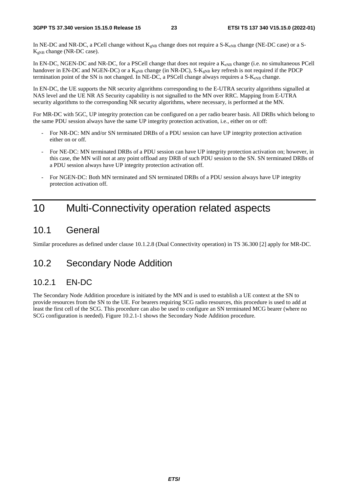In NE-DC and NR-DC, a PCell change without  $K_{gNB}$  change does not require a S- $K_{eNB}$  change (NE-DC case) or a S- $K_{eNB}$  change (NR-DC case).

In EN-DC, NGEN-DC and NR-DC, for a PSCell change that does not require a K<sub>eNB</sub> change (i.e. no simultaneous PCell handover in EN-DC and NGEN-DC) or a  $K_{gNB}$  change (in NR-DC), S- $K_{gNB}$  key refresh is not required if the PDCP termination point of the SN is not changed. In NE-DC, a PSCell change always requires a  $S-K_{eNB}$  change.

In EN-DC, the UE supports the NR security algorithms corresponding to the E-UTRA security algorithms signalled at NAS level and the UE NR AS Security capability is not signalled to the MN over RRC. Mapping from E-UTRA security algorithms to the corresponding NR security algorithms, where necessary, is performed at the MN.

For MR-DC with 5GC, UP integrity protection can be configured on a per radio bearer basis. All DRBs which belong to the same PDU session always have the same UP integrity protection activation, i.e., either on or off:

- For NR-DC: MN and/or SN terminated DRBs of a PDU session can have UP integrity protection activation either on or off.
- For NE-DC: MN terminated DRBs of a PDU session can have UP integrity protection activation on; however, in this case, the MN will not at any point offload any DRB of such PDU session to the SN. SN terminated DRBs of a PDU session always have UP integrity protection activation off.
- For NGEN-DC: Both MN terminated and SN terminated DRBs of a PDU session always have UP integrity protection activation off.

## 10 Multi-Connectivity operation related aspects

### 10.1 General

Similar procedures as defined under clause 10.1.2.8 (Dual Connectivity operation) in TS 36.300 [2] apply for MR-DC.

## 10.2 Secondary Node Addition

### 10.2.1 EN-DC

The Secondary Node Addition procedure is initiated by the MN and is used to establish a UE context at the SN to provide resources from the SN to the UE. For bearers requiring SCG radio resources, this procedure is used to add at least the first cell of the SCG. This procedure can also be used to configure an SN terminated MCG bearer (where no SCG configuration is needed). Figure 10.2.1-1 shows the Secondary Node Addition procedure.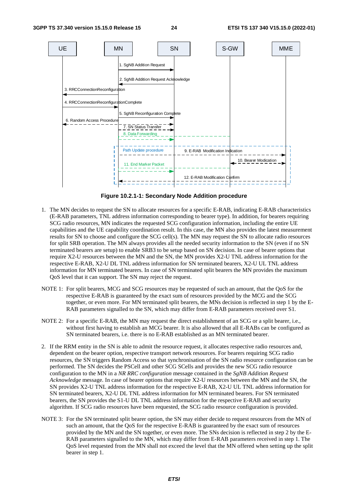

**Figure 10.2.1-1: Secondary Node Addition procedure** 

- 1. The MN decides to request the SN to allocate resources for a specific E-RAB, indicating E-RAB characteristics (E-RAB parameters, TNL address information corresponding to bearer type). In addition, for bearers requiring SCG radio resources, MN indicates the requested SCG configuration information, including the entire UE capabilities and the UE capability coordination result. In this case, the MN also provides the latest measurement results for SN to choose and configure the SCG cell(s). The MN may request the SN to allocate radio resources for split SRB operation. The MN always provides all the needed security information to the SN (even if no SN terminated bearers are setup) to enable SRB3 to be setup based on SN decision. In case of bearer options that require X2-U resources between the MN and the SN, the MN provides X2-U TNL address information for the respective E-RAB, X2-U DL TNL address information for SN terminated bearers, X2-U UL TNL address information for MN terminated bearers. In case of SN terminated split bearers the MN provides the maximum QoS level that it can support. The SN may reject the request.
- NOTE 1: For split bearers, MCG and SCG resources may be requested of such an amount, that the QoS for the respective E-RAB is guaranteed by the exact sum of resources provided by the MCG and the SCG together, or even more. For MN terminated split bearers, the MNs decision is reflected in step 1 by the E-RAB parameters signalled to the SN, which may differ from E-RAB parameters received over S1.
- NOTE 2: For a specific E-RAB, the MN may request the direct establishment of an SCG or a split bearer, i.e., without first having to establish an MCG bearer. It is also allowed that all E-RABs can be configured as SN terminated bearers, i.e. there is no E-RAB established as an MN terminated bearer.
- 2. If the RRM entity in the SN is able to admit the resource request, it allocates respective radio resources and, dependent on the bearer option, respective transport network resources. For bearers requiring SCG radio resources, the SN triggers Random Access so that synchronisation of the SN radio resource configuration can be performed. The SN decides the PSCell and other SCG SCells and provides the new SCG radio resource configuration to the MN in a *NR RRC configuration* message contained in the *SgNB Addition Request Acknowledge* message. In case of bearer options that require X2-U resources between the MN and the SN, the SN provides X2-U TNL address information for the respective E-RAB, X2-U UL TNL address information for SN terminated bearers, X2-U DL TNL address information for MN terminated bearers. For SN terminated bearers, the SN provides the S1-U DL TNL address information for the respective E-RAB and security algorithm. If SCG radio resources have been requested, the SCG radio resource configuration is provided.
- NOTE 3: For the SN terminated split bearer option, the SN may either decide to request resources from the MN of such an amount, that the QoS for the respective E-RAB is guaranteed by the exact sum of resources provided by the MN and the SN together, or even more. The SNs decision is reflected in step 2 by the E-RAB parameters signalled to the MN, which may differ from E-RAB parameters received in step 1. The QoS level requested from the MN shall not exceed the level that the MN offered when setting up the split bearer in step 1.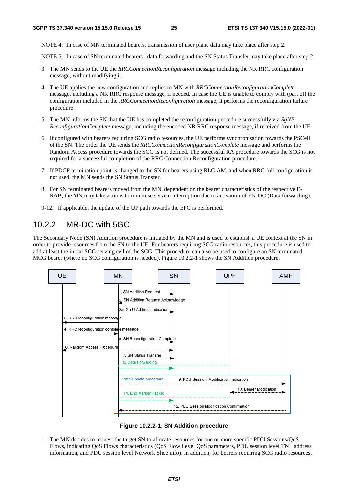NOTE 4: In case of MN terminated bearers, transmission of user plane data may take place after step 2.

NOTE 5: In case of SN terminated bearers , data forwarding and the SN Status Transfer may take place after step 2.

- 3. The MN sends to the UE the *RRCConnectionReconfiguration* message including the NR RRC configuration message, without modifying it.
- 4. The UE applies the new configuration and replies to MN with *RRCConnectionReconfigurationComplete* message, including a NR RRC response message, if needed. In case the UE is unable to comply with (part of) the configuration included in the *RRCConnectionReconfiguration* message, it performs the reconfiguration failure procedure.
- 5. The MN informs the SN that the UE has completed the reconfiguration procedure successfully via *SgNB ReconfigurationComplete* message, including the encoded NR RRC response message, if received from the UE.
- 6. If configured with bearers requiring SCG radio resources, the UE performs synchronisation towards the PSCell of the SN. The order the UE sends the *RRCConnectionReconfigurationComplete* message and performs the Random Access procedure towards the SCG is not defined. The successful RA procedure towards the SCG is not required for a successful completion of the RRC Connection Reconfiguration procedure.
- 7. If PDCP termination point is changed to the SN for bearers using RLC AM, and when RRC full configuration is not used, the MN sends the SN Status Transfer.
- 8. For SN terminated bearers moved from the MN, dependent on the bearer characteristics of the respective E-RAB, the MN may take actions to minimise service interruption due to activation of EN-DC (Data forwarding).
- 9-12. If applicable, the update of the UP path towards the EPC is performed.

### 10.2.2 MR-DC with 5GC

The Secondary Node (SN) Addition procedure is initiated by the MN and is used to establish a UE context at the SN in order to provide resources from the SN to the UE. For bearers requiring SCG radio resources, this procedure is used to add at least the initial SCG serving cell of the SCG. This procedure can also be used to configure an SN terminated MCG bearer (where no SCG configuration is needed). Figure 10.2.2-1 shows the SN Addition procedure.



**Figure 10.2.2-1: SN Addition procedure** 

1. The MN decides to request the target SN to allocate resources for one or more specific PDU Sessions/QoS Flows, indicating QoS Flows characteristics (QoS Flow Level QoS parameters, PDU session level TNL address information, and PDU session level Network Slice info). In addition, for bearers requiring SCG radio resources,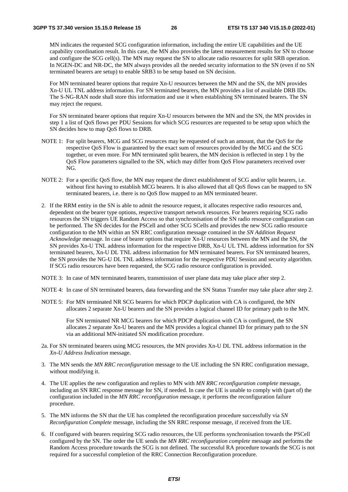MN indicates the requested SCG configuration information, including the entire UE capabilities and the UE capability coordination result. In this case, the MN also provides the latest measurement results for SN to choose and configure the SCG cell(s). The MN may request the SN to allocate radio resources for split SRB operation. In NGEN-DC and NR-DC, the MN always provides all the needed security information to the SN (even if no SN terminated bearers are setup) to enable SRB3 to be setup based on SN decision.

 For MN terminated bearer options that require Xn-U resources between the MN and the SN, the MN provides Xn-U UL TNL address information. For SN terminated bearers, the MN provides a list of available DRB IDs. The S-NG-RAN node shall store this information and use it when establishing SN terminated bearers. The SN may reject the request.

 For SN terminated bearer options that require Xn-U resources between the MN and the SN, the MN provides in step 1 a list of QoS flows per PDU Sessions for which SCG resources are requested to be setup upon which the SN decides how to map QoS flows to DRB.

- NOTE 1: For split bearers, MCG and SCG resources may be requested of such an amount, that the QoS for the respective QoS Flow is guaranteed by the exact sum of resources provided by the MCG and the SCG together, or even more. For MN terminated split bearers, the MN decision is reflected in step 1 by the QoS Flow parameters signalled to the SN, which may differ from QoS Flow parameters received over NG.
- NOTE 2: For a specific QoS flow, the MN may request the direct establishment of SCG and/or split bearers, i.e. without first having to establish MCG bearers. It is also allowed that all QoS flows can be mapped to SN terminated bearers, i.e. there is no QoS flow mapped to an MN terminated bearer.
- 2. If the RRM entity in the SN is able to admit the resource request, it allocates respective radio resources and, dependent on the bearer type options, respective transport network resources. For bearers requiring SCG radio resources the SN triggers UE Random Access so that synchronisation of the SN radio resource configuration can be performed. The SN decides for the PSCell and other SCG SCells and provides the new SCG radio resource configuration to the MN within an SN RRC configuration message contained in the *SN Addition Request Acknowledge* message. In case of bearer options that require Xn-U resources between the MN and the SN, the SN provides Xn-U TNL address information for the respective DRB, Xn-U UL TNL address information for SN terminated bearers, Xn-U DL TNL address information for MN terminated bearers. For SN terminated bearers, the SN provides the NG-U DL TNL address information for the respective PDU Session and security algorithm. If SCG radio resources have been requested, the SCG radio resource configuration is provided.
- NOTE 3: In case of MN terminated bearers, transmission of user plane data may take place after step 2.
- NOTE 4: In case of SN terminated bearers, data forwarding and the SN Status Transfer may take place after step 2.
- NOTE 5: For MN terminated NR SCG bearers for which PDCP duplication with CA is configured, the MN allocates 2 separate Xn-U bearers and the SN provides a logical channel ID for primary path to the MN.

 For SN terminated NR MCG bearers for which PDCP duplication with CA is configured, the SN allocates 2 separate Xn-U bearers and the MN provides a logical channel ID for primary path to the SN via an additional MN-initiated SN modification procedure.

- 2a. For SN terminated bearers using MCG resources, the MN provides Xn-U DL TNL address information in the *Xn-U Address Indication* message.
- 3. The MN sends the *MN RRC reconfiguration* message to the UE including the SN RRC configuration message, without modifying it.
- 4. The UE applies the new configuration and replies to MN with *MN RRC reconfiguration complete* message, including an SN RRC response message for SN, if needed. In case the UE is unable to comply with (part of) the configuration included in the *MN RRC reconfiguration* message, it performs the reconfiguration failure procedure.
- 5. The MN informs the SN that the UE has completed the reconfiguration procedure successfully via *SN Reconfiguration Complete* message, including the SN RRC response message, if received from the UE.
- 6. If configured with bearers requiring SCG radio resources, the UE performs synchronisation towards the PSCell configured by the SN. The order the UE sends the *MN RRC reconfiguration complete* message and performs the Random Access procedure towards the SCG is not defined. The successful RA procedure towards the SCG is not required for a successful completion of the RRC Connection Reconfiguration procedure.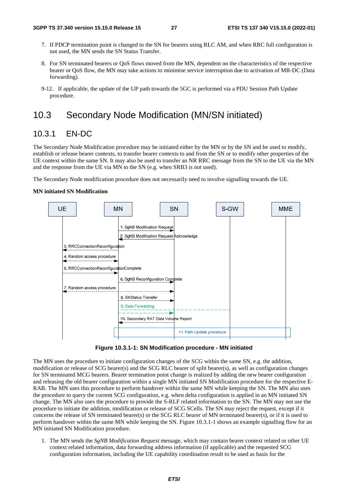- 7. If PDCP termination point is changed to the SN for bearers using RLC AM, and when RRC full configuration is not used, the MN sends the SN Status Transfer.
- 8. For SN terminated bearers or QoS flows moved from the MN, dependent on the characteristics of the respective bearer or QoS flow, the MN may take actions to minimise service interruption due to activation of MR-DC (Data forwarding).
- 9-12. If applicable, the update of the UP path towards the 5GC is performed via a PDU Session Path Update procedure*.*

## 10.3 Secondary Node Modification (MN/SN initiated)

### 10.3.1 EN-DC

The Secondary Node Modification procedure may be initiated either by the MN or by the SN and be used to modify, establish or release bearer contexts, to transfer bearer contexts to and from the SN or to modify other properties of the UE context within the same SN. It may also be used to transfer an NR RRC message from the SN to the UE via the MN and the response from the UE via MN to the SN (e.g. when SRB3 is not used).

The Secondary Node modification procedure does not necessarily need to involve signalling towards the UE.

#### **MN initiated SN Modification**



**Figure 10.3.1-1: SN Modification procedure - MN initiated** 

The MN uses the procedure to initiate configuration changes of the SCG within the same SN, e.g. the addition, modification or release of SCG bearer(s) and the SCG RLC bearer of split bearer(s), as well as configuration changes for SN terminated MCG bearers. Bearer termination point change is realized by adding the new bearer configuration and releasing the old bearer configuration within a single MN initiated SN Modification procedure for the respective E-RAB. The MN uses this procedure to perform handover within the same MN while keeping the SN. The MN also uses the procedure to query the current SCG configuration, e.g. when delta configuration is applied in an MN initiated SN change. The MN also uses the procedure to provide the S-RLF related information to the SN. The MN may not use the procedure to initiate the addition, modification or release of SCG SCells. The SN may reject the request, except if it concerns the release of SN terminated bearer(s) or the SCG RLC bearer of MN terminated bearer(s), or if it is used to perform handover within the same MN while keeping the SN. Figure 10.3.1-1 shows an example signalling flow for an MN initiated SN Modification procedure.

1. The MN sends the *SgNB Modification Request* message, which may contain bearer context related or other UE context related information, data forwarding address information (if applicable) and the requested SCG configuration information, including the UE capability coordination result to be used as basis for the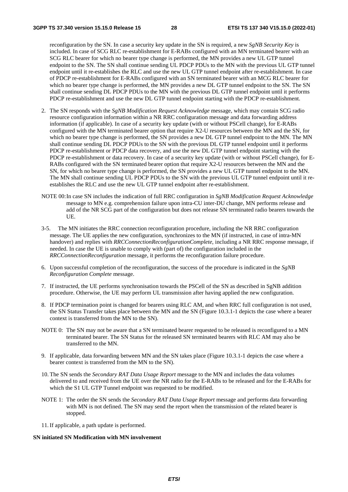reconfiguration by the SN. In case a security key update in the SN is required, a new *SgNB Security Key* is included. In case of SCG RLC re-establishment for E-RABs configured with an MN terminated bearer with an SCG RLC bearer for which no bearer type change is performed, the MN provides a new UL GTP tunnel endpoint to the SN. The SN shall continue sending UL PDCP PDUs to the MN with the previous UL GTP tunnel endpoint until it re-establishes the RLC and use the new UL GTP tunnel endpoint after re-establishment. In case of PDCP re-establishment for E-RABs configured with an SN terminated bearer with an MCG RLC bearer for which no bearer type change is performed, the MN provides a new DL GTP tunnel endpoint to the SN. The SN shall continue sending DL PDCP PDUs to the MN with the previous DL GTP tunnel endpoint until it performs PDCP re-establishment and use the new DL GTP tunnel endpoint starting with the PDCP re-establishment.

- 2. The SN responds with the *SgNB Modification Request Acknowledge* message, which may contain SCG radio resource configuration information within a NR RRC configuration message and data forwarding address information (if applicable). In case of a security key update (with or without PSCell change), for E-RABs configured with the MN terminated bearer option that require X2-U resources between the MN and the SN, for which no bearer type change is performed, the SN provides a new DL GTP tunnel endpoint to the MN. The MN shall continue sending DL PDCP PDUs to the SN with the previous DL GTP tunnel endpoint until it performs PDCP re-establishment or PDCP data recovery, and use the new DL GTP tunnel endpoint starting with the PDCP re-establishment or data recovery. In case of a security key update (with or without PSCell change), for E-RABs configured with the SN terminated bearer option that require X2-U resources between the MN and the SN, for which no bearer type change is performed, the SN provides a new UL GTP tunnel endpoint to the MN. The MN shall continue sending UL PDCP PDUs to the SN with the previous UL GTP tunnel endpoint until it reestablishes the RLC and use the new UL GTP tunnel endpoint after re-establishment.
- NOTE 00: In case SN includes the indication of full RRC configuration in *SgNB Modification Request Acknowledge* message to MN e.g. comprehension failure upon intra-CU inter-DU change, MN performs release and add of the NR SCG part of the configuration but does not release SN terminated radio bearers towards the UE.
- 3-5. The MN initiates the RRC connection reconfiguration procedure, including the NR RRC configuration message. The UE applies the new configuration, synchronizes to the MN (if instructed, in case of intra-MN handover) and replies with *RRCConnectionReconfigurationComplete*, including a NR RRC response message, if needed. In case the UE is unable to comply with (part of) the configuration included in the *RRCConnectionReconfiguration* message, it performs the reconfiguration failure procedure.
- 6. Upon successful completion of the reconfiguration, the success of the procedure is indicated in the *SgNB Reconfiguration Complete* message.
- 7. If instructed, the UE performs synchronisation towards the PSCell of the SN as described in SgNB addition procedure. Otherwise, the UE may perform UL transmission after having applied the new configuration.
- 8. If PDCP termination point is changed for bearers using RLC AM, and when RRC full configuration is not used, the SN Status Transfer takes place between the MN and the SN (Figure 10.3.1-1 depicts the case where a bearer context is transferred from the MN to the SN).
- NOTE 0: The SN may not be aware that a SN terminated bearer requested to be released is reconfigured to a MN terminated bearer. The SN Status for the released SN terminated bearers with RLC AM may also be transferred to the MN.
- 9. If applicable, data forwarding between MN and the SN takes place (Figure 10.3.1-1 depicts the case where a bearer context is transferred from the MN to the SN).
- 10. The SN sends the *Secondary RAT Data Usage Report* message to the MN and includes the data volumes delivered to and received from the UE over the NR radio for the E-RABs to be released and for the E-RABs for which the S1 UL GTP Tunnel endpoint was requested to be modified.
- NOTE 1: The order the SN sends the *Secondary RAT Data Usage Report* message and performs data forwarding with MN is not defined. The SN may send the report when the transmission of the related bearer is stopped.
- 11. If applicable, a path update is performed.

#### **SN initiated SN Modification with MN involvement**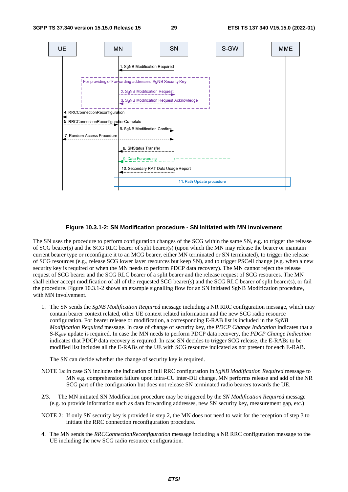

#### **Figure 10.3.1-2: SN Modification procedure - SN initiated with MN involvement**

The SN uses the procedure to perform configuration changes of the SCG within the same SN, e.g. to trigger the release of SCG bearer(s) and the SCG RLC bearer of split bearer(s) (upon which the MN may release the bearer or maintain current bearer type or reconfigure it to an MCG bearer, either MN terminated or SN terminated), to trigger the release of SCG resources (e.g., release SCG lower layer resources but keep SN), and to trigger PSCell change (e.g. when a new security key is required or when the MN needs to perform PDCP data recovery). The MN cannot reject the release request of SCG bearer and the SCG RLC bearer of a split bearer and the release request of SCG resources. The MN shall either accept modification of all of the requested SCG bearer(s) and the SCG RLC bearer of split bearer(s), or fail the procedure. Figure 10.3.1-2 shows an example signalling flow for an SN initiated SgNB Modification procedure, with MN involvement.

1. The SN sends the *SgNB Modification Required* message including a NR RRC configuration message, which may contain bearer context related, other UE context related information and the new SCG radio resource configuration. For bearer release or modification, a corresponding E-RAB list is included in the *SgNB Modification Required* message. In case of change of security key, the *PDCP Change Indication* indicates that a S-KgNB update is required. In case the MN needs to perform PDCP data recovery, the *PDCP Change Indication* indicates that PDCP data recovery is required. In case SN decides to trigger SCG release, the E-RABs to be modified list includes all the E-RABs of the UE with SCG resource indicated as not present for each E-RAB.

The SN can decide whether the change of security key is required.

- NOTE 1a: In case SN includes the indication of full RRC configuration in *SgNB Modification Required* message to MN e.g. comprehension failure upon intra-CU inter-DU change, MN performs release and add of the NR SCG part of the configuration but does not release SN terminated radio bearers towards the UE.
- 2/3. The MN initiated SN Modification procedure may be triggered by the *SN Modification Required* message (e.g. to provide information such as data forwarding addresses, new SN security key, measurement gap, etc.)
- NOTE 2: If only SN security key is provided in step 2, the MN does not need to wait for the reception of step 3 to initiate the RRC connection reconfiguration procedure.
- 4. The MN sends the *RRCConnectionReconfiguration* message including a NR RRC configuration message to the UE including the new SCG radio resource configuration.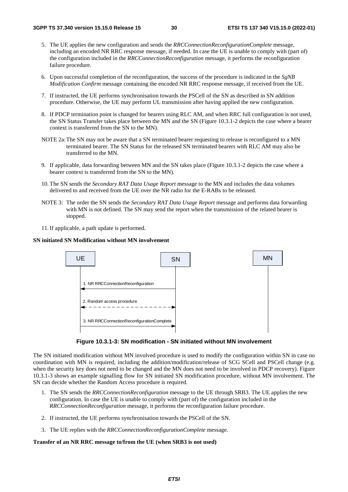- 5. The UE applies the new configuration and sends the *RRCConnectionReconfigurationComplete* message, including an encoded NR RRC response message, if needed. In case the UE is unable to comply with (part of) the configuration included in the *RRCConnectionReconfiguration* message, it performs the reconfiguration failure procedure.
- 6. Upon successful completion of the reconfiguration, the success of the procedure is indicated in the *SgNB Modification Confirm* message containing the encoded NR RRC response message, if received from the UE.
- 7. If instructed, the UE performs synchronisation towards the PSCell of the SN as described in SN addition procedure. Otherwise, the UE may perform UL transmission after having applied the new configuration.
- 8. If PDCP termination point is changed for bearers using RLC AM, and when RRC full configuration is not used, the SN Status Transfer takes place between the MN and the SN (Figure 10.3.1-2 depicts the case where a bearer context is transferred from the SN to the MN).
- NOTE 2a: The SN may not be aware that a SN terminated bearer requesting to release is reconfigured to a MN terminated bearer. The SN Status for the released SN terminated bearers with RLC AM may also be transferred to the MN.
- 9. If applicable, data forwarding between MN and the SN takes place (Figure 10.3.1-2 depicts the case where a bearer context is transferred from the SN to the MN).
- 10. The SN sends the *Secondary RAT Data Usage Report* message to the MN and includes the data volumes delivered to and received from the UE over the NR radio for the E-RABs to be released.
- NOTE 3: The order the SN sends the *Secondary RAT Data Usage Report* message and performs data forwarding with MN is not defined. The SN may send the report when the transmission of the related bearer is stopped.
- 11. If applicable, a path update is performed.

#### **SN initiated SN Modification without MN involvement**





The SN initiated modification without MN involved procedure is used to modify the configuration within SN in case no coordination with MN is required, including the addition/modification/release of SCG SCell and PSCell change (e.g. when the security key does not need to be changed and the MN does not need to be involved in PDCP recovery). Figure 10.3.1-3 shows an example signalling flow for SN initiated SN modification procedure, without MN involvement. The SN can decide whether the Random Access procedure is required.

- 1. The SN sends the *RRCConnectionReconfiguration* message to the UE through SRB3. The UE applies the new configuration. In case the UE is unable to comply with (part of) the configuration included in the *RRCConnectionReconfiguration* message, it performs the reconfiguration failure procedure.
- 2. If instructed, the UE performs synchronisation towards the PSCell of the SN.
- 3. The UE replies with the *RRCConnectionReconfigurationComplete* message.

#### **Transfer of an NR RRC message to/from the UE (when SRB3 is not used)**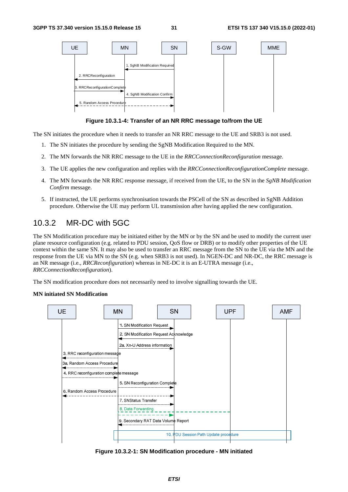

**Figure 10.3.1-4: Transfer of an NR RRC message to/from the UE** 

The SN initiates the procedure when it needs to transfer an NR RRC message to the UE and SRB3 is not used.

- 1. The SN initiates the procedure by sending the SgNB Modification Required to the MN.
- 2. The MN forwards the NR RRC message to the UE in the *RRCConnectionReconfiguration* message.
- 3. The UE applies the new configuration and replies with the *RRCConnectionReconfigurationComplete* message.
- 4. The MN forwards the NR RRC response message, if received from the UE, to the SN in the *SgNB Modification Confirm* message.
- 5. If instructed, the UE performs synchronisation towards the PSCell of the SN as described in SgNB Addition procedure. Otherwise the UE may perform UL transmission after having applied the new configuration.

### 10.3.2 MR-DC with 5GC

The SN Modification procedure may be initiated either by the MN or by the SN and be used to modify the current user plane resource configuration (e.g. related to PDU session, QoS flow or DRB) or to modify other properties of the UE context within the same SN. It may also be used to transfer an RRC message from the SN to the UE via the MN and the response from the UE via MN to the SN (e.g. when SRB3 is not used). In NGEN-DC and NR-DC, the RRC message is an NR message (i.e., *RRCReconfiguration*) whereas in NE-DC it is an E-UTRA message (i.e., *RRCConnectionReconfiguration*).

The SN modification procedure does not necessarily need to involve signalling towards the UE.

#### **MN initiated SN Modification**



**Figure 10.3.2-1: SN Modification procedure - MN initiated**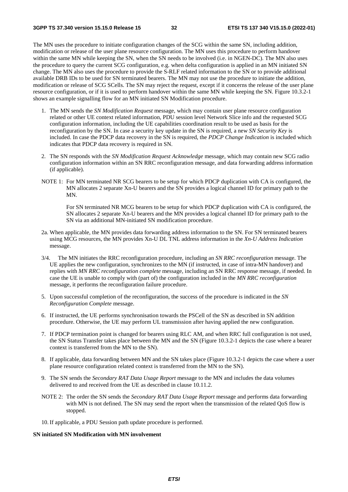The MN uses the procedure to initiate configuration changes of the SCG within the same SN, including addition, modification or release of the user plane resource configuration. The MN uses this procedure to perform handover within the same MN while keeping the SN, when the SN needs to be involved (i.e. in NGEN-DC). The MN also uses the procedure to query the current SCG configuration, e.g. when delta configuration is applied in an MN initiated SN change. The MN also uses the procedure to provide the S-RLF related information to the SN or to provide additional available DRB IDs to be used for SN terminated bearers. The MN may not use the procedure to initiate the addition, modification or release of SCG SCells. The SN may reject the request, except if it concerns the release of the user plane resource configuration, or if it is used to perform handover within the same MN while keeping the SN. Figure 10.3.2-1 shows an example signalling flow for an MN initiated SN Modification procedure.

- 1. The MN sends the *SN Modification Request* message, which may contain user plane resource configuration related or other UE context related information, PDU session level Network Slice info and the requested SCG configuration information, including the UE capabilities coordination result to be used as basis for the reconfiguration by the SN. In case a security key update in the SN is required, a new *SN Security Key* is included. In case the PDCP data recovery in the SN is required, the *PDCP Change Indication* is included which indicates that PDCP data recovery is required in SN.
- 2. The SN responds with the *SN Modification Request Acknowledge* message, which may contain new SCG radio configuration information within an SN RRC reconfiguration message*,* and data forwarding address information (if applicable).
- NOTE 1: For MN terminated NR SCG bearers to be setup for which PDCP duplication with CA is configured, the MN allocates 2 separate Xn-U bearers and the SN provides a logical channel ID for primary path to the MN.

 For SN terminated NR MCG bearers to be setup for which PDCP duplication with CA is configured, the SN allocates 2 separate Xn-U bearers and the MN provides a logical channel ID for primary path to the SN via an additional MN-initiated SN modification procedure.

- 2a. When applicable, the MN provides data forwarding address information to the SN. For SN terminated bearers using MCG resources, the MN provides Xn-U DL TNL address information in the *Xn-U Address Indication* message.
- 3/4. The MN initiates the RRC reconfiguration procedure, including an *SN RRC reconfiguration* message. The UE applies the new configuration, synchronizes to the MN (if instructed, in case of intra-MN handover) and replies with *MN RRC reconfiguration complete* message, including an SN RRC response message, if needed. In case the UE is unable to comply with (part of) the configuration included in the *MN RRC reconfiguration* message, it performs the reconfiguration failure procedure.
- 5. Upon successful completion of the reconfiguration, the success of the procedure is indicated in the *SN Reconfiguration Complete* message.
- 6. If instructed, the UE performs synchronisation towards the PSCell of the SN as described in SN addition procedure. Otherwise, the UE may perform UL transmission after having applied the new configuration.
- 7. If PDCP termination point is changed for bearers using RLC AM, and when RRC full configuration is not used, the SN Status Transfer takes place between the MN and the SN (Figure 10.3.2-1 depicts the case where a bearer context is transferred from the MN to the SN).
- 8. If applicable, data forwarding between MN and the SN takes place (Figure 10.3.2-1 depicts the case where a user plane resource configuration related context is transferred from the MN to the SN).
- 9. The SN sends the *Secondary RAT Data Usage Report* message to the MN and includes the data volumes delivered to and received from the UE as described in clause 10.11.2.
- NOTE 2: The order the SN sends the *Secondary RAT Data Usage Report* message and performs data forwarding with MN is not defined. The SN may send the report when the transmission of the related QoS flow is stopped.
- 10. If applicable, a PDU Session path update procedure is performed.

#### **SN initiated SN Modification with MN involvement**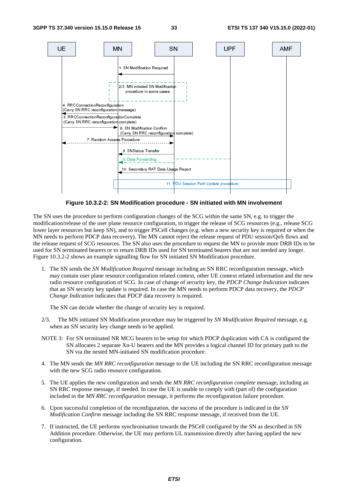

**Figure 10.3.2-2: SN Modification procedure - SN initiated with MN involvement** 

The SN uses the procedure to perform configuration changes of the SCG within the same SN, e.g. to trigger the modification/release of the user plane resource configuration, to trigger the release of SCG resources (e.g., release SCG lower layer resources but keep SN), and to trigger PSCell changes (e.g. when a new security key is required or when the MN needs to perform PDCP data recovery). The MN cannot reject the release request of PDU session/QoS flows and the release request of SCG resources. The SN also uses the procedure to request the MN to provide more DRB IDs to be used for SN terminated bearers or to return DRB IDs used for SN terminated bearers that are not needed any longer. Figure 10.3.2-2 shows an example signalling flow for SN initiated SN Modification procedure.

1. The SN sends the *SN Modification Required* message including an SN RRC reconfiguration message, which may contain user plane resource configuration related context, other UE context related information and the new radio resource configuration of SCG. In case of change of security key, the *PDCP Change Indication* indicates that an SN security key update is required. In case the MN needs to perform PDCP data recovery, the *PDCP Change Indication* indicates that PDCP data recovery is required.

The SN can decide whether the change of security key is required.

- 2/3. The MN initiated SN Modification procedure may be triggered by *SN Modification Required* message, e.g. when an SN security key change needs to be applied.
- NOTE 3: For SN terminated NR MCG bearers to be setup for which PDCP duplication with CA is configured the SN allocates 2 separate Xn-U bearers and the MN provides a logical channel ID for primary path to the SN via the nested MN-initiated SN modification procedure.
- 4. The MN sends the *MN RRC reconfiguration* message to the UE including the SN RRC reconfiguration message with the new SCG radio resource configuration.
- 5. The UE applies the new configuration and sends the *MN RRC reconfiguration complete* message, including an SN RRC response message, if needed. In case the UE is unable to comply with (part of) the configuration included in the *MN RRC reconfiguration* message, it performs the reconfiguration failure procedure.
- 6. Upon successful completion of the reconfiguration, the success of the procedure is indicated in the *SN Modification Confirm* message including the SN RRC response message, if received from the UE.
- 7. If instructed, the UE performs synchronisation towards the PSCell configured by the SN as described in SN Addition procedure. Otherwise, the UE may perform UL transmission directly after having applied the new configuration.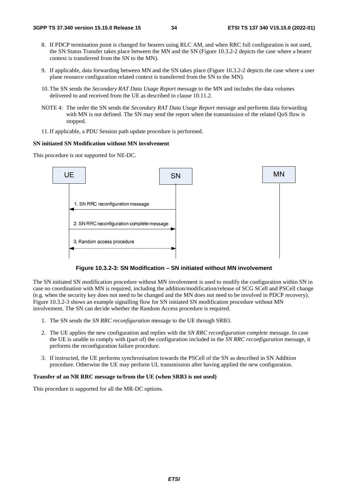- 8. If PDCP termination point is changed for bearers using RLC AM, and when RRC full configuration is not used, the SN Status Transfer takes place between the MN and the SN (Figure 10.3.2-2 depicts the case where a bearer context is transferred from the SN to the MN).
- 9. If applicable, data forwarding between MN and the SN takes place (Figure 10.3.2-2 depicts the case where a user plane resource configuration related context is transferred from the SN to the MN).
- 10. The SN sends the *Secondary RAT Data Usage Report* message to the MN and includes the data volumes delivered to and received from the UE as described in clause 10.11.2.
- NOTE 4: The order the SN sends the *Secondary RAT Data Usage Report* message and performs data forwarding with MN is not defined. The SN may send the report when the transmission of the related QoS flow is stopped.
- 11. If applicable, a PDU Session path update procedure is performed.

#### **SN initiated SN Modification without MN involvement**

This procedure is not supported for NE-DC.



**Figure 10.3.2-3: SN Modification – SN initiated without MN involvement** 

The SN initiated SN modification procedure without MN involvement is used to modify the configuration within SN in case no coordination with MN is required, including the addition/modification/release of SCG SCell and PSCell change (e.g. when the security key does not need to be changed and the MN does not need to be involved in PDCP recovery). Figure 10.3.2-3 shows an example signalling flow for SN initiated SN modification procedure without MN involvement. The SN can decide whether the Random Access procedure is required.

- 1. The SN sends the *SN RRC reconfiguration* message to the UE through SRB3.
- 2. The UE applies the new configuration and replies with the *SN RRC reconfiguration complete* message. In case the UE is unable to comply with (part of) the configuration included in the *SN RRC reconfiguration* message, it performs the reconfiguration failure procedure.
- 3. If instructed, the UE performs synchronisation towards the PSCell of the SN as described in SN Addition procedure. Otherwise the UE may perform UL transmission after having applied the new configuration.

#### **Transfer of an NR RRC message to/from the UE (when SRB3 is not used)**

This procedure is supported for all the MR-DC options.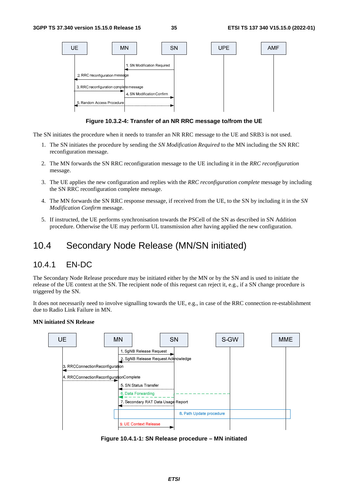

**Figure 10.3.2-4: Transfer of an NR RRC message to/from the UE** 

The SN initiates the procedure when it needs to transfer an NR RRC message to the UE and SRB3 is not used.

- 1. The SN initiates the procedure by sending the *SN Modification Required* to the MN including the SN RRC reconfiguration message.
- 2. The MN forwards the SN RRC reconfiguration message to the UE including it in the *RRC reconfiguration*  message.
- 3. The UE applies the new configuration and replies with the *RRC reconfiguration complete* message by including the SN RRC reconfiguration complete message.
- 4. The MN forwards the SN RRC response message, if received from the UE, to the SN by including it in the *SN Modification Confirm* message.
- 5. If instructed, the UE performs synchronisation towards the PSCell of the SN as described in SN Addition procedure. Otherwise the UE may perform UL transmission after having applied the new configuration.

### 10.4 Secondary Node Release (MN/SN initiated)

### 10.4.1 EN-DC

The Secondary Node Release procedure may be initiated either by the MN or by the SN and is used to initiate the release of the UE context at the SN. The recipient node of this request can reject it, e.g., if a SN change procedure is triggered by the SN.

It does not necessarily need to involve signalling towards the UE, e.g., in case of the RRC connection re-establishment due to Radio Link Failure in MN.

#### **MN initiated SN Release**



**Figure 10.4.1-1: SN Release procedure – MN initiated**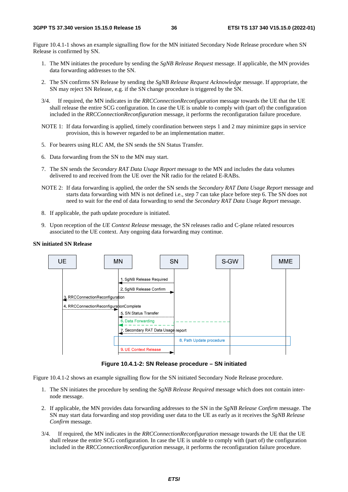Figure 10.4.1-1 shows an example signalling flow for the MN initiated Secondary Node Release procedure when SN Release is confirmed by SN.

- 1. The MN initiates the procedure by sending the *SgNB Release Request* message. If applicable, the MN provides data forwarding addresses to the SN.
- 2. The SN confirms SN Release by sending the *SgNB Release Request Acknowledge* message. If appropriate, the SN may reject SN Release, e.g. if the SN change procedure is triggered by the SN.
- 3/4. If required, the MN indicates in the *RRCConnectionReconfiguration* message towards the UE that the UE shall release the entire SCG configuration. In case the UE is unable to comply with (part of) the configuration included in the *RRCConnectionReconfiguration* message, it performs the reconfiguration failure procedure.
- NOTE 1: If data forwarding is applied, timely coordination between steps 1 and 2 may minimize gaps in service provision, this is however regarded to be an implementation matter.
- 5. For bearers using RLC AM, the SN sends the SN Status Transfer.
- 6. Data forwarding from the SN to the MN may start.
- 7. The SN sends the *Secondary RAT Data Usage Report* message to the MN and includes the data volumes delivered to and received from the UE over the NR radio for the related E-RABs.
- NOTE 2: If data forwarding is applied, the order the SN sends the *Secondary RAT Data Usage Report* message and starts data forwarding with MN is not defined i.e., step 7 can take place before step 6. The SN does not need to wait for the end of data forwarding to send the *Secondary RAT Data Usage Report* message.
- 8. If applicable, the path update procedure is initiated.
- 9. Upon reception of the *UE Context Release* message, the SN releases radio and C-plane related resources associated to the UE context. Any ongoing data forwarding may continue.

#### **SN initiated SN Release**



**Figure 10.4.1-2: SN Release procedure – SN initiated** 

Figure 10.4.1-2 shows an example signalling flow for the SN initiated Secondary Node Release procedure.

- 1. The SN initiates the procedure by sending the *SgNB Release Required* message which does not contain internode message.
- 2. If applicable, the MN provides data forwarding addresses to the SN in the *SgNB Release Confirm* message. The SN may start data forwarding and stop providing user data to the UE as early as it receives the *SgNB Release Confirm* message.
- 3/4. If required, the MN indicates in the *RRCConnectionReconfiguration* message towards the UE that the UE shall release the entire SCG configuration. In case the UE is unable to comply with (part of) the configuration included in the *RRCConnectionReconfiguration* message, it performs the reconfiguration failure procedure.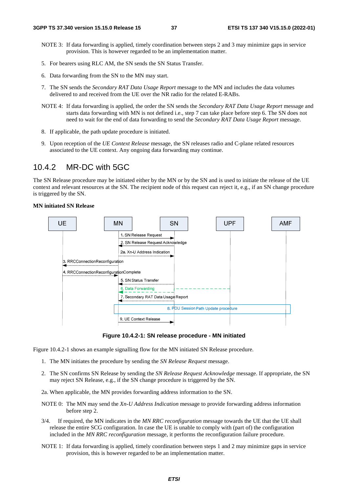- NOTE 3: If data forwarding is applied, timely coordination between steps 2 and 3 may minimize gaps in service provision. This is however regarded to be an implementation matter.
- 5. For bearers using RLC AM, the SN sends the SN Status Transfer.
- 6. Data forwarding from the SN to the MN may start.
- 7. The SN sends the *Secondary RAT Data Usage Report* message to the MN and includes the data volumes delivered to and received from the UE over the NR radio for the related E-RABs.
- NOTE 4: If data forwarding is applied, the order the SN sends the *Secondary RAT Data Usage Report* message and starts data forwarding with MN is not defined i.e., step 7 can take place before step 6. The SN does not need to wait for the end of data forwarding to send the *Secondary RAT Data Usage Report* message.
- 8. If applicable, the path update procedure is initiated.
- 9. Upon reception of the *UE Context Release* message, the SN releases radio and C-plane related resources associated to the UE context. Any ongoing data forwarding may continue.

### 10.4.2 MR-DC with 5GC

The SN Release procedure may be initiated either by the MN or by the SN and is used to initiate the release of the UE context and relevant resources at the SN. The recipient node of this request can reject it, e.g., if an SN change procedure is triggered by the SN.

#### **MN initiated SN Release**



**Figure 10.4.2-1: SN release procedure - MN initiated** 

Figure 10.4.2-1 shows an example signalling flow for the MN initiated SN Release procedure.

- 1. The MN initiates the procedure by sending the *SN Release Request* message.
- 2. The SN confirms SN Release by sending the *SN Release Request Acknowledge* message. If appropriate, the SN may reject SN Release, e.g., if the SN change procedure is triggered by the SN.
- 2a. When applicable, the MN provides forwarding address information to the SN.
- NOTE 0: The MN may send the *Xn-U Address Indication* message to provide forwarding address information before step 2.
- 3/4. If required, the MN indicates in the *MN RRC reconfiguration* message towards the UE that the UE shall release the entire SCG configuration. In case the UE is unable to comply with (part of) the configuration included in the *MN RRC reconfiguration* message, it performs the reconfiguration failure procedure.
- NOTE 1: If data forwarding is applied, timely coordination between steps 1 and 2 may minimize gaps in service provision, this is however regarded to be an implementation matter.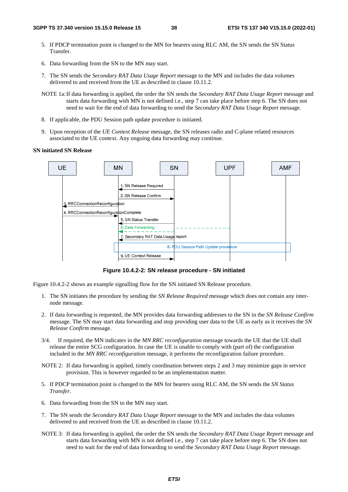- 5. If PDCP termination point is changed to the MN for bearers using RLC AM, the SN sends the SN Status Transfer.
- 6. Data forwarding from the SN to the MN may start.
- 7. The SN sends the *Secondary RAT Data Usage Report* message to the MN and includes the data volumes delivered to and received from the UE as described in clause 10.11.2.
- NOTE 1a: If data forwarding is applied, the order the SN sends the *Secondary RAT Data Usage Report* message and starts data forwarding with MN is not defined i.e., step 7 can take place before step 6. The SN does not need to wait for the end of data forwarding to send the *Secondary RAT Data Usage Report* message.
- 8. If applicable, the PDU Session path update procedure is initiated.
- 9. Upon reception of the *UE Context Release* message, the SN releases radio and C-plane related resources associated to the UE context. Any ongoing data forwarding may continue.

### **SN initiated SN Release**



**Figure 10.4.2-2: SN release procedure - SN initiated** 

Figure 10.4.2-2 shows an example signalling flow for the SN initiated SN Release procedure.

- 1. The SN initiates the procedure by sending the *SN Release Required* message which does not contain any internode message.
- 2. If data forwarding is requested, the MN provides data forwarding addresses to the SN in the *SN Release Confirm* message. The SN may start data forwarding and stop providing user data to the UE as early as it receives the *SN Release Confirm* message.
- 3/4. If required, the MN indicates in the *MN RRC reconfiguration* message towards the UE that the UE shall release the entire SCG configuration. In case the UE is unable to comply with (part of) the configuration included in the *MN RRC reconfiguration* message, it performs the reconfiguration failure procedure.
- NOTE 2: If data forwarding is applied, timely coordination between steps 2 and 3 may minimize gaps in service provision. This is however regarded to be an implementation matter.
- 5. If PDCP termination point is changed to the MN for bearers using RLC AM, the SN sends the *SN Status Transfer*.
- 6. Data forwarding from the SN to the MN may start.
- 7. The SN sends the *Secondary RAT Data Usage Report* message to the MN and includes the data volumes delivered to and received from the UE as described in clause 10.11.2.
- NOTE 3: If data forwarding is applied, the order the SN sends the *Secondary RAT Data Usage Report* message and starts data forwarding with MN is not defined i.e., step 7 can take place before step 6. The SN does not need to wait for the end of data forwarding to send the *Secondary RAT Data Usage Report* message.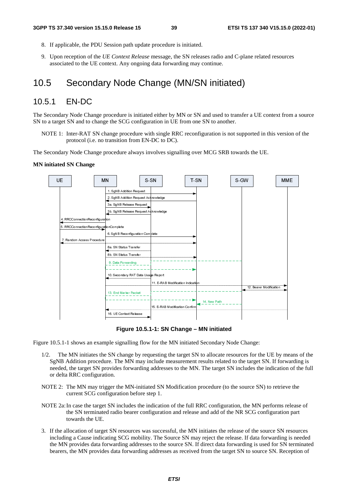- 8. If applicable, the PDU Session path update procedure is initiated.
- 9. Upon reception of the *UE Context Release* message, the SN releases radio and C-plane related resources associated to the UE context. Any ongoing data forwarding may continue.

## 10.5 Secondary Node Change (MN/SN initiated)

### 10.5.1 EN-DC

The Secondary Node Change procedure is initiated either by MN or SN and used to transfer a UE context from a source SN to a target SN and to change the SCG configuration in UE from one SN to another.

NOTE 1: Inter-RAT SN change procedure with single RRC reconfiguration is not supported in this version of the protocol (i.e. no transition from EN-DC to DC).

The Secondary Node Change procedure always involves signalling over MCG SRB towards the UE.

#### **MN initiated SN Change**



**Figure 10.5.1-1: SN Change – MN initiated** 

Figure 10.5.1-1 shows an example signalling flow for the MN initiated Secondary Node Change:

- 1/2. The MN initiates the SN change by requesting the target SN to allocate resources for the UE by means of the SgNB Addition procedure. The MN may include measurement results related to the target SN. If forwarding is needed, the target SN provides forwarding addresses to the MN. The target SN includes the indication of the full or delta RRC configuration.
- NOTE 2: The MN may trigger the MN-initiated SN Modification procedure (to the source SN) to retrieve the current SCG configuration before step 1.
- NOTE 2a: In case the target SN includes the indication of the full RRC configuration, the MN performs release of the SN terminated radio bearer configuration and release and add of the NR SCG configuration part towards the UE.
- 3. If the allocation of target SN resources was successful, the MN initiates the release of the source SN resources including a Cause indicating SCG mobility. The Source SN may reject the release. If data forwarding is needed the MN provides data forwarding addresses to the source SN. If direct data forwarding is used for SN terminated bearers, the MN provides data forwarding addresses as received from the target SN to source SN. Reception of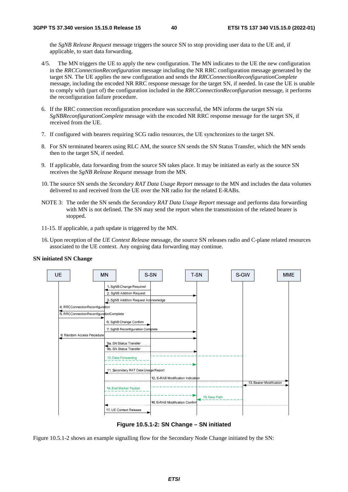the *SgNB Release Request* message triggers the source SN to stop providing user data to the UE and, if applicable, to start data forwarding.

- 4/5. The MN triggers the UE to apply the new configuration. The MN indicates to the UE the new configuration in the *RRCConnectionReconfiguration* message including the NR RRC configuration message generated by the target SN. The UE applies the new configuration and sends the *RRCConnectionReconfigurationComplete* message, including the encoded NR RRC response message for the target SN, if needed. In case the UE is unable to comply with (part of) the configuration included in the *RRCConnectionReconfiguration* message, it performs the reconfiguration failure procedure.
- 6. If the RRC connection reconfiguration procedure was successful, the MN informs the target SN via *SgNBReconfigurationComplete* message with the encoded NR RRC response message for the target SN, if received from the UE.
- 7. If configured with bearers requiring SCG radio resources, the UE synchronizes to the target SN.
- 8. For SN terminated bearers using RLC AM, the source SN sends the SN Status Transfer, which the MN sends then to the target SN, if needed.
- 9. If applicable, data forwarding from the source SN takes place. It may be initiated as early as the source SN receives the *SgNB Release Request* message from the MN.
- 10. The source SN sends the *Secondary RAT Data Usage Report* message to the MN and includes the data volumes delivered to and received from the UE over the NR radio for the related E-RABs.
- NOTE 3: The order the SN sends the *Secondary RAT Data Usage Report* message and performs data forwarding with MN is not defined. The SN may send the report when the transmission of the related bearer is stopped.
- 11-15. If applicable, a path update is triggered by the MN.
- 16. Upon reception of the *UE Context Release* message, the source SN releases radio and C-plane related resources associated to the UE context. Any ongoing data forwarding may continue.

#### **SN initiated SN Change**



**Figure 10.5.1-2: SN Change – SN initiated** 

Figure 10.5.1-2 shows an example signalling flow for the Secondary Node Change initiated by the SN: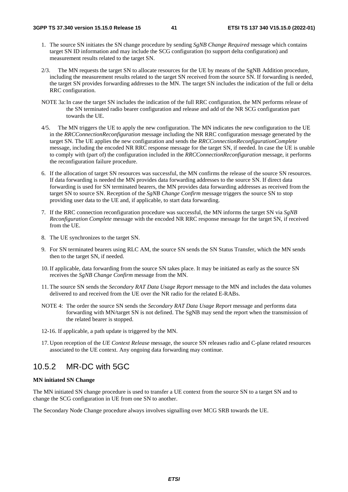- 1. The source SN initiates the SN change procedure by sending *SgNB Change Required* message which contains target SN ID information and may include the SCG configuration (to support delta configuration) and measurement results related to the target SN.
- 2/3. The MN requests the target SN to allocate resources for the UE by means of the SgNB Addition procedure, including the measurement results related to the target SN received from the source SN. If forwarding is needed, the target SN provides forwarding addresses to the MN. The target SN includes the indication of the full or delta RRC configuration.
- NOTE 3a: In case the target SN includes the indication of the full RRC configuration, the MN performs release of the SN terminated radio bearer configuration and release and add of the NR SCG configuration part towards the UE.
- 4/5. The MN triggers the UE to apply the new configuration. The MN indicates the new configuration to the UE in the *RRCConnectionReconfiguration* message including the NR RRC configuration message generated by the target SN. The UE applies the new configuration and sends the *RRCConnectionReconfigurationComplete* message, including the encoded NR RRC response message for the target SN, if needed. In case the UE is unable to comply with (part of) the configuration included in the *RRCConnectionReconfiguration* message, it performs the reconfiguration failure procedure.
- 6. If the allocation of target SN resources was successful, the MN confirms the release of the source SN resources. If data forwarding is needed the MN provides data forwarding addresses to the source SN. If direct data forwarding is used for SN terminated bearers, the MN provides data forwarding addresses as received from the target SN to source SN. Reception of the *SgNB Change Confirm* message triggers the source SN to stop providing user data to the UE and, if applicable, to start data forwarding.
- 7. If the RRC connection reconfiguration procedure was successful, the MN informs the target SN via *SgNB Reconfiguration Complete* message with the encoded NR RRC response message for the target SN, if received from the UE.
- 8. The UE synchronizes to the target SN.
- 9. For SN terminated bearers using RLC AM, the source SN sends the SN Status Transfer, which the MN sends then to the target SN, if needed.
- 10. If applicable, data forwarding from the source SN takes place. It may be initiated as early as the source SN receives the *SgNB Change Confirm* message from the MN.
- 11. The source SN sends the *Secondary RAT Data Usage Report* message to the MN and includes the data volumes delivered to and received from the UE over the NR radio for the related E-RABs.
- NOTE 4: The order the source SN sends the *Secondary RAT Data Usage Report* message and performs data forwarding with MN/target SN is not defined. The SgNB may send the report when the transmission of the related bearer is stopped.
- 12-16. If applicable, a path update is triggered by the MN.
- 17. Upon reception of the *UE Context Release* message, the source SN releases radio and C-plane related resources associated to the UE context. Any ongoing data forwarding may continue.

### 10.5.2 MR-DC with 5GC

#### **MN initiated SN Change**

The MN initiated SN change procedure is used to transfer a UE context from the source SN to a target SN and to change the SCG configuration in UE from one SN to another.

The Secondary Node Change procedure always involves signalling over MCG SRB towards the UE.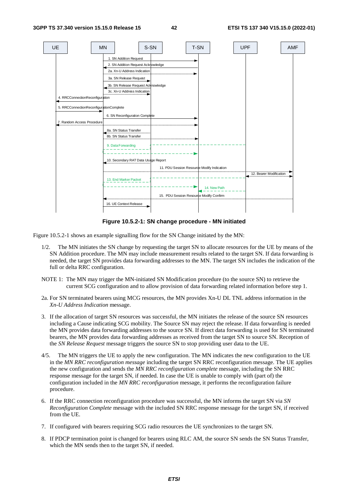

**Figure 10.5.2-1: SN change procedure - MN initiated** 

Figure 10.5.2-1 shows an example signalling flow for the SN Change initiated by the MN:

- 1/2. The MN initiates the SN change by requesting the target SN to allocate resources for the UE by means of the SN Addition procedure. The MN may include measurement results related to the target SN. If data forwarding is needed, the target SN provides data forwarding addresses to the MN. The target SN includes the indication of the full or delta RRC configuration.
- NOTE 1: The MN may trigger the MN-initiated SN Modification procedure (to the source SN) to retrieve the current SCG configuration and to allow provision of data forwarding related information before step 1.
- 2a. For SN terminated bearers using MCG resources, the MN provides Xn-U DL TNL address information in the *Xn-U Address Indication* message.
- 3. If the allocation of target SN resources was successful, the MN initiates the release of the source SN resources including a Cause indicating SCG mobility. The Source SN may reject the release. If data forwarding is needed the MN provides data forwarding addresses to the source SN. If direct data forwarding is used for SN terminated bearers, the MN provides data forwarding addresses as received from the target SN to source SN. Reception of the *SN Release Request* message triggers the source SN to stop providing user data to the UE.
- 4/5. The MN triggers the UE to apply the new configuration. The MN indicates the new configuration to the UE in the *MN RRC reconfiguration message* including the target SN RRC reconfiguration message. The UE applies the new configuration and sends the *MN RRC reconfiguration complete* message, including the SN RRC response message for the target SN, if needed. In case the UE is unable to comply with (part of) the configuration included in the *MN RRC reconfiguration* message, it performs the reconfiguration failure procedure.
- 6. If the RRC connection reconfiguration procedure was successful, the MN informs the target SN via *SN Reconfiguration Complete* message with the included SN RRC response message for the target SN, if received from the UE.
- 7. If configured with bearers requiring SCG radio resources the UE synchronizes to the target SN.
- 8. If PDCP termination point is changed for bearers using RLC AM, the source SN sends the SN Status Transfer, which the MN sends then to the target SN, if needed.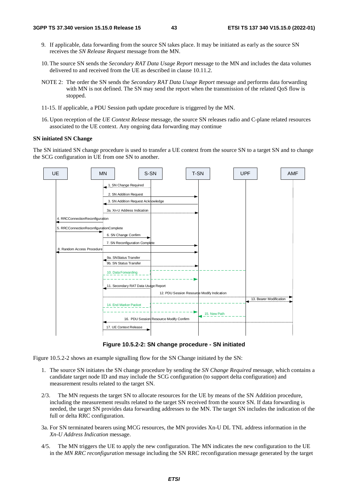- 9. If applicable, data forwarding from the source SN takes place. It may be initiated as early as the source SN receives the *SN Release Request* message from the MN.
- 10. The source SN sends the *Secondary RAT Data Usage Report* message to the MN and includes the data volumes delivered to and received from the UE as described in clause 10.11.2.
- NOTE 2: The order the SN sends the *Secondary RAT Data Usage Report* message and performs data forwarding with MN is not defined. The SN may send the report when the transmission of the related OoS flow is stopped.
- 11-15. If applicable, a PDU Session path update procedure is triggered by the MN.
- 16. Upon reception of the *UE Context Release* message, the source SN releases radio and C-plane related resources associated to the UE context. Any ongoing data forwarding may continue

#### **SN initiated SN Change**

The SN initiated SN change procedure is used to transfer a UE context from the source SN to a target SN and to change the SCG configuration in UE from one SN to another.



**Figure 10.5.2-2: SN change procedure - SN initiated** 

Figure 10.5.2-2 shows an example signalling flow for the SN Change initiated by the SN:

- 1. The source SN initiates the SN change procedure by sending the *SN Change Required* message, which contains a candidate target node ID and may include the SCG configuration (to support delta configuration) and measurement results related to the target SN.
- 2/3. The MN requests the target SN to allocate resources for the UE by means of the SN Addition procedure, including the measurement results related to the target SN received from the source SN. If data forwarding is needed, the target SN provides data forwarding addresses to the MN. The target SN includes the indication of the full or delta RRC configuration.
- 3a. For SN terminated bearers using MCG resources, the MN provides Xn-U DL TNL address information in the *Xn-U Address Indication* message.
- 4/5. The MN triggers the UE to apply the new configuration. The MN indicates the new configuration to the UE in the *MN RRC reconfiguration* message including the SN RRC reconfiguration message generated by the target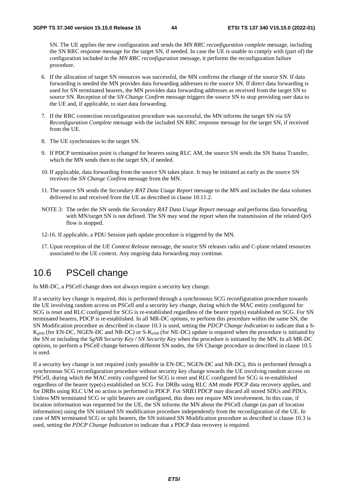SN. The UE applies the new configuration and sends the *MN RRC reconfiguration complete* message, including the SN RRC response message for the target SN, if needed. In case the UE is unable to comply with (part of) the configuration included in the *MN RRC reconfiguration* message, it performs the reconfiguration failure procedure.

- 6. If the allocation of target SN resources was successful, the MN confirms the change of the source SN. If data forwarding is needed the MN provides data forwarding addresses to the source SN. If direct data forwarding is used for SN terminated bearers, the MN provides data forwarding addresses as received from the target SN to source SN. Reception of the *SN Change Confirm* message triggers the source SN to stop providing user data to the UE and, if applicable, to start data forwarding.
- 7. If the RRC connection reconfiguration procedure was successful, the MN informs the target SN via *SN Reconfiguration Complete* message with the included SN RRC response message for the target SN, if received from the UE.
- 8. The UE synchronizes to the target SN.
- 9. If PDCP termination point is changed for bearers using RLC AM, the source SN sends the SN Status Transfer, which the MN sends then to the target SN, if needed.
- 10. If applicable, data forwarding from the source SN takes place. It may be initiated as early as the source SN receives the *SN Change Confirm* message from the MN.
- 11. The source SN sends the *Secondary RAT Data Usage Report* message to the MN and includes the data volumes delivered to and received from the UE as described in clause 10.11.2.
- NOTE 3: The order the SN sends the *Secondary RAT Data Usage Report* message and performs data forwarding with MN/target SN is not defined. The SN may send the report when the transmission of the related QoS flow is stopped.
- 12-16. If applicable, a PDU Session path update procedure is triggered by the MN.
- 17. Upon reception of the *UE Context Release* message, the source SN releases radio and C-plane related resources associated to the UE context. Any ongoing data forwarding may continue.

## 10.6 PSCell change

In MR-DC, a PSCell change does not always require a security key change.

If a security key change is required, this is performed through a synchronous SCG reconfiguration procedure towards the UE involving random access on PSCell and a security key change, during which the MAC entity configured for SCG is reset and RLC configured for SCG is re-established regardless of the bearer type(s) established on SCG. For SN terminated bearers, PDCP is re-established. In all MR-DC options, to perform this procedure within the same SN, the SN Modification procedure as described in clause 10.3 is used, setting the *PDCP Change Indication* to indicate that a S- $K_{\text{eNB}}$  (for EN-DC, NGEN-DC and NR-DC) or S- $K_{\text{eNB}}$  (for NE-DC) update is required when the procedure is initiated by the SN or including the *SgNB Security Key* / *SN Security Key* when the procedure is initiated by the MN. In all MR-DC options, to perform a PSCell change between different SN nodes, the SN Change procedure as described in clause 10.5 is used.

If a security key change is not required (only possible in EN-DC, NGEN-DC and NR-DC), this is performed through a synchronous SCG reconfiguration procedure without security key change towards the UE involving random access on PSCell, during which the MAC entity configured for SCG is reset and RLC configured for SCG is re-established regardless of the bearer type(s) established on SCG. For DRBs using RLC AM mode PDCP data recovery applies, and for DRBs using RLC UM no action is performed in PDCP. For SRB3 PDCP may discard all stored SDUs and PDUs. Unless MN terminated SCG or split bearers are configured, this does not require MN involvement. In this case, if location information was requested for the UE, the SN informs the MN about the PSCell change (as part of location information) using the SN initiated SN modification procedure independently from the reconfiguration of the UE. In case of MN terminated SCG or split bearers, the SN initiated SN Modification procedure as described in clause 10.3 is used, setting the *PDCP Change Indication* to indicate that a PDCP data recovery is required.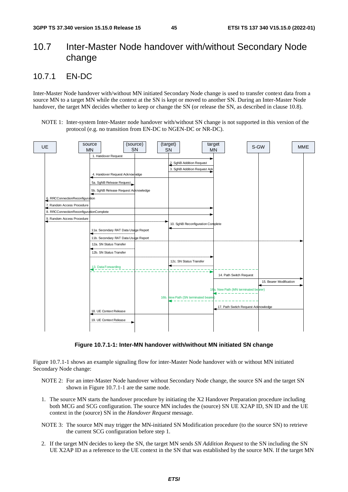# 10.7 Inter-Master Node handover with/without Secondary Node change

### 10.7.1 EN-DC

Inter-Master Node handover with/without MN initiated Secondary Node change is used to transfer context data from a source MN to a target MN while the context at the SN is kept or moved to another SN. During an Inter-Master Node handover, the target MN decides whether to keep or change the SN (or release the SN, as described in clause 10.8).

NOTE 1: Inter-system Inter-Master node handover with/without SN change is not supported in this version of the protocol (e.g. no transition from EN-DC to NGEN-DC or NR-DC).



**Figure 10.7.1-1: Inter-MN handover with/without MN initiated SN change** 

Figure 10.7.1-1 shows an example signaling flow for inter-Master Node handover with or without MN initiated Secondary Node change:

- NOTE 2: For an inter-Master Node handover without Secondary Node change, the source SN and the target SN shown in Figure 10.7.1-1 are the same node.
- 1. The source MN starts the handover procedure by initiating the X2 Handover Preparation procedure including both MCG and SCG configuration. The source MN includes the (source) SN UE X2AP ID, SN ID and the UE context in the (source) SN in the *Handover Request* message.
- NOTE 3: The source MN may trigger the MN-initiated SN Modification procedure (to the source SN) to retrieve the current SCG configuration before step 1.
- 2. If the target MN decides to keep the SN, the target MN sends *SN Addition Request* to the SN including the SN UE X2AP ID as a reference to the UE context in the SN that was established by the source MN. If the target MN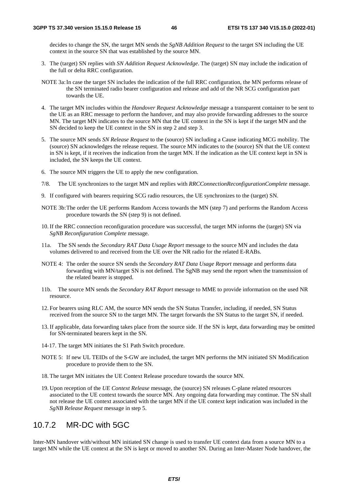decides to change the SN, the target MN sends the *SgNB Addition Request* to the target SN including the UE context in the source SN that was established by the source MN.

- 3. The (target) SN replies with *SN Addition Request Acknowledge*. The (target) SN may include the indication of the full or delta RRC configuration.
- NOTE 3a: In case the target SN includes the indication of the full RRC configuration, the MN performs release of the SN terminated radio bearer configuration and release and add of the NR SCG configuration part towards the UE.
- 4. The target MN includes within the *Handover Request Acknowledge* message a transparent container to be sent to the UE as an RRC message to perform the handover, and may also provide forwarding addresses to the source MN. The target MN indicates to the source MN that the UE context in the SN is kept if the target MN and the SN decided to keep the UE context in the SN in step 2 and step 3.
- 5. The source MN sends *SN Release Request* to the (source) SN including a Cause indicating MCG mobility. The (source) SN acknowledges the release request. The source MN indicates to the (source) SN that the UE context in SN is kept, if it receives the indication from the target MN. If the indication as the UE context kept in SN is included, the SN keeps the UE context.
- 6. The source MN triggers the UE to apply the new configuration.
- 7/8. The UE synchronizes to the target MN and replies with *RRCConnectionReconfigurationComplete* message.
- 9. If configured with bearers requiring SCG radio resources, the UE synchronizes to the (target) SN.
- NOTE 3b: The order the UE performs Random Access towards the MN (step 7) and performs the Random Access procedure towards the SN (step 9) is not defined.
- 10. If the RRC connection reconfiguration procedure was successful, the target MN informs the (target) SN via *SgNB Reconfiguration Complete* message.
- 11a. The SN sends the *Secondary RAT Data Usage Report* message to the source MN and includes the data volumes delivered to and received from the UE over the NR radio for the related E-RABs.
- NOTE 4: The order the source SN sends the *Secondary RAT Data Usage Report* message and performs data forwarding with MN/target SN is not defined. The SgNB may send the report when the transmission of the related bearer is stopped.
- 11b. The source MN sends the *Secondary RAT Report* message to MME to provide information on the used NR resource.
- 12. For bearers using RLC AM, the source MN sends the SN Status Transfer, including, if needed, SN Status received from the source SN to the target MN. The target forwards the SN Status to the target SN, if needed.
- 13. If applicable, data forwarding takes place from the source side. If the SN is kept, data forwarding may be omitted for SN-terminated bearers kept in the SN.
- 14-17. The target MN initiates the S1 Path Switch procedure.
- NOTE 5: If new UL TEIDs of the S-GW are included, the target MN performs the MN initiated SN Modification procedure to provide them to the SN.
- 18. The target MN initiates the UE Context Release procedure towards the source MN.
- 19. Upon reception of the *UE Context Release* message, the (source) SN releases C-plane related resources associated to the UE context towards the source MN. Any ongoing data forwarding may continue. The SN shall not release the UE context associated with the target MN if the UE context kept indication was included in the *SgNB Release Request* message in step 5.

## 10.7.2 MR-DC with 5GC

Inter-MN handover with/without MN initiated SN change is used to transfer UE context data from a source MN to a target MN while the UE context at the SN is kept or moved to another SN. During an Inter-Master Node handover, the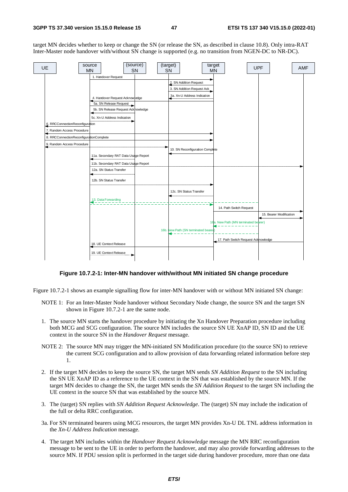target MN decides whether to keep or change the SN (or release the SN, as described in clause 10.8). Only intra-RAT Inter-Master node handover with/without SN change is supported (e.g. no transition from NGEN-DC to NR-DC).



#### **Figure 10.7.2-1: Inter-MN handover with/without MN initiated SN change procedure**

Figure 10.7.2-1 shows an example signalling flow for inter-MN handover with or without MN initiated SN change:

- NOTE 1: For an Inter-Master Node handover without Secondary Node change, the source SN and the target SN shown in Figure 10.7.2-1 are the same node.
- 1. The source MN starts the handover procedure by initiating the Xn Handover Preparation procedure including both MCG and SCG configuration. The source MN includes the source SN UE XnAP ID, SN ID and the UE context in the source SN in the *Handover Request* message.
- NOTE 2: The source MN may trigger the MN-initiated SN Modification procedure (to the source SN) to retrieve the current SCG configuration and to allow provision of data forwarding related information before step 1.
- 2. If the target MN decides to keep the source SN, the target MN sends *SN Addition Request* to the SN including the SN UE XnAP ID as a reference to the UE context in the SN that was established by the source MN. If the target MN decides to change the SN, the target MN sends the *SN Addition Request* to the target SN including the UE context in the source SN that was established by the source MN.
- 3. The (target) SN replies with *SN Addition Request Acknowledge*. The (target) SN may include the indication of the full or delta RRC configuration.
- 3a. For SN terminated bearers using MCG resources, the target MN provides Xn-U DL TNL address information in the *Xn-U Address Indication* message.
- 4. The target MN includes within the *Handover Request Acknowledge* message the MN RRC reconfiguration message to be sent to the UE in order to perform the handover, and may also provide forwarding addresses to the source MN. If PDU session split is performed in the target side during handover procedure, more than one data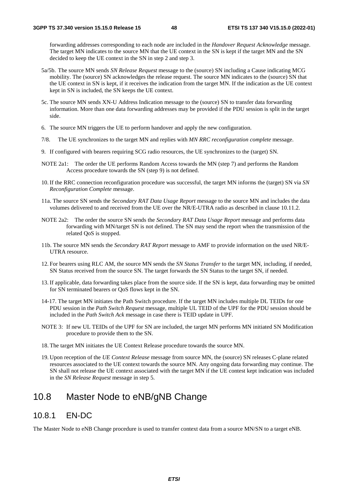forwarding addresses corresponding to each node are included in the *Handover Request Acknowledge* message. The target MN indicates to the source MN that the UE context in the SN is kept if the target MN and the SN decided to keep the UE context in the SN in step 2 and step 3.

- 5a/5b. The source MN sends *SN Release Request* message to the (source) SN including a Cause indicating MCG mobility. The (source) SN acknowledges the release request. The source MN indicates to the (source) SN that the UE context in SN is kept, if it receives the indication from the target MN. If the indication as the UE context kept in SN is included, the SN keeps the UE context.
- 5c. The source MN sends XN-U Address Indication message to the (source) SN to transfer data forwarding information. More than one data forwarding addresses may be provided if the PDU session is split in the target side.
- 6. The source MN triggers the UE to perform handover and apply the new configuration.
- 7/8. The UE synchronizes to the target MN and replies with *MN RRC reconfiguration complete* message.
- 9. If configured with bearers requiring SCG radio resources, the UE synchronizes to the (target) SN.
- NOTE 2a1: The order the UE performs Random Access towards the MN (step 7) and performs the Random Access procedure towards the SN (step 9) is not defined.
- 10. If the RRC connection reconfiguration procedure was successful, the target MN informs the (target) SN via *SN Reconfiguration Complete* message.
- 11a. The source SN sends the *Secondary RAT Data Usage Report* message to the source MN and includes the data volumes delivered to and received from the UE over the NR/E-UTRA radio as described in clause 10.11.2.
- NOTE 2a2: The order the source SN sends the *Secondary RAT Data Usage Report* message and performs data forwarding with MN/target SN is not defined. The SN may send the report when the transmission of the related QoS is stopped.
- 11b. The source MN sends the *Secondary RAT Report* message to AMF to provide information on the used NR/E-UTRA resource.
- 12. For bearers using RLC AM, the source MN sends the *SN Status Transfer* to the target MN, including, if needed, SN Status received from the source SN. The target forwards the SN Status to the target SN, if needed.
- 13. If applicable, data forwarding takes place from the source side. If the SN is kept, data forwarding may be omitted for SN terminated bearers or QoS flows kept in the SN.
- 14-17. The target MN initiates the Path Switch procedure*.* If the target MN includes multiple DL TEIDs for one PDU session in the *Path Switch Request* message, multiple UL TEID of the UPF for the PDU session should be included in the *Path Switch Ack* message in case there is TEID update in UPF.
- NOTE 3: If new UL TEIDs of the UPF for SN are included, the target MN performs MN initiated SN Modification procedure to provide them to the SN.
- 18. The target MN initiates the UE Context Release procedure towards the source MN.
- 19. Upon reception of the *UE Context Release* message from source MN, the (source) SN releases C-plane related resources associated to the UE context towards the source MN. Any ongoing data forwarding may continue. The SN shall not release the UE context associated with the target MN if the UE contest kept indication was included in the *SN Release Request* message in step 5.

# 10.8 Master Node to eNB/gNB Change

### 10.8.1 EN-DC

The Master Node to eNB Change procedure is used to transfer context data from a source MN/SN to a target eNB.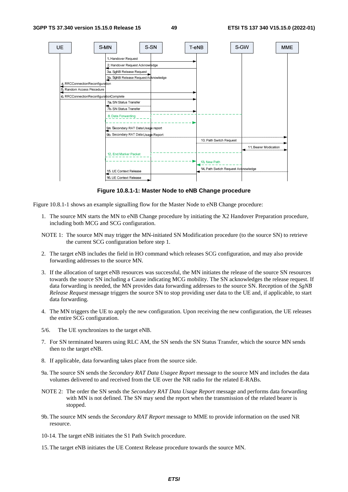

**Figure 10.8.1-1: Master Node to eNB Change procedure** 

Figure 10.8.1-1 shows an example signalling flow for the Master Node to eNB Change procedure:

- 1. The source MN starts the MN to eNB Change procedure by initiating the X2 Handover Preparation procedure, including both MCG and SCG configuration.
- NOTE 1: The source MN may trigger the MN-initiated SN Modification procedure (to the source SN) to retrieve the current SCG configuration before step 1.
- 2. The target eNB includes the field in HO command which releases SCG configuration, and may also provide forwarding addresses to the source MN.
- 3. If the allocation of target eNB resources was successful, the MN initiates the release of the source SN resources towards the source SN including a Cause indicating MCG mobility. The SN acknowledges the release request. If data forwarding is needed, the MN provides data forwarding addresses to the source SN. Reception of the *SgNB Release Request* message triggers the source SN to stop providing user data to the UE and, if applicable, to start data forwarding.
- 4. The MN triggers the UE to apply the new configuration. Upon receiving the new configuration, the UE releases the entire SCG configuration.
- 5/6. The UE synchronizes to the target eNB.
- 7. For SN terminated bearers using RLC AM, the SN sends the SN Status Transfer, which the source MN sends then to the target eNB.
- 8. If applicable, data forwarding takes place from the source side.
- 9a. The source SN sends the *Secondary RAT Data Usagee Report* message to the source MN and includes the data volumes delivered to and received from the UE over the NR radio for the related E-RABs.
- NOTE 2: The order the SN sends the *Secondary RAT Data Usage Report* message and performs data forwarding with MN is not defined. The SN may send the report when the transmission of the related bearer is stopped.
- 9b. The source MN sends the *Secondary RAT Report* message to MME to provide information on the used NR resource.
- 10-14. The target eNB initiates the S1 Path Switch procedure.
- 15. The target eNB initiates the UE Context Release procedure towards the source MN.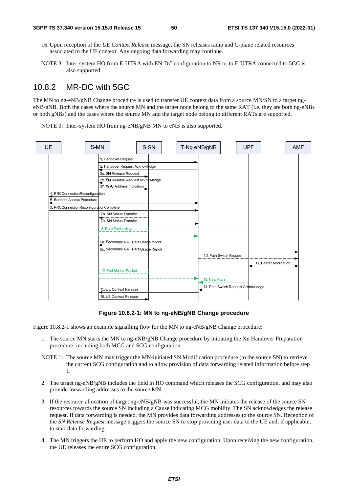- 16. Upon reception of the *UE Context Release* message, the SN releases radio and C-plane related resources associated to the UE context. Any ongoing data forwarding may continue.
- NOTE 3: Inter-system HO from E-UTRA with EN-DC configuration to NR or to E-UTRA connected to 5GC is also supported.

### 10.8.2 MR-DC with 5GC

The MN to ng-eNB/gNB Change procedure is used to transfer UE context data from a source MN/SN to a target ngeNB/gNB. Both the cases where the source MN and the target node belong to the same RAT (i.e. they are both ng-eNBs or both gNBs) and the cases where the source MN and the target node belong to different RATs are supported.

NOTE 0: Inter-system HO from ng-eNB/gNB MN to eNB is also supported.



#### **Figure 10.8.2-1: MN to ng-eNB/gNB Change procedure**

Figure 10.8.2-1 shows an example signalling flow for the MN to ng-eNB/gNB Change procedure:

- 1. The source MN starts the MN to ng-eNB/gNB Change procedure by initiating the Xn Handover Preparation procedure, including both MCG and SCG configuration.
- NOTE 1: The source MN may trigger the MN-initiated SN Modification procedure (to the source SN) to retrieve the current SCG configuration and to allow provision of data forwarding related information before step 1.
- 2. The target ng-eNB/gNB includes the field in HO command which releases the SCG configuration, and may also provide forwarding addresses to the source MN.
- 3. If the resource allocation of target ng-eNB/gNB was successful, the MN initiates the release of the source SN resources towards the source SN including a Cause indicating MCG mobility. The SN acknowledges the release request. If data forwarding is needed, the MN provides data forwarding addresses to the source SN. Reception of the *SN Release Request* message triggers the source SN to stop providing user data to the UE and, if applicable, to start data forwarding.
- 4. The MN triggers the UE to perform HO and apply the new configuration. Upon receiving the new configuration, the UE releases the entire SCG configuration.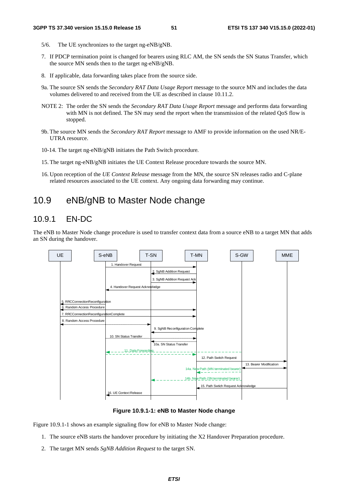- 5/6. The UE synchronizes to the target ng-eNB/gNB.
- 7. If PDCP termination point is changed for bearers using RLC AM, the SN sends the SN Status Transfer, which the source MN sends then to the target ng-eNB/gNB.
- 8. If applicable, data forwarding takes place from the source side.
- 9a. The source SN sends the *Secondary RAT Data Usage Report* message to the source MN and includes the data volumes delivered to and received from the UE as described in clause 10.11.2.
- NOTE 2: The order the SN sends the *Secondary RAT Data Usage Report* message and performs data forwarding with MN is not defined. The SN may send the report when the transmission of the related QoS flow is stopped.
- 9b. The source MN sends the *Secondary RAT Report* message to AMF to provide information on the used NR/E-UTRA resource.
- 10-14. The target ng-eNB/gNB initiates the Path Switch procedure*.*
- 15. The target ng-eNB/gNB initiates the UE Context Release procedure towards the source MN.
- 16. Upon reception of the *UE Context Release* message from the MN, the source SN releases radio and C-plane related resources associated to the UE context. Any ongoing data forwarding may continue.

## 10.9 eNB/gNB to Master Node change

### 10.9.1 EN-DC

The eNB to Master Node change procedure is used to transfer context data from a source eNB to a target MN that adds an SN during the handover.



**Figure 10.9.1-1: eNB to Master Node change** 

Figure 10.9.1-1 shows an example signaling flow for eNB to Master Node change:

- 1. The source eNB starts the handover procedure by initiating the X2 Handover Preparation procedure.
- 2. The target MN sends *SgNB Addition Request* to the target SN.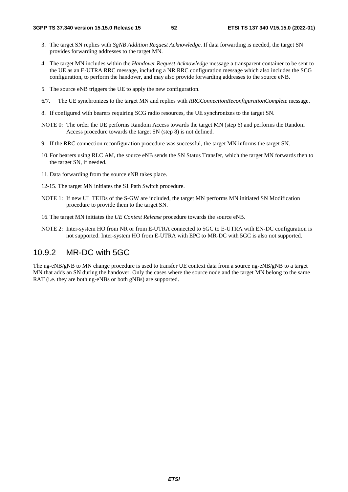- 3. The target SN replies with *SgNB Addition Request Acknowledge*. If data forwarding is needed, the target SN provides forwarding addresses to the target MN.
- 4. The target MN includes within the *Handover Request Acknowledge* message a transparent container to be sent to the UE as an E-UTRA RRC message, including a NR RRC configuration message which also includes the SCG configuration, to perform the handover, and may also provide forwarding addresses to the source eNB.
- 5. The source eNB triggers the UE to apply the new configuration.
- 6/7. The UE synchronizes to the target MN and replies with *RRCConnectionReconfigurationComplete* message.
- 8. If configured with bearers requiring SCG radio resources, the UE synchronizes to the target SN.
- NOTE 0: The order the UE performs Random Access towards the target MN (step 6) and performs the Random Access procedure towards the target SN (step 8) is not defined.
- 9. If the RRC connection reconfiguration procedure was successful, the target MN informs the target SN.
- 10. For bearers using RLC AM, the source eNB sends the SN Status Transfer, which the target MN forwards then to the target SN, if needed.
- 11. Data forwarding from the source eNB takes place.
- 12-15. The target MN initiates the S1 Path Switch procedure.
- NOTE 1: If new UL TEIDs of the S-GW are included, the target MN performs MN initiated SN Modification procedure to provide them to the target SN.
- 16. The target MN initiates the *UE Context Release* procedure towards the source eNB.
- NOTE 2: Inter-system HO from NR or from E-UTRA connected to 5GC to E-UTRA with EN-DC configuration is not supported. Inter-system HO from E-UTRA with EPC to MR-DC with 5GC is also not supported.

### 10.9.2 MR-DC with 5GC

The ng-eNB/gNB to MN change procedure is used to transfer UE context data from a source ng-eNB/gNB to a target MN that adds an SN during the handover. Only the cases where the source node and the target MN belong to the same RAT (i.e. they are both ng-eNBs or both gNBs) are supported.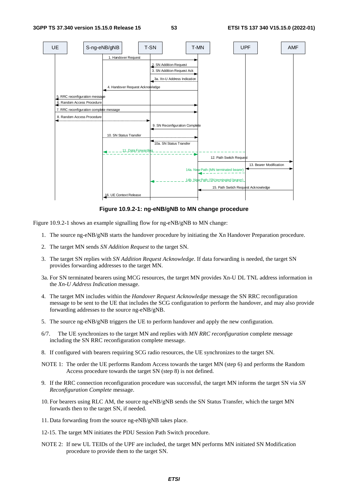

**Figure 10.9.2-1: ng-eNB/gNB to MN change procedure** 

Figure 10.9.2-1 shows an example signalling flow for ng-eNB/gNB to MN change:

- 1. The source ng-eNB/gNB starts the handover procedure by initiating the Xn Handover Preparation procedure.
- 2. The target MN sends *SN Addition Request* to the target SN.
- 3. The target SN replies with *SN Addition Request Acknowledge*. If data forwarding is needed, the target SN provides forwarding addresses to the target MN.
- 3a. For SN terminated bearers using MCG resources, the target MN provides Xn-U DL TNL address information in the *Xn-U Address Indication* message.
- 4. The target MN includes within the *Handover Request Acknowledge* message the SN RRC reconfiguration message to be sent to the UE that includes the SCG configuration to perform the handover, and may also provide forwarding addresses to the source ng-eNB/gNB.
- 5. The source ng-eNB/gNB triggers the UE to perform handover and apply the new configuration.
- 6/7. The UE synchronizes to the target MN and replies with *MN RRC reconfiguration* complete message including the SN RRC reconfiguration complete message.
- 8. If configured with bearers requiring SCG radio resources, the UE synchronizes to the target SN.
- NOTE 1: The order the UE performs Random Access towards the target MN (step 6) and performs the Random Access procedure towards the target SN (step 8) is not defined.
- 9. If the RRC connection reconfiguration procedure was successful, the target MN informs the target SN via *SN Reconfiguration Complete* message.
- 10. For bearers using RLC AM, the source ng-eNB/gNB sends the SN Status Transfer, which the target MN forwards then to the target SN, if needed.
- 11. Data forwarding from the source ng-eNB/gNB takes place.
- 12-15. The target MN initiates the PDU Session Path Switch procedure.
- NOTE 2: If new UL TEIDs of the UPF are included, the target MN performs MN initiated SN Modification procedure to provide them to the target SN.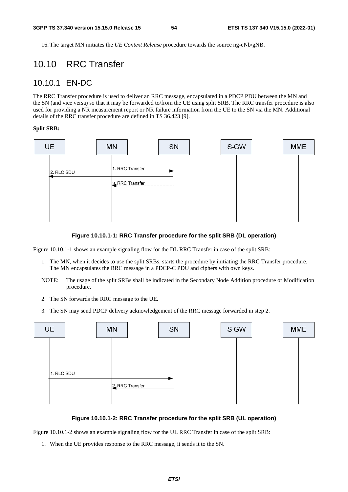16. The target MN initiates the *UE Context Release* procedure towards the source ng-eNb/gNB.

## 10.10 RRC Transfer

### 10.10.1 EN-DC

The RRC Transfer procedure is used to deliver an RRC message, encapsulated in a PDCP PDU between the MN and the SN (and vice versa) so that it may be forwarded to/from the UE using split SRB. The RRC transfer procedure is also used for providing a NR measurement report or NR failure information from the UE to the SN via the MN. Additional details of the RRC transfer procedure are defined in TS 36.423 [9].

#### **Split SRB:**



#### **Figure 10.10.1-1: RRC Transfer procedure for the split SRB (DL operation)**

Figure 10.10.1-1 shows an example signaling flow for the DL RRC Transfer in case of the split SRB:

- 1. The MN, when it decides to use the split SRBs, starts the procedure by initiating the RRC Transfer procedure. The MN encapsulates the RRC message in a PDCP-C PDU and ciphers with own keys.
- NOTE: The usage of the split SRBs shall be indicated in the Secondary Node Addition procedure or Modification procedure.
- 2. The SN forwards the RRC message to the UE.
- 3. The SN may send PDCP delivery acknowledgement of the RRC message forwarded in step 2.



#### **Figure 10.10.1-2: RRC Transfer procedure for the split SRB (UL operation)**

Figure 10.10.1-2 shows an example signaling flow for the UL RRC Transfer in case of the split SRB:

1. When the UE provides response to the RRC message, it sends it to the SN.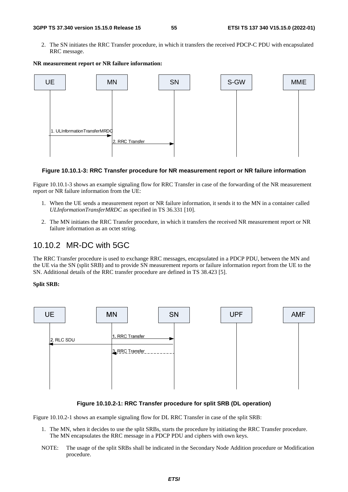2. The SN initiates the RRC Transfer procedure, in which it transfers the received PDCP-C PDU with encapsulated RRC message.



#### **NR measurement report or NR failure information:**

#### **Figure 10.10.1-3: RRC Transfer procedure for NR measurement report or NR failure information**

Figure 10.10.1-3 shows an example signaling flow for RRC Transfer in case of the forwarding of the NR measurement report or NR failure information from the UE:

- 1. When the UE sends a measurement report or NR failure information, it sends it to the MN in a container called *ULInformationTransferMRDC* as specified in TS 36.331 [10].
- 2. The MN initiates the RRC Transfer procedure, in which it transfers the received NR measurement report or NR failure information as an octet string.

### 10.10.2 MR-DC with 5GC

The RRC Transfer procedure is used to exchange RRC messages, encapsulated in a PDCP PDU, between the MN and the UE via the SN (split SRB) and to provide SN measurement reports or failure information report from the UE to the SN. Additional details of the RRC transfer procedure are defined in TS 38.423 [5].

#### **Split SRB:**



#### **Figure 10.10.2-1: RRC Transfer procedure for split SRB (DL operation)**

Figure 10.10.2-1 shows an example signaling flow for DL RRC Transfer in case of the split SRB:

- 1. The MN, when it decides to use the split SRBs, starts the procedure by initiating the RRC Transfer procedure. The MN encapsulates the RRC message in a PDCP PDU and ciphers with own keys.
- NOTE: The usage of the split SRBs shall be indicated in the Secondary Node Addition procedure or Modification procedure.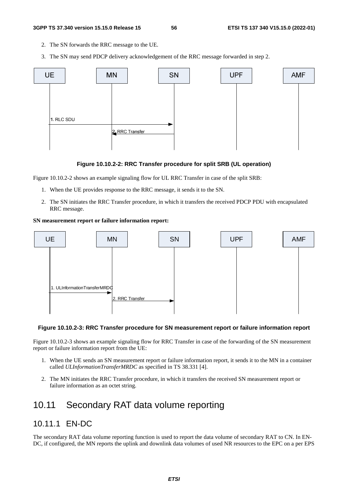- 2. The SN forwards the RRC message to the UE.
- 3. The SN may send PDCP delivery acknowledgement of the RRC message forwarded in step 2.



### **Figure 10.10.2-2: RRC Transfer procedure for split SRB (UL operation)**

Figure 10.10.2-2 shows an example signaling flow for UL RRC Transfer in case of the split SRB:

- 1. When the UE provides response to the RRC message, it sends it to the SN.
- 2. The SN initiates the RRC Transfer procedure, in which it transfers the received PDCP PDU with encapsulated RRC message.

#### **SN measurement report or failure information report:**



#### **Figure 10.10.2-3: RRC Transfer procedure for SN measurement report or failure information report**

Figure 10.10.2-3 shows an example signaling flow for RRC Transfer in case of the forwarding of the SN measurement report or failure information report from the UE:

- 1. When the UE sends an SN measurement report or failure information report, it sends it to the MN in a container called *ULInformationTransferMRDC* as specified in TS 38.331 [4].
- 2. The MN initiates the RRC Transfer procedure, in which it transfers the received SN measurement report or failure information as an octet string.

## 10.11 Secondary RAT data volume reporting

### 10.11.1 EN-DC

The secondary RAT data volume reporting function is used to report the data volume of secondary RAT to CN. In EN-DC, if configured, the MN reports the uplink and downlink data volumes of used NR resources to the EPC on a per EPS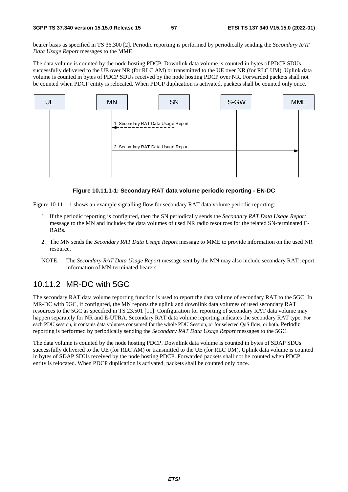bearer basis as specified in TS 36.300 [2]. Periodic reporting is performed by periodically sending the *Secondary RAT Data Usage Report* messages to the MME.

The data volume is counted by the node hosting PDCP. Downlink data volume is counted in bytes of PDCP SDUs successfully delivered to the UE over NR (for RLC AM) or transmitted to the UE over NR (for RLC UM). Uplink data volume is counted in bytes of PDCP SDUs received by the node hosting PDCP over NR. Forwarded packets shall not be counted when PDCP entity is relocated. When PDCP duplication is activated, packets shall be counted only once.



#### **Figure 10.11.1-1: Secondary RAT data volume periodic reporting - EN-DC**

Figure 10.11.1-1 shows an example signalling flow for secondary RAT data volume periodic reporting:

- 1. If the periodic reporting is configured, then the SN periodically sends the *Secondary RAT Data Usage Report* message to the MN and includes the data volumes of used NR radio resources for the related SN-terminated E-RABs.
- 2. The MN sends the *Secondary RAT Data Usage Report* message to MME to provide information on the used NR resource.
- NOTE: The *Secondary RAT Data Usage Report* message sent by the MN may also include secondary RAT report information of MN-terminated bearers.

### 10.11.2 MR-DC with 5GC

The secondary RAT data volume reporting function is used to report the data volume of secondary RAT to the 5GC. In MR-DC with 5GC, if configured, the MN reports the uplink and downlink data volumes of used secondary RAT resources to the 5GC as specified in TS 23.501 [11]. Configuration for reporting of secondary RAT data volume may happen separately for NR and E-UTRA. Secondary RAT data volume reporting indicates the secondary RAT type. For each PDU session, it contains data volumes consumed for the whole PDU Session, or for selected QoS flow, or both. Periodic reporting is performed by periodically sending the *Secondary RAT Data Usage Report* messages to the 5GC.

The data volume is counted by the node hosting PDCP. Downlink data volume is counted in bytes of SDAP SDUs successfully delivered to the UE (for RLC AM) or transmitted to the UE (for RLC UM). Uplink data volume is counted in bytes of SDAP SDUs received by the node hosting PDCP. Forwarded packets shall not be counted when PDCP entity is relocated. When PDCP duplication is activated, packets shall be counted only once.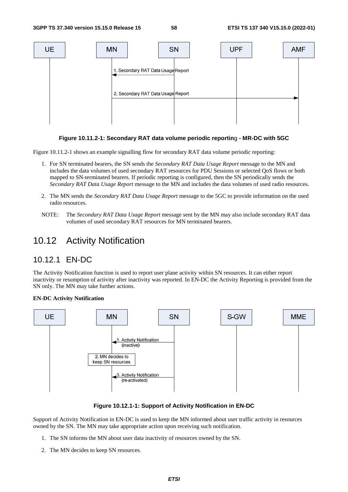

### **Figure 10.11.2-1: Secondary RAT data volume periodic reportin**g **- MR-DC with 5GC**

Figure 10.11.2-1 shows an example signalling flow for secondary RAT data volume periodic reporting:

- 1. For SN terminated bearers, the SN sends the *Secondary RAT Data Usage Report* message to the MN and includes the data volumes of used secondary RAT resources for PDU Sessions or selected QoS flows or both mapped to SN-terminated bearers. If periodic reporting is configured, then the SN periodically sends the *Secondary RAT Data Usage Report* message to the MN and includes the data volumes of used radio resources.
- 2. The MN sends the *Secondary RAT Data Usage Report* message to the 5GC to provide information on the used radio resources.
- NOTE: The *Secondary RAT Data Usage Report* message sent by the MN may also include secondary RAT data volumes of used secondary RAT resources for MN terminated bearers.

### 10.12 Activity Notification

### 10.12.1 EN-DC

The Activity Notification function is used to report user plane activity within SN resources. It can either report inactivity or resumption of activity after inactivity was reported. In EN-DC the Activity Reporting is provided from the SN only. The MN may take further actions.

#### **EN-DC Activity Notification**



### **Figure 10.12.1-1: Support of Activity Notification in EN-DC**

Support of Activity Notification in EN-DC is used to keep the MN informed about user traffic activity in resources owned by the SN. The MN may take appropriate action upon receiving such notification.

- 1. The SN informs the MN about user data inactivity of resources owned by the SN.
- 2. The MN decides to keep SN resources.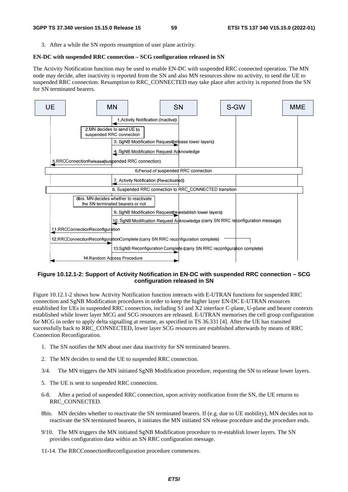3. After a while the SN reports resumption of user plane activity.

### **EN-DC with suspended RRC connection – SCG configuration released in SN**

The Activity Notification function may be used to enable EN-DC with suspended RRC connected operation. The MN node may decide, after inactivity is reported from the SN and also MN resources show no activity, to send the UE to suspended RRC connection. Resumption to RRC\_CONNECTED may take place after activity is reported from the SN for SN terminated bearers.



### **Figure 10.12.1-2: Support of Activity Notification in EN-DC with suspended RRC connection – SCG configuration released in SN**

Figure 10.12.1-2 shows how Activity Notification function interacts with E-UTRAN functions for suspended RRC connection and SgNB Modification procedures in order to keep the higher layer EN-DC E-UTRAN resources established for UEs in suspended RRC connection, including S1 and X2 interface C-plane, U-plane and bearer contexts established while lower layer MCG and SCG resources are released. E-UTRAN memorises the cell group configuration for MCG in order to apply delta signalling at resume, as specified in TS 36.331 [4]. After the UE has transited successfully back to RRC\_CONNECTED, lower layer SCG resources are established afterwards by means of RRC Connection Reconfiguration.

- 1. The SN notifies the MN about user data inactivity for SN terminated bearers.
- 2. The MN decides to send the UE to suspended RRC connection.
- 3/4. The MN triggers the MN initiated SgNB Modification procedure, requesting the SN to release lower layers.
- 5. The UE is sent to suspended RRC connection.
- 6-8. After a period of suspended RRC connection, upon activity notification from the SN, the UE returns to RRC\_CONNECTED.
- 8bis. MN decides whether to reactivate the SN terminated bearers. If (e.g. due to UE mobility), MN decides not to reactivate the SN terminated bearers, it initiates the MN initiated SN release procedure and the procedure ends.
- 9/10. The MN triggers the MN initiated SgNB Modification procedure to re-establish lower layers. The SN provides configuration data within an SN RRC configuration message.

11-14. The RRCConnectionReconfiguration procedure commences.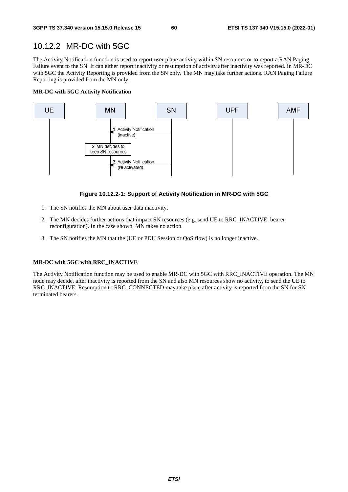### 10.12.2 MR-DC with 5GC

The Activity Notification function is used to report user plane activity within SN resources or to report a RAN Paging Failure event to the SN. It can either report inactivity or resumption of activity after inactivity was reported. In MR-DC with 5GC the Activity Reporting is provided from the SN only. The MN may take further actions. RAN Paging Failure Reporting is provided from the MN only.

#### **MR-DC with 5GC Activity Notification**



### **Figure 10.12.2-1: Support of Activity Notification in MR-DC with 5GC**

- 1. The SN notifies the MN about user data inactivity.
- 2. The MN decides further actions that impact SN resources (e.g. send UE to RRC\_INACTIVE, bearer reconfiguration). In the case shown, MN takes no action.
- 3. The SN notifies the MN that the (UE or PDU Session or QoS flow) is no longer inactive.

### **MR-DC with 5GC with RRC\_INACTIVE**

The Activity Notification function may be used to enable MR-DC with 5GC with RRC\_INACTIVE operation. The MN node may decide, after inactivity is reported from the SN and also MN resources show no activity, to send the UE to RRC\_INACTIVE. Resumption to RRC\_CONNECTED may take place after activity is reported from the SN for SN terminated bearers.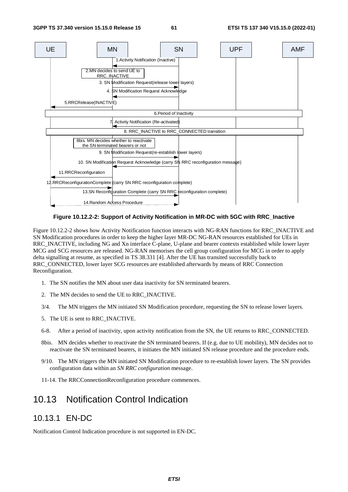

**Figure 10.12.2-2: Support of Activity Notification in MR-DC with 5GC with RRC\_Inactive** 

Figure 10.12.2-2 shows how Activity Notification function interacts with NG-RAN functions for RRC\_INACTIVE and SN Modification procedures in order to keep the higher layer MR-DC NG-RAN resources established for UEs in RRC\_INACTIVE, including NG and Xn interface C-plane, U-plane and bearer contexts established while lower layer MCG and SCG resources are released. NG-RAN memorises the cell group configuration for MCG in order to apply delta signalling at resume, as specified in TS 38.331 [4]. After the UE has transited successfully back to RRC\_CONNECTED, lower layer SCG resources are established afterwards by means of RRC Connection Reconfiguration.

- 1. The SN notifies the MN about user data inactivity for SN terminated bearers.
- 2. The MN decides to send the UE to RRC\_INACTIVE.
- 3/4. The MN triggers the MN initiated SN Modification procedure, requesting the SN to release lower layers.
- 5. The UE is sent to RRC\_INACTIVE.
- 6-8. After a period of inactivity, upon activity notification from the SN, the UE returns to RRC\_CONNECTED.
- 8bis. MN decides whether to reactivate the SN terminated bearers. If (e.g. due to UE mobility), MN decides not to reactivate the SN terminated bearers, it initiates the MN initiated SN release procedure and the procedure ends.
- 9/10. The MN triggers the MN initiated SN Modification procedure to re-establish lower layers. The SN provides configuration data within an *SN RRC configuration* message.
- 11-14. The RRCConnectionReconfiguration procedure commences.

# 10.13 Notification Control Indication

### 10.13.1 EN-DC

Notification Control Indication procedure is not supported in EN-DC.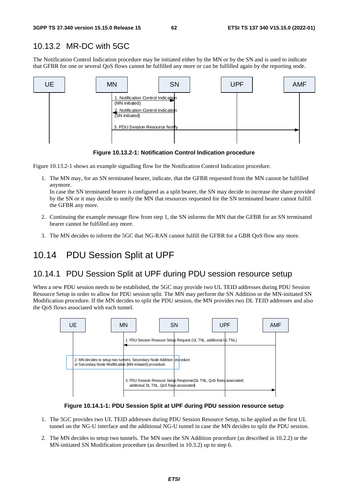### 10.13.2 MR-DC with 5GC

The Notification Control Indication procedure may be initiated either by the MN or by the SN and is used to indicate that GFBR for one or several QoS flows cannot be fulfilled any more or can be fulfilled again by the reporting node.



**Figure 10.13.2-1: Notification Control Indication procedure** 

Figure 10.13.2-1 shows an example signalling flow for the Notification Control Indication procedure.

1. The MN may, for an SN terminated bearer, indicate, that the GFBR requested from the MN cannot be fulfilled anymore.

In case the SN terminated bearer is configured as a split bearer, the SN may decide to increase the share provided by the SN or it may decide to notify the MN that resources requested for the SN terminated bearer cannot fulfill the GFBR any more.

- 2. Continuing the example message flow from step 1, the SN informs the MN that the GFBR for an SN terminated bearer cannot be fulfilled any more.
- 3. The MN decides to inform the 5GC that NG-RAN cannot fulfill the GFBR for a GBR QoS flow any more.

# 10.14 PDU Session Split at UPF

### 10.14.1 PDU Session Split at UPF during PDU session resource setup

When a new PDU session needs to be established, the 5GC may provide two UL TEID addresses during PDU Session Resource Setup in order to allow for PDU session split. The MN may perform the SN Addition or the MN-initiated SN Modification procedure. If the MN decides to split the PDU session, the MN provides two DL TEID addresses and also the QoS flows associated with each tunnel.



**Figure 10.14.1-1: PDU Session Split at UPF during PDU session resource setup** 

- 1. The 5GC provides two UL TEID addresses during PDU Session Resource Setup, to be applied as the first UL tunnel on the NG-U interface and the additional NG-U tunnel in case the MN decides to split the PDU session.
- 2. The MN decides to setup two tunnels. The MN uses the SN Addition procedure (as described in 10.2.2) or the MN-initiated SN Modification procedure (as described in 10.3.2) up to step 6.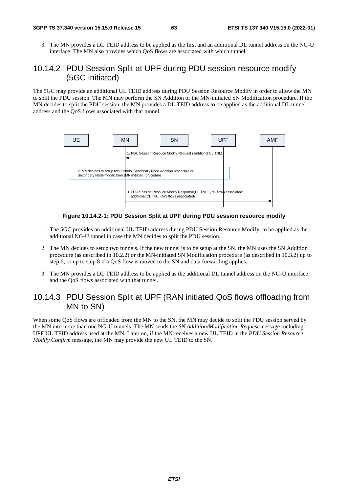3. The MN provides a DL TEID address to be applied as the first and an additional DL tunnel address on the NG-U interface. The MN also provides which QoS flows are associated with which tunnel.

### 10.14.2 PDU Session Split at UPF during PDU session resource modify (5GC initiated)

The 5GC may provide an additional UL TEID address during PDU Session Resource Modify in order to allow the MN to split the PDU session. The MN may perform the SN Addition or the MN-initiated SN Modification procedure. If the MN decides to split the PDU session, the MN provides a DL TEID address to be applied as the additional DL tunnel address and the QoS flows associated with that tunnel.



**Figure 10.14.2-1: PDU Session Split at UPF during PDU session resource modify** 

- 1. The 5GC provides an additional UL TEID address during PDU Session Resource Modify, to be applied as the additional NG-U tunnel in case the MN decides to split the PDU session.
- 2. The MN decides to setup two tunnels. If the new tunnel is to be setup at the SN, the MN uses the SN Addition procedure (as described in 10.2.2) or the MN-initiated SN Modification procedure (as described in 10.3.2) up to step 6, or up to step 8 if a QoS flow is moved to the SN and data forwarding applies.
- 3. The MN provides a DL TEID address to be applied as the additional DL tunnel address on the NG-U interface and the QoS flows associated with that tunnel.

### 10.14.3 PDU Session Split at UPF (RAN initiated QoS flows offloading from MN to SN)

When some QoS flows are offloaded from the MN to the SN, the MN may decide to split the PDU session served by the MN into more than one NG-U tunnels. The MN sends the *SN Addition/Modification Request* message including UPF UL TEID address used at the MN. Later on, if the MN receives a new UL TEID in the *PDU Session Resource Modify Confirm* message, the MN may provide the new UL TEID to the SN.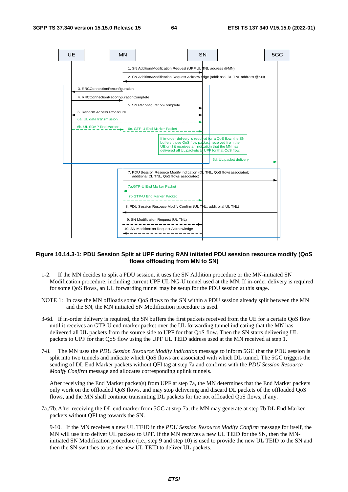

### **Figure 10.14.3-1: PDU Session Split at UPF during RAN initiated PDU session resource modify (QoS flows offloading from MN to SN)**

- 1-2. If the MN decides to split a PDU session, it uses the SN Addition procedure or the MN-initiated SN Modification procedure, including current UPF UL NG-U tunnel used at the MN. If in-order delivery is required for some QoS flows, an UL forwarding tunnel may be setup for the PDU session at this stage.
- NOTE 1: In case the MN offloads some QoS flows to the SN within a PDU session already split between the MN and the SN, the MN initiated SN Modification procedure is used.
- 3-6d. If in-order delivery is required, the SN buffers the first packets received from the UE for a certain QoS flow until it receives an GTP-U end marker packet over the UL forwarding tunnel indicating that the MN has delivered all UL packets from the source side to UPF for that QoS flow. Then the SN starts delivering UL packets to UPF for that QoS flow using the UPF UL TEID address used at the MN received at step 1.
- 7-8. The MN uses the *PDU Session Resource Modify Indication* message to inform 5GC that the PDU session is split into two tunnels and indicate which QoS flows are associated with which DL tunnel. The 5GC triggers the sending of DL End Marker packets without QFI tag at step 7a and confirms with the *PDU Session Resource Modify Confirm* message and allocates corresponding uplink tunnels.

After receiving the End Marker packet(s) from UPF at step 7a, the MN determines that the End Marker packets only work on the offloaded QoS flows, and may stop delivering and discard DL packets of the offloaded QoS flows, and the MN shall continue transmiting DL packets for the not offloaded QoS flows, if any.

7a./7b. After receiving the DL end marker from 5GC at step 7a, the MN may generate at step 7b DL End Marker packets without QFI tag towards the SN.

9-10. If the MN receives a new UL TEID in the *PDU Session Resource Modify Confirm* message for itself, the MN will use it to deliver UL packets to UPF. If the MN receives a new UL TEID for the SN, then the MNinitiated SN Modification procedure (i.e., step 9 and step 10) is used to provide the new UL TEID to the SN and then the SN switches to use the new UL TEID to deliver UL packets.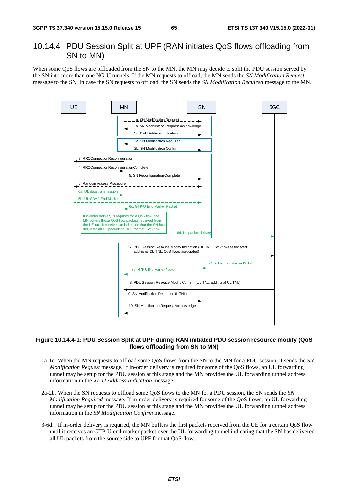### 10.14.4 PDU Session Split at UPF (RAN initiates QoS flows offloading from SN to MN)

When some QoS flows are offloaded from the SN to the MN, the MN may decide to split the PDU session served by the SN into more than one NG-U tunnels. If the MN requests to offload, the MN sends the *SN Modification Request* message to the SN. In case the SN requests to offload, the SN sends the *SN Modification Required* message to the MN.



#### **Figure 10.14.4-1: PDU Session Split at UPF during RAN initiated PDU session resource modify (QoS flows offloading from SN to MN)**

- 1a-1c. When the MN requests to offload some QoS flows from the SN to the MN for a PDU session, it sends the *SN Modification Request* message. If in-order delivery is required for some of the QoS flows, an UL forwarding tunnel may be setup for the PDU session at this stage and the MN provides the UL forwarding tunnel address information in the *Xn-U Address Indication* message.
- 2a-2b. When the SN requests to offload some QoS flows to the MN for a PDU session, the SN sends the *SN Modification Required* message. If in-order delivery is required for some of the QoS flows, an UL forwarding tunnel may be setup for the PDU session at this stage and the MN provides the UL forwarding tunnel address information in the *SN Modification Confirm* message.
- 3-6d. If in-order delivery is required, the MN buffers the first packets received from the UE for a certain QoS flow until it receives an GTP-U end marker packet over the UL forwarding tunnel indicating that the SN has delivered all UL packets from the source side to UPF for that QoS flow.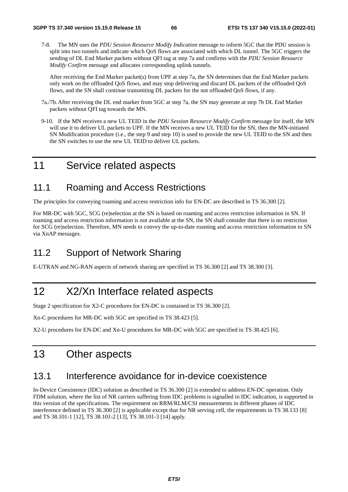7-8. The MN uses the *PDU Session Resource Modify Indication* message to inform 5GC that the PDU session is split into two tunnels and indicate which QoS flows are associated with which DL tunnel. The 5GC triggers the sending of DL End Marker packets without QFI tag at step 7a and confirms with the *PDU Session Resource Modify Confirm* message and allocates corresponding uplink tunnels.

After receiving the End Marker packet(s) from UPF at step 7a, the SN determines that the End Marker packets only work on the offloaded QoS flows, and may stop delivering and discard DL packets of the offloaded QoS flows, and the SN shall continue transmiting DL packets for the not offloaded QoS flows, if any.

- 7a./7b. After receiving the DL end marker from 5GC at step 7a, the SN may generate at step 7b DL End Marker packets without QFI tag towards the MN.
- 9-10. If the MN receives a new UL TEID in the *PDU Session Resource Modify Confirm* message for itself, the MN will use it to deliver UL packets to UPF. If the MN receives a new UL TEID for the SN, then the MN-initiated SN Modification procedure (i.e., the step 9 and step 10) is used to provide the new UL TEID to the SN and then the SN switches to use the new UL TEID to deliver UL packets.

# 11 Service related aspects

# 11.1 Roaming and Access Restrictions

The principles for conveying roaming and access restriction info for EN-DC are described in TS 36.300 [2].

For MR-DC with 5GC, SCG (re)selection at the SN is based on roaming and access restriction information in SN. If roaming and access restriction information is not available at the SN, the SN shall consider that there is no restriction for SCG (re)selection. Therefore, MN needs to convey the up-to-date roaming and access restriction information to SN via XnAP messages.

# 11.2 Support of Network Sharing

E-UTRAN and NG-RAN aspects of network sharing are specified in TS 36.300 [2] and TS 38.300 [3].

# 12 X2/Xn Interface related aspects

Stage 2 specification for X2-C procedures for EN-DC is contained in TS 36.300 [2].

Xn-C procedures for MR-DC with 5GC are specified in TS 38.423 [5].

X2-U procedures for EN-DC and Xn-U procedures for MR-DC with 5GC are specified in TS 38.425 [6].

# 13 Other aspects

## 13.1 Interference avoidance for in-device coexistence

In-Device Coexistence (IDC) solution as described in TS 36.300 [2] is extended to address EN-DC operation. Only FDM solution, where the list of NR carriers suffering from IDC problems is signalled in IDC indication, is supported in this version of the specifications. The requirement on RRM/RLM/CSI measurements in different phases of IDC interference defined in TS 36.300 [2] is applicable except that for NR serving cell, the requirements in TS 38.133 [8] and TS 38.101-1 [12], TS 38.101-2 [13], TS 38.101-3 [14] apply.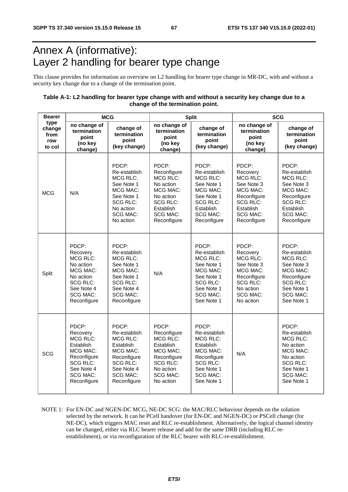# Annex A (informative): Layer 2 handling for bearer type change

This clause provides for information an overview on L2 handling for bearer type change in MR-DC, with and without a security key change due to a change of the termination point.

### **Table A-1: L2 handling for bearer type change with and without a security key change due to a change of the termination point.**

| <b>Bearer</b>                           | <b>MCG</b>                                                                                                                                      |                                                                                                                                                     |                                                                                                                                                 | <b>Split</b>                                                                                                                                       | <b>SCG</b>                                                                                                                               |                                                                                                                                                  |  |
|-----------------------------------------|-------------------------------------------------------------------------------------------------------------------------------------------------|-----------------------------------------------------------------------------------------------------------------------------------------------------|-------------------------------------------------------------------------------------------------------------------------------------------------|----------------------------------------------------------------------------------------------------------------------------------------------------|------------------------------------------------------------------------------------------------------------------------------------------|--------------------------------------------------------------------------------------------------------------------------------------------------|--|
| type<br>change<br>from<br>row<br>to col | no change of<br>termination<br>point<br>(no key<br>change)                                                                                      | change of<br>termination<br>point<br>(key change)                                                                                                   | no change of<br>termination<br>point<br>(no key<br>change)                                                                                      | change of<br>termination<br>point<br>(key change)                                                                                                  | no change of<br>termination<br>point<br>(no key<br>change)                                                                               | change of<br>termination<br>point<br>(key change)                                                                                                |  |
| <b>MCG</b>                              | N/A                                                                                                                                             | PDCP:<br>Re-establish<br>MCG RLC:<br>See Note 1<br>MCG MAC:<br>See Note 1<br><b>SCG RLC:</b><br>No action<br>SCG MAC:<br>No action                  | PDCP:<br>Reconfigure<br>MCG RLC:<br>No action<br>MCG MAC:<br>No action<br><b>SCG RLC:</b><br>Establish<br><b>SCG MAC:</b><br>Reconfigure        | PDCP:<br>Re-establish<br><b>MCG RLC:</b><br>See Note 1<br>MCG MAC:<br>See Note 1<br><b>SCG RLC:</b><br>Establish<br><b>SCG MAC:</b><br>Reconfigure | PDCP:<br>Recovery<br><b>MCG RLC:</b><br>See Note 3<br>MCG MAC:<br>Reconfigure<br>SCG RLC:<br>Establish<br><b>SCG MAC:</b><br>Reconfigure | PDCP:<br>Re-establish<br><b>MCG RLC:</b><br>See Note 3<br>MCG MAC:<br>Reconfigure<br>SCG RLC:<br>Establish<br><b>SCG MAC:</b><br>Reconfigure     |  |
| Split                                   | PDCP:<br>Recovery<br>MCG RLC:<br>No action<br>MCG MAC:<br>No action<br><b>SCG RLC:</b><br>See Note 4<br><b>SCG MAC:</b><br>Reconfigure          | PDCP:<br>Re-establish<br><b>MCG RLC:</b><br>See Note 1<br>MCG MAC:<br>See Note 1<br><b>SCG RLC:</b><br>See Note 4<br><b>SCG MAC:</b><br>Reconfigure | N/A                                                                                                                                             | PDCP:<br>Re-establish<br><b>MCG RLC:</b><br>See Note 1<br>MCG MAC:<br>See Note 1<br><b>SCG RLC:</b><br>See Note 1<br><b>SCG MAC:</b><br>See Note 1 | PDCP:<br>Recovery<br>MCG RLC:<br>See Note 3<br>MCG MAC:<br>Reconfigure<br><b>SCG RLC:</b><br>No action<br><b>SCG MAC:</b><br>No action   | PDCP:<br>Re-establish<br><b>MCG RLC:</b><br>See Note 3<br>MCG MAC:<br>Reconfigure<br>SCG RLC:<br>See Note 1<br>SCG MAC:<br>See Note 1            |  |
| SCG                                     | PDCP:<br>Recovery<br><b>MCG RLC:</b><br>Establish<br>MCG MAC:<br>Reconfigure<br><b>SCG RLC:</b><br>See Note 4<br><b>SCG MAC:</b><br>Reconfigure | PDCP:<br>Re-establish<br><b>MCG RLC:</b><br>Establish<br>MCG MAC:<br>Reconfigure<br><b>SCG RLC:</b><br>See Note 4<br><b>SCG MAC:</b><br>Reconfigure | PDCP:<br>Reconfigure<br><b>MCG RLC:</b><br>Establish<br>MCG MAC:<br>Reconfigure<br><b>SCG RLC:</b><br>No action<br><b>SCG MAC:</b><br>No action | PDCP:<br>Re-establish<br><b>MCG RLC:</b><br>Establish<br>MCG MAC:<br>Reconfigure<br><b>SCG RLC:</b><br>See Note 1<br><b>SCG MAC:</b><br>See Note 1 | N/A                                                                                                                                      | PDCP:<br>Re-establish<br><b>MCG RLC:</b><br>No action<br>MCG MAC:<br>No action<br><b>SCG RLC:</b><br>See Note 1<br><b>SCG MAC:</b><br>See Note 1 |  |

NOTE 1: For EN-DC and NGEN-DC MCG, NE-DC SCG: the MAC/RLC behaviour depends on the solution selected by the network. It can be PCell handover (for EN-DC and NGEN-DC) or PSCell change (for NE-DC), which triggers MAC reset and RLC re-establishment. Alternatively, the logical channel identity can be changed, either via RLC bearer release and add for the same DRB (including RLC reestablishment), or via reconfiguration of the RLC bearer with RLC-re-establishment.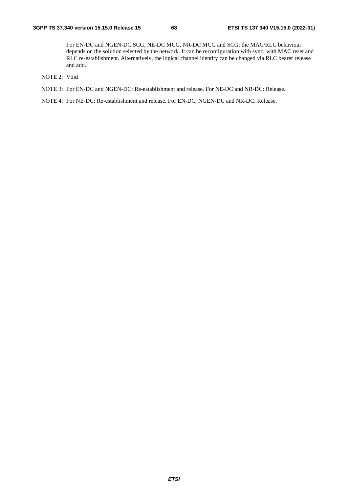For EN-DC and NGEN-DC SCG, NE-DC MCG, NR-DC MCG and SCG: the MAC/RLC behaviour depends on the solution selected by the network. It can be reconfiguration with sync, with MAC reset and RLC re-establishment. Alternatively, the logical channel identity can be changed via RLC bearer release and add.

- NOTE 2: Void
- NOTE 3: For EN-DC and NGEN-DC: Re-establishment and release. For NE-DC and NR-DC: Release.

NOTE 4: For NE-DC: Re-establishment and release. For EN-DC, NGEN-DC and NR-DC: Release.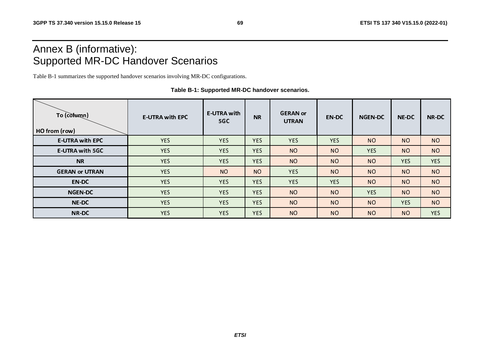# Annex B (informative): Supported MR-DC Handover Scenarios

Table B-1 summarizes the supported handover scenarios involving MR-DC configurations.

| To (column)<br>HO from (row) | <b>E-UTRA with EPC</b> | <b>E-UTRA with</b><br>5GC | <b>NR</b>  | <b>GERAN</b> or<br><b>UTRAN</b> | <b>EN-DC</b>   | <b>NGEN-DC</b> | <b>NE-DC</b> | <b>NR-DC</b>   |
|------------------------------|------------------------|---------------------------|------------|---------------------------------|----------------|----------------|--------------|----------------|
| <b>E-UTRA with EPC</b>       | <b>YES</b>             | <b>YES</b>                | <b>YES</b> | <b>YES</b>                      | <b>YES</b>     | <b>NO</b>      | <b>NO</b>    | N <sub>O</sub> |
| <b>E-UTRA with 5GC</b>       | <b>YES</b>             | <b>YES</b>                | <b>YES</b> | <b>NO</b>                       | N <sub>O</sub> | <b>YES</b>     | <b>NO</b>    | <b>NO</b>      |
| <b>NR</b>                    | <b>YES</b>             | <b>YES</b>                | <b>YES</b> | <b>NO</b>                       | <b>NO</b>      | <b>NO</b>      | <b>YES</b>   | <b>YES</b>     |
| <b>GERAN or UTRAN</b>        | <b>YES</b>             | <b>NO</b>                 | <b>NO</b>  | <b>YES</b>                      | N <sub>O</sub> | N <sub>O</sub> | <b>NO</b>    | <b>NO</b>      |
| <b>EN-DC</b>                 | <b>YES</b>             | <b>YES</b>                | <b>YES</b> | <b>YES</b>                      | <b>YES</b>     | <b>NO</b>      | <b>NO</b>    | <b>NO</b>      |
| <b>NGEN-DC</b>               | <b>YES</b>             | <b>YES</b>                | <b>YES</b> | <b>NO</b>                       | <b>NO</b>      | <b>YES</b>     | <b>NO</b>    | <b>NO</b>      |
| <b>NE-DC</b>                 | <b>YES</b>             | <b>YES</b>                | <b>YES</b> | <b>NO</b>                       | <b>NO</b>      | <b>NO</b>      | <b>YES</b>   | <b>NO</b>      |
| <b>NR-DC</b>                 | <b>YES</b>             | <b>YES</b>                | <b>YES</b> | <b>NO</b>                       | <b>NO</b>      | <b>NO</b>      | <b>NO</b>    | <b>YES</b>     |

**Table B-1: Supported MR-DC handover scenarios.**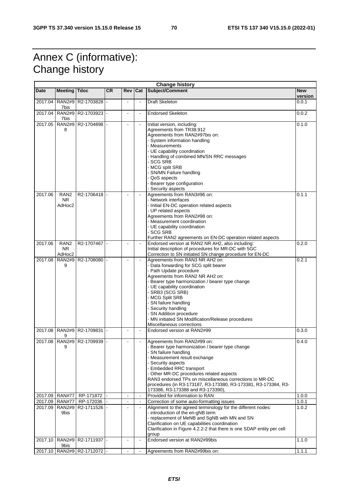# Annex C (informative): Change history

| <b>Change history</b> |                                         |                                  |           |                |                          |                                                                                                                                                                                                                                                                                                                                                                                                                                 |                       |  |  |
|-----------------------|-----------------------------------------|----------------------------------|-----------|----------------|--------------------------|---------------------------------------------------------------------------------------------------------------------------------------------------------------------------------------------------------------------------------------------------------------------------------------------------------------------------------------------------------------------------------------------------------------------------------|-----------------------|--|--|
| <b>Date</b>           | <b>Meeting</b>                          | <b>Tdoc</b>                      | <b>CR</b> | Rev            | Cat                      | Subject/Comment                                                                                                                                                                                                                                                                                                                                                                                                                 | <b>New</b><br>version |  |  |
| 2017.04               | <b>RAN2#9</b><br>7bis                   | R2-1703828                       |           |                | $\blacksquare$           | <b>Draft Skeleton</b>                                                                                                                                                                                                                                                                                                                                                                                                           | 0.0.1                 |  |  |
| 2017.04               | 7bis                                    | RAN2#9 R2-1703923 -              |           | $\blacksquare$ | $\blacksquare$           | <b>Endorsed Skeleton</b>                                                                                                                                                                                                                                                                                                                                                                                                        | 0.0.2                 |  |  |
| 2017.05               | <b>RAN2#9</b><br>8                      | R2-1704898                       |           |                |                          | Initial version, including:<br>Agreements from TR38.912<br>Agreements from RAN2#97bis on:<br>- System information handling<br>- Measurements<br>- UE capability coordination<br>- Handling of combined MN/SN RRC messages<br>- SCG SRB                                                                                                                                                                                          | 0.1.0                 |  |  |
|                       |                                         |                                  |           |                |                          | - MCG split SRB<br>- SN/MN Failure handling<br>- QoS aspects<br>- Bearer type configuration<br>- Security aspects                                                                                                                                                                                                                                                                                                               |                       |  |  |
| 2017.06               | RAN <sub>2</sub><br><b>NR</b><br>AdHoc2 | R2-1706418                       |           |                |                          | Agreements from RAN3#96 on:<br>- Network interfaces<br>- Initial EN-DC operation related aspects<br>- UP related aspects<br>Agreements from RAN2#98 on:<br>- Measurement coordination<br>- UE capability coordination<br>- SCG SRB<br>Further RAN2 agreements on EN-DC operation related aspects                                                                                                                                | 0.1.1                 |  |  |
| 2017.06               | RAN <sub>2</sub><br>NR.<br>AdHoc2       | R2-1707467                       |           |                |                          | Endorsed version at RAN2 NR AH2, also including:<br>Initial description of procedures for MR-DC with 5GC<br>Correction to SN initiated SN change procedure for EN-DC                                                                                                                                                                                                                                                            | 0.2.0                 |  |  |
| 2017.08               | <b>RAN2#9</b><br>9                      | R2-1708080                       |           | $\overline{a}$ | $\bar{\phantom{a}}$      | Agreements from RAN3 NR AH2 on:<br>- Data forwarding for SCG split bearer<br>- Path Update procedure<br>Agreements from RAN2 NR AH2 on:<br>- Bearer type harmonization / bearer type change<br>- UE capability coordination<br>- SRB3 (SCG SRB)<br>- MCG Split SRB<br>- SN failure handling<br>- Security handling<br>- SN Addition procedure<br>- MN initiated SN Modification/Release procedures<br>Miscellaneous corrections | 0.2.1                 |  |  |
| 2017.08               | 9                                       | RAN2#9 R2-1709831                |           |                | $\blacksquare$           | Endorsed version at RAN2#99                                                                                                                                                                                                                                                                                                                                                                                                     | 0.3.0                 |  |  |
|                       | 9                                       | 2017.08   RAN2#9   R2-1709939  - |           |                |                          | Agreements from RAN2#99 on:<br>- Bearer type harmonization / bearer type change<br>- SN failure handling<br>- Measurement result exchange<br>- Security aspects<br>- Embedded RRC transport<br>- Other MR-DC procedures related aspects<br>RAN3 endorsed TPs on miscellaneous corrections to MR-DC<br>procedures (in R3-173187, R3-173380, R3-173381, R3-173384, R3-<br>173386, R3-173388 and R3-173390),                       | 0.4.0                 |  |  |
| 2017.09               | <b>RAN#77</b>                           | RP-171872                        |           | $\blacksquare$ | $\blacksquare$           | Provided for information to RAN                                                                                                                                                                                                                                                                                                                                                                                                 | 1.0.0                 |  |  |
| 2017.09<br>2017.09    | <b>RAN#77</b><br><b>RAN2#9</b><br>9bis  | RP-172036<br>R2-1711526          |           | $\blacksquare$ | $\blacksquare$<br>$\Box$ | Correction of some auto-formatting issues<br>Alignment to the agreed terminology for the different nodes:<br>- introduction of the en-gNB term<br>- replacement of MeNB and SgNB with MN and SN<br>Clarification on UE capabilities coordination<br>Clarification in Figure 4.2.2-2 that there is one SDAP entity per cell<br>group                                                                                             | 1.0.1<br>1.0.2        |  |  |
| 2017.10               | 9bis                                    | RAN2#9   R2-1711937  -           |           |                | $\blacksquare$           | Endorsed version at RAN2#99bis                                                                                                                                                                                                                                                                                                                                                                                                  | 1.1.0                 |  |  |
|                       |                                         | 2017.10   RAN2#9   R2-1712072  - |           |                | $\blacksquare$           | Agreements from RAN2#99bis on:                                                                                                                                                                                                                                                                                                                                                                                                  | 1.1.1                 |  |  |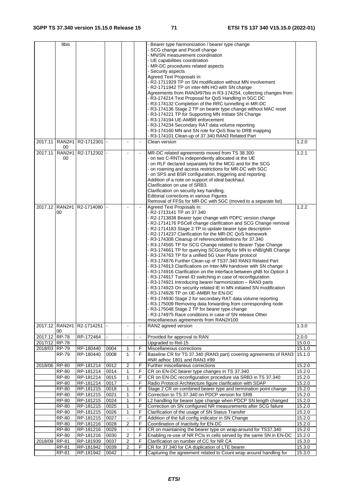|               | 9bis                |              |      |                |                | Bearer type harmonization / bearer type change                                                                        |        |  |
|---------------|---------------------|--------------|------|----------------|----------------|-----------------------------------------------------------------------------------------------------------------------|--------|--|
|               |                     |              |      |                |                | SCG change and Pscell change                                                                                          |        |  |
|               |                     |              |      |                |                | - MN/SN measurement coordination                                                                                      |        |  |
|               |                     |              |      |                |                | - UE capabilities coordination                                                                                        |        |  |
|               |                     |              |      |                |                | - MR-DC procedures related aspects                                                                                    |        |  |
|               |                     |              |      |                |                | - Security aspects                                                                                                    |        |  |
|               |                     |              |      |                |                | Agreed Text Proposals in:                                                                                             |        |  |
|               |                     |              |      |                |                | - R2-1711929 TP on SN modification without MN involvement                                                             |        |  |
|               |                     |              |      |                |                | - R2-1711942 TP on inter-MN HO with SN change                                                                         |        |  |
|               |                     |              |      |                |                | Agreements from RAN3#97bis in R3-174254, collecting changes from:                                                     |        |  |
|               |                     |              |      |                |                | - R3-174214 Text Proposal for QoS Handling in 5GC DC                                                                  |        |  |
|               |                     |              |      |                |                | - R3-174132 Completion of the RRC tunnelling in MR-DC                                                                 |        |  |
|               |                     |              |      |                |                | - R3-174136 Stage 2 TP on bearer type change without MAC reset<br>- R3-174221 TP for Supporting MN Initiate SN Change |        |  |
|               |                     |              |      |                |                | - R3-174194 UE-AMBR enforcement                                                                                       |        |  |
|               |                     |              |      |                |                | - R3-174234 Secondary RAT data volume reporting                                                                       |        |  |
|               |                     |              |      |                |                | - R3-174160 MN and SN role for QoS flow to DRB mapping                                                                |        |  |
|               |                     |              |      |                |                | - R3-174101 Clean-up of 37.340 RAN3 Related Part                                                                      |        |  |
| 2017.11       | <b>RAN2#1</b>       | R2-1712301   |      |                | $\overline{a}$ | Clean version                                                                                                         | 1.2.0  |  |
|               | 00                  |              |      |                |                |                                                                                                                       |        |  |
| 2017.11       | <b>RAN2#1</b>       | R2-1712302 - |      |                |                | MR-DC related agreements moved from TS 38.300:                                                                        | 1.2.1  |  |
|               | 00                  |              |      |                |                | - on two C-RNTIs independently allocated ot the UE                                                                    |        |  |
|               |                     |              |      |                |                | - on RLF declared separately for the MCG and for the SCG                                                              |        |  |
|               |                     |              |      |                |                | - on roaming and access restrictions for MR-DC with 5GC                                                               |        |  |
|               |                     |              |      |                |                | - on SPS and BSR configuration, triggering and reporting                                                              |        |  |
|               |                     |              |      |                |                | Addition of a note on support of ideal backhaul.                                                                      |        |  |
|               |                     |              |      |                |                | Clarification on use of SRB3.                                                                                         |        |  |
|               |                     |              |      |                |                | Clarification on security key handling.                                                                               |        |  |
|               |                     |              |      |                |                | Editorial corrections in various Figures                                                                              |        |  |
|               | 2017.12 RAN2#1      | R2-1714080   |      |                |                | Removal of FFSs for MR-DC with 5GC (moved to a separate list)                                                         | 1.2.2  |  |
|               | 00                  |              |      |                |                | Agreed Text Proposals in:<br>- R2-1713141 TP on 37.340                                                                |        |  |
|               |                     |              |      |                |                | - R2-1713838 Bearer type change with PDPC version change                                                              |        |  |
|               |                     |              |      |                |                | - R2-1714176 PSCell change clarification and SCG Change removal                                                       |        |  |
|               |                     |              |      |                |                | R2-1714183 Stage 2 TP to update bearer type description                                                               |        |  |
|               |                     |              |      |                |                | - R2-1714237 Clarification for the MR-DC QoS framework                                                                |        |  |
|               |                     |              |      |                |                | - R3-174308 Cleanup of reference/definitions for 37.340                                                               |        |  |
|               |                     |              |      |                |                | - R3-174565 TP for SCG Change related to Bearer Type Change                                                           |        |  |
|               |                     |              |      |                |                | - R3-174661 TP for querying SCGconfig for MN to eNB/gNB Change                                                        |        |  |
|               |                     |              |      |                |                | - R3-174763 TP for a unified 5G User Plane protocol                                                                   |        |  |
|               |                     |              |      |                |                | - R3-174876 Further Clean-up of TS37.340 RAN3 Related Part                                                            |        |  |
|               |                     |              |      |                |                | - R3-174913 Clarifications on Inter-MN handover with SN change                                                        |        |  |
|               |                     |              |      |                |                | - R3-174916 Clarification on the interface between gNB for Option 3                                                   |        |  |
|               |                     |              |      |                |                | - R3-174917 Tunnel ID switching in case of reconfiguration                                                            |        |  |
|               |                     |              |      |                |                | - R3-174921 Introducing bearer harmonization - RAN3 parts                                                             |        |  |
|               |                     |              |      |                |                | - R3-174923 On security related IE in MN initiated SN modification                                                    |        |  |
|               |                     |              |      |                |                | - R3-174928 TP on UE-AMBR for EN-DC                                                                                   |        |  |
|               |                     |              |      |                |                | - R3-174930 Stage 2 for secondary RAT data volume reporting                                                           |        |  |
|               |                     |              |      |                |                | - R3-175009 Removing data forwarding from corresponding node                                                          |        |  |
|               |                     |              |      |                |                | - R3-175048 Stage 2 TP for bearer type change                                                                         |        |  |
|               |                     |              |      |                |                | - R3-174975 Race conditions in case of SN release Other                                                               |        |  |
|               | 2017.12 RAN2#1      |              |      |                | $\blacksquare$ | miscellaneous agreements from RAN2#100                                                                                |        |  |
|               | 00                  | R2-1714251   |      |                |                | RAN2 agreed version                                                                                                   | 1.3.0  |  |
| 2017.12       | <b>RP-78</b>        | RP-172464    |      | $\mathbf{r}$   | $\Box$         | Provided for approval to RAN                                                                                          | 2.0.0  |  |
| 2017/12 RP-78 |                     |              |      |                |                | Upgraded to Rel-15                                                                                                    | 15.0.0 |  |
| 2018/03 RP-79 |                     | RP-180440    | 0004 | 1              | F              | Miscellaneous corrections                                                                                             | 15.1.0 |  |
|               | <b>RP-79</b>        | RP-180440    | 0008 | $\mathbf{1}$   | F              | Baseline CR for TS 37.340 (RAN3 part) covering agreements of RAN3                                                     | 15.1.0 |  |
|               |                     |              |      |                |                | #NR adhoc 1801 and RAN3 #99                                                                                           |        |  |
| 2018/06 RP-80 |                     | RP-181214    | 0012 | $\overline{2}$ | F              | Further miscellaneus corrections                                                                                      | 15.2.0 |  |
|               | <b>RP-80</b>        | RP-181214    | 0014 | $\mathbf{1}$   | F              | CR on EN-DC bearer type changes in TS 37.340                                                                          | 15.2.0 |  |
|               | <b>RP-80</b>        | RP-181214    | 0015 | 1              | F              | CR on EN-DC reconfiguration procedure via SRB3 in TS 37.340                                                           | 15.2.0 |  |
|               | <b>RP-80</b>        | RP-181214    | 0017 |                | F              | Radio Protocol Architecture figure clarification with SDAP                                                            | 15.2.0 |  |
|               | $\overline{RP}$ -80 | RP-181215    | 0018 | 1              | F              | Stage 2 CR on combined bearer type and termination point change                                                       | 15.2.0 |  |
|               | <b>RP-80</b>        | RP-181215    | 0021 | $\mathbf{1}$   | F              | Correction to TS 37.340 on PDCP version for SRB                                                                       | 15.2.0 |  |
|               | <b>RP-80</b>        | RP-181215    | 0024 | $\mathbf{1}$   | F              | L2 handling for bearer type change when PDCP SN length changed                                                        | 15.2.0 |  |
|               | $RP-80$             | RP-181215    | 0025 | 1              | F              | Correction on SN configured NR measurements after SCG failure                                                         | 15.2.0 |  |
|               | RP-80               | RP-181215    | 0026 | $\mathbf{1}$   | F              | Clarification of the usage of SN Status Transfer                                                                      | 15.2.0 |  |
|               | <b>RP-80</b>        | RP-181215    | 0027 |                | F              | Addition of the full config indicator in SN Change                                                                    | 15.2.0 |  |
|               | RP-80               | RP-181216    | 0028 | 2              | F              | Coordination of Inactivity for EN-DC                                                                                  | 15.2.0 |  |
|               | <b>RP-80</b>        | RP-181216    | 0029 | $\blacksquare$ | F              | CR on maintaining the bearer type on wrap-around for TS37.340                                                         | 15.2.0 |  |
|               | <b>RP-80</b>        | RP-181216    | 0030 | 2              | F              | Enabling re-use of NR PCIs in cells served by the same SN in EN-DC                                                    | 15.2.0 |  |
| 2018/09       | RP-81               | RP-181939    | 0037 | 2              | F              | Clarification on number of CC for NR CA                                                                               | 15.3.0 |  |
|               | RP-81               | RP-181942    | 0039 | 2              | F              | CR for 37.340 for CA duplication of LTE bearer                                                                        | 15.3.0 |  |
|               | RP-81               | RP-181942    | 0042 |                | F              | Capturing the agreement related to Count wrap around handling for                                                     | 15.3.0 |  |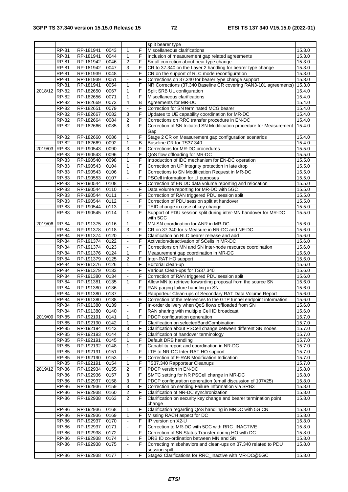|               |                     |           |      |                          |    | split bearer type                                                    |        |
|---------------|---------------------|-----------|------|--------------------------|----|----------------------------------------------------------------------|--------|
|               | <b>RP-81</b>        | RP-181941 | 0043 | $\mathbf{1}$             | F  | Miscellaneous clarifications                                         | 15.3.0 |
|               | <b>RP-81</b>        | RP-181941 | 0044 | 1                        | F  | Inclusion of measurement gap related agreements                      | 15.3.0 |
|               | RP-81               | RP-181942 | 0046 | $\overline{2}$           | F  | Small correction about bear type change                              | 15.3.0 |
|               | RP-81               | RP-181942 | 0047 | $\overline{3}$           | F  | CR to 37.340 on the Layer 2 handling for bearer type change          | 15.3.0 |
|               | RP-81               | RP-181939 | 0048 | $\blacksquare$           | F  | CR on the support of RLC mode reconfiguration                        | 15.3.0 |
|               | <b>RP-81</b>        | RP-181939 | 0051 | $\blacksquare$           | F  | Corrections on 37.340 for bearer type change support                 | 15.3.0 |
|               | <b>RP-81</b>        | RP-181941 | 0054 | $\mathbf{1}$             | F  | NR Corrections (37.340 Baseline CR covering RAN3-101 agreements)     | 15.3.0 |
| 2018/12 RP-82 |                     | RP-182650 | 0067 | 1                        | F  | Split SRB UL configuration                                           | 15.4.0 |
|               | RP-82               | RP-182656 | 0071 | 1                        | F  | Miscellaneous clarifications                                         | 15.4.0 |
|               | RP-82               | RP-182669 | 0073 | 4                        | B  | Agreements for MR-DC                                                 | 15.4.0 |
|               | $RP-82$             | RP-182651 |      | $\overline{\phantom{a}}$ | F  | Correction for SN terminated MCG bearer                              |        |
|               | RP-82               | RP-182667 | 0079 | 3                        | F  |                                                                      | 15.4.0 |
|               |                     |           | 0082 |                          |    | Updates to UE capability coordination for MR-DC                      | 15.4.0 |
|               | RP-82               | RP-182664 | 0084 | $\overline{2}$           | F  | Corrections on RRC transfer procedure in EN-DC                       | 15.4.0 |
|               | RP-82               | RP-182666 | 0085 | 3                        | F  | Correction of SN Initiated SN Modification procedure for Measurement | 15.4.0 |
|               |                     |           |      |                          |    | Gap                                                                  |        |
|               | $RP-82$             | RP-182660 | 0086 | 1                        | F  | Stage 2 CR on Measurement gap configuration scenarios                | 15.4.0 |
|               | RP-82               | RP-182669 | 0092 | 1                        | В  | Baseline CR for TS37.340                                             | 15.4.0 |
| 2019/03       | RP-83               | RP-190543 | 0090 | $\overline{3}$           | F  | Corrections for MR-DC procedures                                     | 15.5.0 |
|               | RP-83               | RP-190543 | 0096 | $\overline{c}$           | F  | QoS flow offloading for MR-DC                                        | 15.5.0 |
|               | RP-83               | RP-190540 | 0098 | 1                        | F  | Introduction of IDC mechanism for EN-DC operation                    | 15.5.0 |
|               | RP-83               | RP-190543 | 0104 | 1                        | F  | Correction on UP integrity protection in late drop                   | 15.5.0 |
|               | RP-83               | RP-190543 | 0106 | $\mathbf{1}$             | F  | Corrections to SN Modification Request in MR-DC                      | 15.5.0 |
|               | RP-83               | RP-190553 | 0107 | $\blacksquare$           | F  | PSCell information for LI purposes                                   | 15.5.0 |
|               | RP-83               | RP-190544 | 0108 |                          | F  | Correction of EN DC data volume reporting and relocation             | 15.5.0 |
|               | $RP-83$             | RP-190544 | 0110 | $\Box$                   | F  | Data volume reporting for MR-DC with 5GC                             | 15.5.0 |
|               | <b>RP-83</b>        | RP-190544 | 0111 | $\blacksquare$           | F  | Correction of RAN triggered PDU session split                        | 15.5.0 |
|               | <b>RP-83</b>        | RP-190544 | 0112 | $\blacksquare$           | F  | Correction of PDU session split at handover                          | 15.5.0 |
|               | $RP-83$             | RP-190544 | 0113 | $\blacksquare$           | F  | TEID change in case of key change                                    | 15.5.0 |
|               | RP-83               | RP-190545 | 0114 | 1                        | F  | Support of PDU session split during inter-MN handover for MR-DC      | 15.5.0 |
|               |                     |           |      |                          |    | with 5GC                                                             |        |
| 2019/06 RP-84 |                     | RP-191375 | 0116 | 1                        | F  | MN-SN coordination for ANR in MR-DC                                  | 15.6.0 |
|               | RP-84               | RP-191378 | 0118 | 3                        | F  | CR on 37.340 for s-Measure in NR-DC and NE-DC                        | 15.6.0 |
|               | RP-84               | RP-191374 | 0120 | $\Box$                   | F  | Clarification on RLC bearer release and add                          | 15.6.0 |
|               | RP-84               | RP-191374 | 0122 | $\blacksquare$           | F  | Activation/deactivation of SCells in MR-DC                           | 15.6.0 |
|               | RP-84               | RP-191374 | 0123 |                          | F  | Corrections on MN and SN inter-node resource coordination            | 15.6.0 |
|               | <b>RP-84</b>        | RP-191376 | 0124 | $\mathbf{1}$             | F  | Measurement gap coordination in MR-DC                                | 15.6.0 |
|               | <b>RP-84</b>        | RP-191379 | 0125 | $\overline{2}$           | F  | Inter-RAT HO support                                                 | 15.6.0 |
|               | RP-84               | RP-191376 | 0126 | 1                        | F  | Editorial clean-up                                                   | 15.6.0 |
|               | RP-84               | RP-191379 | 0133 | $\omega$                 | F  | Various Clean-ups for TS37.340                                       | 15.6.0 |
|               | RP-84               | RP-191380 | 0134 | $\blacksquare$           | F  | Correction of RAN triggered PDU session split                        | 15.6.0 |
|               | RP-84               | RP-191381 | 0135 | $\mathbf{1}$             | F  | Allow MN to retrieve forwarding proposal from the source SN          | 15.6.0 |
|               | RP-84               | RP-191380 | 0136 | $\omega$                 | F  | RAN paging failure handling in SN                                    | 15.6.0 |
|               | RP-84               | RP-191380 | 0137 | $\blacksquare$           | F  | Rapporteur Clean-ups of Secondary RAT Data Volume Report             | 15.6.0 |
|               | <b>RP-84</b>        | RP-191380 | 0138 |                          | F  | Correction of the references to the GTP tunnel endpoint information  | 15.6.0 |
|               |                     |           |      | $\blacksquare$           |    | In-order delivery when QoS flows offloaded from SN                   |        |
|               | RP-84               | RP-191380 | 0139 |                          | F. |                                                                      | 15.6.0 |
|               | RP-84               | RP-191380 | 0140 |                          | F  | RAN sharing with multiple Cell ID broadcast                          | 15.6.0 |
| 2019/09       | RP-85               | RP-192191 | 0141 | 1                        | F  | PDCP configuration generation                                        | 15.7.0 |
|               | RP-85               | RP-192190 | 0142 | 1                        | F  | Clarification on selectedBandCombination                             | 15.7.0 |
|               | <b>RP-85</b>        | RP-192194 | 0143 | 3                        | F  | Clarification about PSCell change between different SN nodes         | 15.7.0 |
|               | RP-85               | RP-192193 | 0144 | $\overline{2}$           | F  | Clarification of handover terminology                                | 15.7.0 |
|               | $\overline{RP}$ -85 | RP-192191 | 0145 | 1                        | F  | Default DRB handling                                                 | 15.7.0 |
|               | RP-85               | RP-192192 | 0148 | 1                        | F  | Capability report and coordination in NR-DC                          | 15.7.0 |
|               | RP-85               | RP-192191 | 0151 | 1                        | F  | LTE to NR-DC Inter-RAT HO support                                    | 15.7.0 |
|               | RP-85               | RP-192190 | 0153 | $\Box$                   | F  | Correction of E-RAB Modification Indication                          | 15.7.0 |
|               | <b>RP-85</b>        | RP-192191 | 0154 | 1                        | F  | TS37.340 Rapporteur Cleanups                                         | 15.7.0 |
| 2019/12       | <b>RP-86</b>        | RP-192934 | 0155 | $\overline{2}$           | F  | PDCP version in EN-DC                                                | 15.8.0 |
|               | $\overline{RP}$ -86 | RP-192936 | 0157 | 3                        | F  | SMTC setting for NR PSCell change in MR-DC                           | 15.8.0 |
|               | RP-86               | RP-192937 | 0158 | 3                        | F  | PDCP configuration generation (email discussion of 107#25)           | 15.8.0 |
|               | RP-86               | RP-192936 | 0159 | 3                        | F  | Correction on sending Failure Information via SRB3                   | 15.8.0 |
|               | RP-86               | RP-192938 | 0160 | $\overline{2}$           | F  | Clarification of NR-DC synchronization                               | 15.8.0 |
|               | <b>RP-86</b>        | RP-192938 | 0163 | $\overline{2}$           | F. | Clarification on security key change and bearer termination point    | 15.8.0 |
|               |                     |           |      |                          |    | change                                                               |        |
|               | RP-86               | RP-192936 | 0168 | 1                        | F  | Clarification regarding QoS handling in MRDC with 5G CN              | 15.8.0 |
|               | <b>RP-86</b>        | RP-192936 | 0169 | 1                        | F  | Missing RACH aspect for DC                                           | 15.8.0 |
|               | RP-86               | RP-192937 | 0170 | $\overline{\phantom{a}}$ | F  | IP version on X2-U                                                   | 15.8.0 |
|               | RP-86               | RP-192937 | 0171 | $\blacksquare$           | F  | Correction to MR-DC with 5GC with RRC_INACTIVE                       | 15.8.0 |
|               | RP-86               | RP-192938 | 0172 |                          | F  | Correction of SN Status Transfer during HO with DC                   | 15.8.0 |
|               | <b>RP-86</b>        | RP-192938 | 0174 | 1                        | F. | DRB ID co-ordination between MN and SN                               | 15.8.0 |
|               | RP-86               | RP-192938 | 0175 |                          | F  | Correcting misbehaviors and clean-ups on 37.340 related to PDU       | 15.8.0 |
|               |                     |           |      |                          |    | session spilt                                                        |        |
|               | <b>RP-86</b>        | RP-192938 | 0177 | $\Box$                   | F  | Stage2 Clarifications for RRC_Inactive with MR-DC@5GC                | 15.8.0 |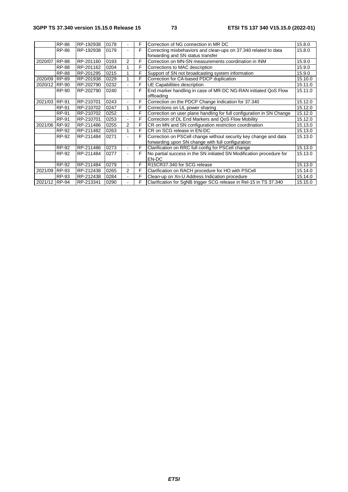|               | <b>RP-86</b> | RP-192938 | 0178 |                          | F  | Correction of NG connection in MR DC                                  | 15.8.0  |
|---------------|--------------|-----------|------|--------------------------|----|-----------------------------------------------------------------------|---------|
|               | <b>RP-86</b> | RP-192938 | 0179 |                          | F  | Correcting misbehaviors and clean-ups on 37.340 related to data       | 15.8.0  |
|               |              |           |      |                          |    | forwarding and SN status transfer                                     |         |
| 2020/07 RP-88 |              | RP-201160 | 0193 | $\overline{2}$           | F  | Correction on MN-SN measurements coordination in INM                  | 15.9.0  |
|               | <b>RP-88</b> | RP-201162 | 0204 |                          | F  | Corrections to MAC description                                        | 15.9.0  |
|               | <b>RP-88</b> | RP-201295 | 0215 |                          | F  | Support of SN not broadcasting system information                     | 15.9.0  |
| 2020/09 RP-89 |              | RP-201938 | 0229 |                          | F  | Correction for CA-based PDCP duplication                              | 15.10.0 |
| 2020/12 RP-90 |              | RP-202790 | 0232 |                          | F  | UE Capabilities description                                           | 15.11.0 |
|               | RP-90        | RP-202790 | 0240 |                          | F  | End marker handling in case of MR-DC NG-RAN initiated QoS Flow        | 15.11.0 |
|               |              |           |      |                          |    | offloading                                                            |         |
| 2021/03 RP-91 |              | RP-210701 | 0243 | ٠                        | F  | Correction on the PDCP Change Indication for 37.340                   | 15.12.0 |
|               | RP-91        | RP-210702 | 0247 | 1                        | F  | Corrections on UL power sharing                                       | 15.12.0 |
|               | RP-91        | RP-210702 | 0252 | $\blacksquare$           | F  | Correction on user plane handling for full configuration in SN Change | 15.12.0 |
|               | <b>RP-91</b> | RP-210701 | 0253 |                          | F  | Correction of DL End Markers and QoS Flow Mobility                    | 15.12.0 |
| 2021/06       | RP-92        | RP-211486 | 0255 | $\overline{2}$           | F  | CR on MN and SN configuration restriction coordination                | 15.13.0 |
|               | RP-92        | RP-211482 | 0263 | 1                        | F  | CR on SCG release in EN-DC                                            | 15.13.0 |
|               | RP-92        | RP-211484 | 0271 |                          | F  | Correction on PSCell change without security key change and data      | 15.13.0 |
|               |              |           |      |                          |    | forwarding upon SN change with full configuration                     |         |
|               | RP-92        | RP-211486 | 0273 | $\sim$                   | F. | Clarification on RRC full config for PSCell change                    | 15.13.0 |
|               | RP-92        | RP-211484 | 0277 | ٠                        | F  | No partial success in the SN initiated SN Modification procedure for  | 15.13.0 |
|               |              |           |      |                          |    | EN-DC                                                                 |         |
|               | RP-92        | RP-211484 | 0279 | $\blacksquare$           | F  | R15CR37.340 for SCG release                                           | 15.13.0 |
| 2021/09 RP-93 |              | RP-212438 | 0265 | $\overline{2}$           | F  | Clarification on RACH procedure for HO with PSCell                    | 15.14.0 |
|               | RP-93        | RP-212438 | 0284 | $\blacksquare$           | F  | Clean-up on Xn-U Address Indication procedure                         | 15.14.0 |
| 2021/12 RP-94 |              | RP-213341 | 0290 | $\overline{\phantom{0}}$ | F  | Clarification for SgNB trigger SCG release in Rel-15 in TS 37.340     | 15.15.0 |